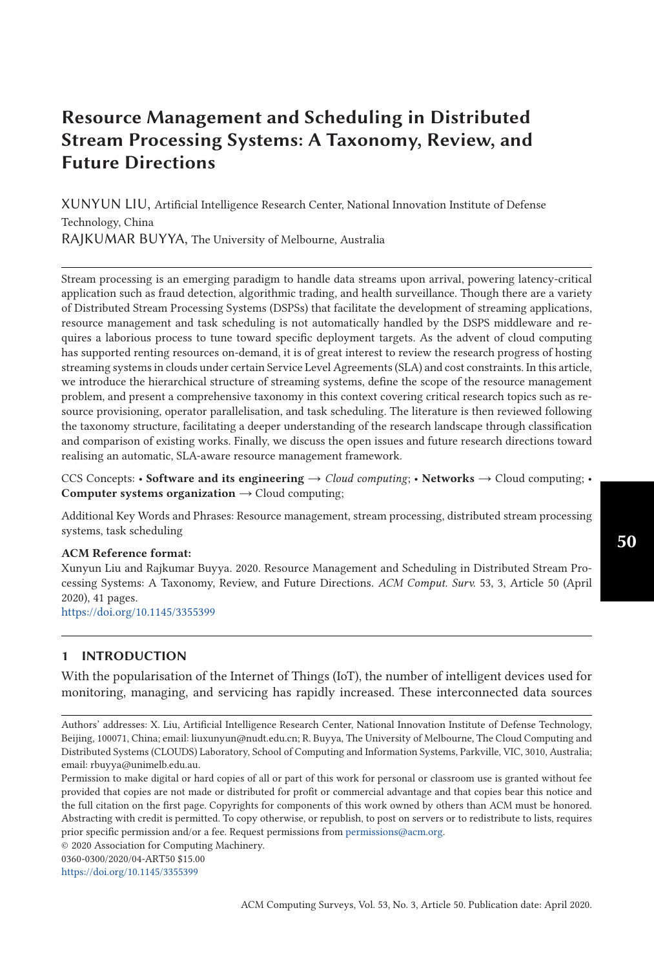# **Resource Management and Scheduling in Distributed Stream Processing Systems: A Taxonomy, Review, and Future Directions**

XUNYUN LIU, Artificial Intelligence Research Center, National Innovation Institute of Defense Technology, China RAJKUMAR BUYYA, The University of Melbourne, Australia

Stream processing is an emerging paradigm to handle data streams upon arrival, powering latency-critical application such as fraud detection, algorithmic trading, and health surveillance. Though there are a variety of Distributed Stream Processing Systems (DSPSs) that facilitate the development of streaming applications, resource management and task scheduling is not automatically handled by the DSPS middleware and requires a laborious process to tune toward specific deployment targets. As the advent of cloud computing has supported renting resources on-demand, it is of great interest to review the research progress of hosting streaming systems in clouds under certain Service Level Agreements (SLA) and cost constraints. In this article, we introduce the hierarchical structure of streaming systems, define the scope of the resource management problem, and present a comprehensive taxonomy in this context covering critical research topics such as resource provisioning, operator parallelisation, and task scheduling. The literature is then reviewed following the taxonomy structure, facilitating a deeper understanding of the research landscape through classification and comparison of existing works. Finally, we discuss the open issues and future research directions toward realising an automatic, SLA-aware resource management framework.

CCS Concepts: • **Software and its engineering**  $\rightarrow$  *Cloud computing*; • **Networks**  $\rightarrow$  Cloud computing; • **Computer systems organization** → Cloud computing;

Additional Key Words and Phrases: Resource management, stream processing, distributed stream processing systems, task scheduling

#### **ACM Reference format:**

Xunyun Liu and Rajkumar Buyya. 2020. Resource Management and Scheduling in Distributed Stream Processing Systems: A Taxonomy, Review, and Future Directions. *ACM Comput. Surv.* 53, 3, Article 50 (April 2020), 41 pages.

<https://doi.org/10.1145/3355399>

# **1 INTRODUCTION**

With the popularisation of the Internet of Things (IoT), the number of intelligent devices used for monitoring, managing, and servicing has rapidly increased. These interconnected data sources

0360-0300/2020/04-ART50 \$15.00

<https://doi.org/10.1145/3355399>

Authors' addresses: X. Liu, Artificial Intelligence Research Center, National Innovation Institute of Defense Technology, Beijing, 100071, China; email: liuxunyun@nudt.edu.cn; R. Buyya, The University of Melbourne, The Cloud Computing and Distributed Systems (CLOUDS) Laboratory, School of Computing and Information Systems, Parkville, VIC, 3010, Australia; email: rbuyya@unimelb.edu.au.

Permission to make digital or hard copies of all or part of this work for personal or classroom use is granted without fee provided that copies are not made or distributed for profit or commercial advantage and that copies bear this notice and the full citation on the first page. Copyrights for components of this work owned by others than ACM must be honored. Abstracting with credit is permitted. To copy otherwise, or republish, to post on servers or to redistribute to lists, requires prior specific permission and/or a fee. Request permissions from [permissions@acm.org.](mailto:permissions@acm.org)

<sup>© 2020</sup> Association for Computing Machinery.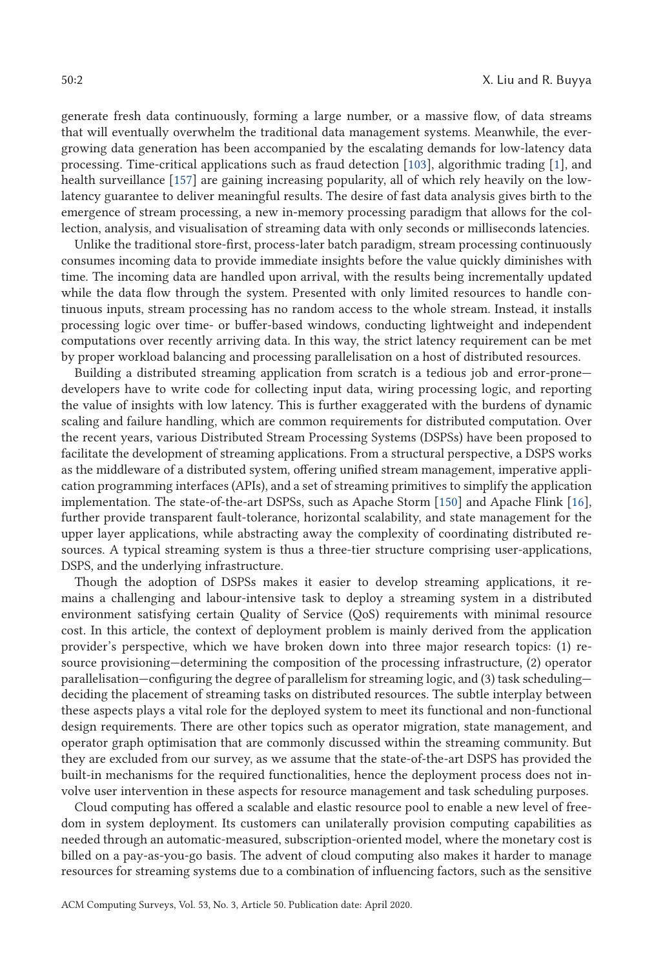generate fresh data continuously, forming a large number, or a massive flow, of data streams that will eventually overwhelm the traditional data management systems. Meanwhile, the evergrowing data generation has been accompanied by the escalating demands for low-latency data processing. Time-critical applications such as fraud detection [103], algorithmic trading [1], and health surveillance [157] are gaining increasing popularity, all of which rely heavily on the lowlatency guarantee to deliver meaningful results. The desire of fast data analysis gives birth to the emergence of stream processing, a new in-memory processing paradigm that allows for the collection, analysis, and visualisation of streaming data with only seconds or milliseconds latencies.

Unlike the traditional store-first, process-later batch paradigm, stream processing continuously consumes incoming data to provide immediate insights before the value quickly diminishes with time. The incoming data are handled upon arrival, with the results being incrementally updated while the data flow through the system. Presented with only limited resources to handle continuous inputs, stream processing has no random access to the whole stream. Instead, it installs processing logic over time- or buffer-based windows, conducting lightweight and independent computations over recently arriving data. In this way, the strict latency requirement can be met by proper workload balancing and processing parallelisation on a host of distributed resources.

Building a distributed streaming application from scratch is a tedious job and error-prone developers have to write code for collecting input data, wiring processing logic, and reporting the value of insights with low latency. This is further exaggerated with the burdens of dynamic scaling and failure handling, which are common requirements for distributed computation. Over the recent years, various Distributed Stream Processing Systems (DSPSs) have been proposed to facilitate the development of streaming applications. From a structural perspective, a DSPS works as the middleware of a distributed system, offering unified stream management, imperative application programming interfaces (APIs), and a set of streaming primitives to simplify the application implementation. The state-of-the-art DSPSs, such as Apache Storm [150] and Apache Flink [16], further provide transparent fault-tolerance, horizontal scalability, and state management for the upper layer applications, while abstracting away the complexity of coordinating distributed resources. A typical streaming system is thus a three-tier structure comprising user-applications, DSPS, and the underlying infrastructure.

Though the adoption of DSPSs makes it easier to develop streaming applications, it remains a challenging and labour-intensive task to deploy a streaming system in a distributed environment satisfying certain Quality of Service (QoS) requirements with minimal resource cost. In this article, the context of deployment problem is mainly derived from the application provider's perspective, which we have broken down into three major research topics: (1) resource provisioning—determining the composition of the processing infrastructure, (2) operator parallelisation—configuring the degree of parallelism for streaming logic, and (3) task scheduling deciding the placement of streaming tasks on distributed resources. The subtle interplay between these aspects plays a vital role for the deployed system to meet its functional and non-functional design requirements. There are other topics such as operator migration, state management, and operator graph optimisation that are commonly discussed within the streaming community. But they are excluded from our survey, as we assume that the state-of-the-art DSPS has provided the built-in mechanisms for the required functionalities, hence the deployment process does not involve user intervention in these aspects for resource management and task scheduling purposes.

Cloud computing has offered a scalable and elastic resource pool to enable a new level of freedom in system deployment. Its customers can unilaterally provision computing capabilities as needed through an automatic-measured, subscription-oriented model, where the monetary cost is billed on a pay-as-you-go basis. The advent of cloud computing also makes it harder to manage resources for streaming systems due to a combination of influencing factors, such as the sensitive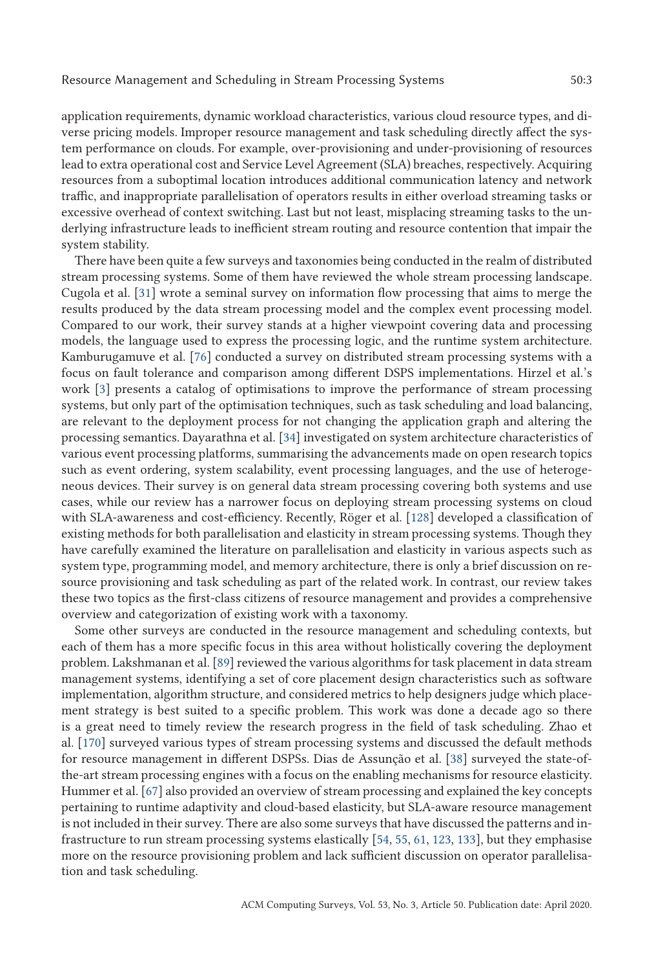application requirements, dynamic workload characteristics, various cloud resource types, and diverse pricing models. Improper resource management and task scheduling directly affect the system performance on clouds. For example, over-provisioning and under-provisioning of resources lead to extra operational cost and Service Level Agreement (SLA) breaches, respectively. Acquiring resources from a suboptimal location introduces additional communication latency and network traffic, and inappropriate parallelisation of operators results in either overload streaming tasks or excessive overhead of context switching. Last but not least, misplacing streaming tasks to the underlying infrastructure leads to inefficient stream routing and resource contention that impair the system stability.

There have been quite a few surveys and taxonomies being conducted in the realm of distributed stream processing systems. Some of them have reviewed the whole stream processing landscape. Cugola et al. [31] wrote a seminal survey on information flow processing that aims to merge the results produced by the data stream processing model and the complex event processing model. Compared to our work, their survey stands at a higher viewpoint covering data and processing models, the language used to express the processing logic, and the runtime system architecture. Kamburugamuve et al. [76] conducted a survey on distributed stream processing systems with a focus on fault tolerance and comparison among different DSPS implementations. Hirzel et al.'s work [3] presents a catalog of optimisations to improve the performance of stream processing systems, but only part of the optimisation techniques, such as task scheduling and load balancing, are relevant to the deployment process for not changing the application graph and altering the processing semantics. Dayarathna et al. [34] investigated on system architecture characteristics of various event processing platforms, summarising the advancements made on open research topics such as event ordering, system scalability, event processing languages, and the use of heterogeneous devices. Their survey is on general data stream processing covering both systems and use cases, while our review has a narrower focus on deploying stream processing systems on cloud with SLA-awareness and cost-efficiency. Recently, Röger et al. [128] developed a classification of existing methods for both parallelisation and elasticity in stream processing systems. Though they have carefully examined the literature on parallelisation and elasticity in various aspects such as system type, programming model, and memory architecture, there is only a brief discussion on resource provisioning and task scheduling as part of the related work. In contrast, our review takes these two topics as the first-class citizens of resource management and provides a comprehensive overview and categorization of existing work with a taxonomy.

Some other surveys are conducted in the resource management and scheduling contexts, but each of them has a more specific focus in this area without holistically covering the deployment problem. Lakshmanan et al. [89] reviewed the various algorithms for task placement in data stream management systems, identifying a set of core placement design characteristics such as software implementation, algorithm structure, and considered metrics to help designers judge which placement strategy is best suited to a specific problem. This work was done a decade ago so there is a great need to timely review the research progress in the field of task scheduling. Zhao et al. [170] surveyed various types of stream processing systems and discussed the default methods for resource management in different DSPSs. Dias de Assunção et al. [38] surveyed the state-ofthe-art stream processing engines with a focus on the enabling mechanisms for resource elasticity. Hummer et al. [67] also provided an overview of stream processing and explained the key concepts pertaining to runtime adaptivity and cloud-based elasticity, but SLA-aware resource management is not included in their survey. There are also some surveys that have discussed the patterns and infrastructure to run stream processing systems elastically [54, 55, 61, 123, 133], but they emphasise more on the resource provisioning problem and lack sufficient discussion on operator parallelisation and task scheduling.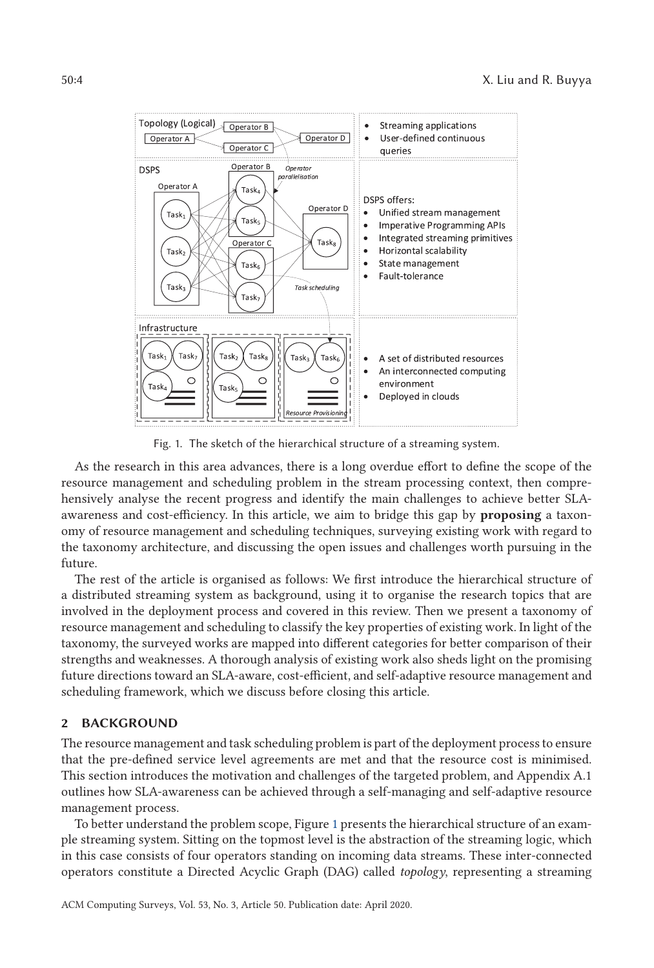

Fig. 1. The sketch of the hierarchical structure of a streaming system.

As the research in this area advances, there is a long overdue effort to define the scope of the resource management and scheduling problem in the stream processing context, then comprehensively analyse the recent progress and identify the main challenges to achieve better SLAawareness and cost-efficiency. In this article, we aim to bridge this gap by **proposing** a taxonomy of resource management and scheduling techniques, surveying existing work with regard to the taxonomy architecture, and discussing the open issues and challenges worth pursuing in the future.

The rest of the article is organised as follows: We first introduce the hierarchical structure of a distributed streaming system as background, using it to organise the research topics that are involved in the deployment process and covered in this review. Then we present a taxonomy of resource management and scheduling to classify the key properties of existing work. In light of the taxonomy, the surveyed works are mapped into different categories for better comparison of their strengths and weaknesses. A thorough analysis of existing work also sheds light on the promising future directions toward an SLA-aware, cost-efficient, and self-adaptive resource management and scheduling framework, which we discuss before closing this article.

### **2 BACKGROUND**

The resource management and task scheduling problem is part of the deployment process to ensure that the pre-defined service level agreements are met and that the resource cost is minimised. This section introduces the motivation and challenges of the targeted problem, and Appendix A.1 outlines how SLA-awareness can be achieved through a self-managing and self-adaptive resource management process.

To better understand the problem scope, Figure 1 presents the hierarchical structure of an example streaming system. Sitting on the topmost level is the abstraction of the streaming logic, which in this case consists of four operators standing on incoming data streams. These inter-connected operators constitute a Directed Acyclic Graph (DAG) called *topology*, representing a streaming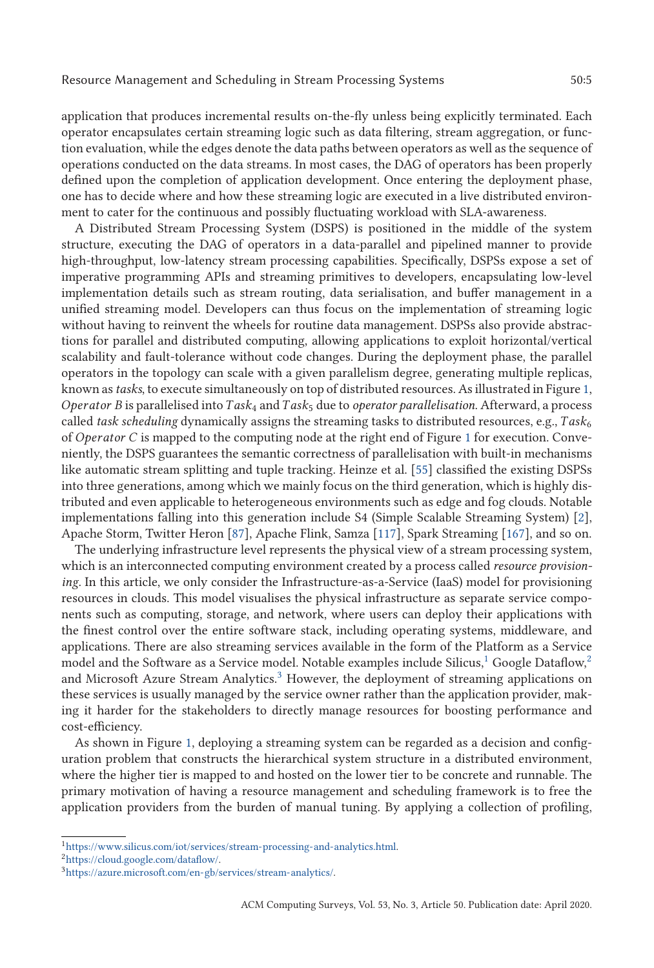application that produces incremental results on-the-fly unless being explicitly terminated. Each operator encapsulates certain streaming logic such as data filtering, stream aggregation, or function evaluation, while the edges denote the data paths between operators as well as the sequence of operations conducted on the data streams. In most cases, the DAG of operators has been properly defined upon the completion of application development. Once entering the deployment phase, one has to decide where and how these streaming logic are executed in a live distributed environment to cater for the continuous and possibly fluctuating workload with SLA-awareness.

A Distributed Stream Processing System (DSPS) is positioned in the middle of the system structure, executing the DAG of operators in a data-parallel and pipelined manner to provide high-throughput, low-latency stream processing capabilities. Specifically, DSPSs expose a set of imperative programming APIs and streaming primitives to developers, encapsulating low-level implementation details such as stream routing, data serialisation, and buffer management in a unified streaming model. Developers can thus focus on the implementation of streaming logic without having to reinvent the wheels for routine data management. DSPSs also provide abstractions for parallel and distributed computing, allowing applications to exploit horizontal/vertical scalability and fault-tolerance without code changes. During the deployment phase, the parallel operators in the topology can scale with a given parallelism degree, generating multiple replicas, known as*tasks*, to execute simultaneously on top of distributed resources. As illustrated in Figure 1, *Operator B* is parallelised into*Task*<sup>4</sup> and*Task*<sup>5</sup> due to *operator parallelisation*. Afterward, a process called *task scheduling* dynamically assigns the streaming tasks to distributed resources, e.g.,  $Task<sub>6</sub>$ of *Operator C* is mapped to the computing node at the right end of Figure 1 for execution. Conveniently, the DSPS guarantees the semantic correctness of parallelisation with built-in mechanisms like automatic stream splitting and tuple tracking. Heinze et al. [55] classified the existing DSPSs into three generations, among which we mainly focus on the third generation, which is highly distributed and even applicable to heterogeneous environments such as edge and fog clouds. Notable implementations falling into this generation include S4 (Simple Scalable Streaming System) [2], Apache Storm, Twitter Heron [87], Apache Flink, Samza [117], Spark Streaming [167], and so on.

The underlying infrastructure level represents the physical view of a stream processing system, which is an interconnected computing environment created by a process called *resource provisioning*. In this article, we only consider the Infrastructure-as-a-Service (IaaS) model for provisioning resources in clouds. This model visualises the physical infrastructure as separate service components such as computing, storage, and network, where users can deploy their applications with the finest control over the entire software stack, including operating systems, middleware, and applications. There are also streaming services available in the form of the Platform as a Service model and the Software as a Service model. Notable examples include Silicus,<sup>1</sup> Google Dataflow,<sup>2</sup> and Microsoft Azure Stream Analytics.<sup>3</sup> However, the deployment of streaming applications on these services is usually managed by the service owner rather than the application provider, making it harder for the stakeholders to directly manage resources for boosting performance and cost-efficiency.

As shown in Figure 1, deploying a streaming system can be regarded as a decision and configuration problem that constructs the hierarchical system structure in a distributed environment, where the higher tier is mapped to and hosted on the lower tier to be concrete and runnable. The primary motivation of having a resource management and scheduling framework is to free the application providers from the burden of manual tuning. By applying a collection of profiling,

 $1$ https://www.silicus.com/iot/services/stream-processing-and-analytics.html.

[<sup>2</sup>https://cloud.google.com/dataflow/.](https://cloud.google.com/dataflow/)

[<sup>3</sup>https://azure.microsoft.com/en-gb/services/stream-analytics/.](https://azure.microsoft.com/en-gb/services/stream-analytics/)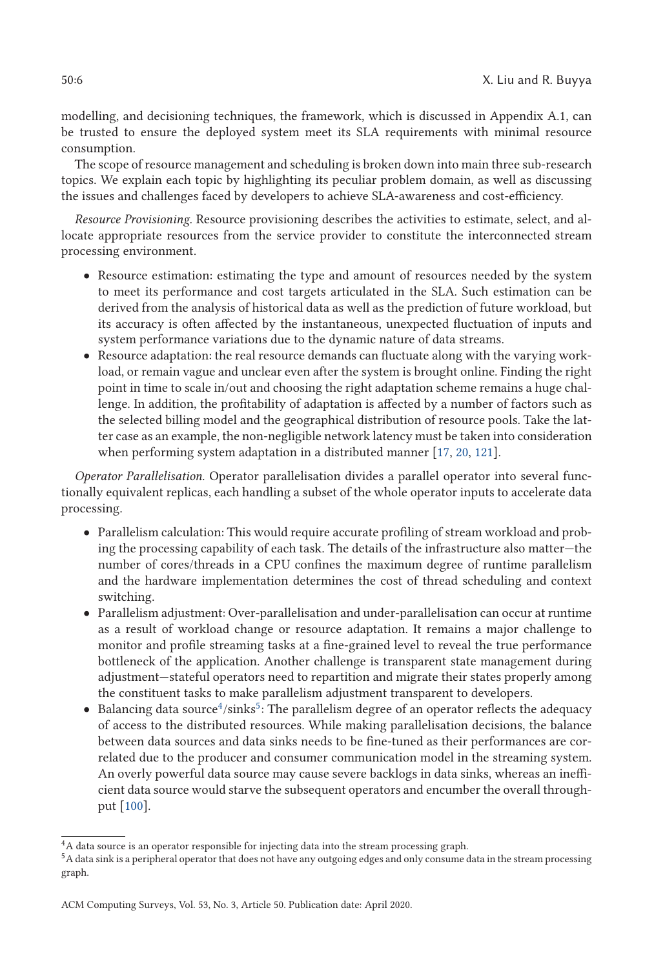modelling, and decisioning techniques, the framework, which is discussed in Appendix A.1, can be trusted to ensure the deployed system meet its SLA requirements with minimal resource consumption.

The scope of resource management and scheduling is broken down into main three sub-research topics. We explain each topic by highlighting its peculiar problem domain, as well as discussing the issues and challenges faced by developers to achieve SLA-awareness and cost-efficiency.

*Resource Provisioning*. Resource provisioning describes the activities to estimate, select, and allocate appropriate resources from the service provider to constitute the interconnected stream processing environment.

- Resource estimation: estimating the type and amount of resources needed by the system to meet its performance and cost targets articulated in the SLA. Such estimation can be derived from the analysis of historical data as well as the prediction of future workload, but its accuracy is often affected by the instantaneous, unexpected fluctuation of inputs and system performance variations due to the dynamic nature of data streams.
- Resource adaptation: the real resource demands can fluctuate along with the varying workload, or remain vague and unclear even after the system is brought online. Finding the right point in time to scale in/out and choosing the right adaptation scheme remains a huge challenge. In addition, the profitability of adaptation is affected by a number of factors such as the selected billing model and the geographical distribution of resource pools. Take the latter case as an example, the non-negligible network latency must be taken into consideration when performing system adaptation in a distributed manner [17, 20, 121].

*Operator Parallelisation*. Operator parallelisation divides a parallel operator into several functionally equivalent replicas, each handling a subset of the whole operator inputs to accelerate data processing.

- Parallelism calculation: This would require accurate profiling of stream workload and probing the processing capability of each task. The details of the infrastructure also matter—the number of cores/threads in a CPU confines the maximum degree of runtime parallelism and the hardware implementation determines the cost of thread scheduling and context switching.
- Parallelism adjustment: Over-parallelisation and under-parallelisation can occur at runtime as a result of workload change or resource adaptation. It remains a major challenge to monitor and profile streaming tasks at a fine-grained level to reveal the true performance bottleneck of the application. Another challenge is transparent state management during adjustment—stateful operators need to repartition and migrate their states properly among the constituent tasks to make parallelism adjustment transparent to developers.
- Balancing data source<sup>4</sup>/sinks<sup>5</sup>: The parallelism degree of an operator reflects the adequacy of access to the distributed resources. While making parallelisation decisions, the balance between data sources and data sinks needs to be fine-tuned as their performances are correlated due to the producer and consumer communication model in the streaming system. An overly powerful data source may cause severe backlogs in data sinks, whereas an inefficient data source would starve the subsequent operators and encumber the overall throughput [100].

 $^4{\rm A}$  data source is an operator responsible for injecting data into the stream processing graph.

 $^5\rm A$  data sink is a peripheral operator that does not have any outgoing edges and only consume data in the stream processing graph.

ACM Computing Surveys, Vol. 53, No. 3, Article 50. Publication date: April 2020.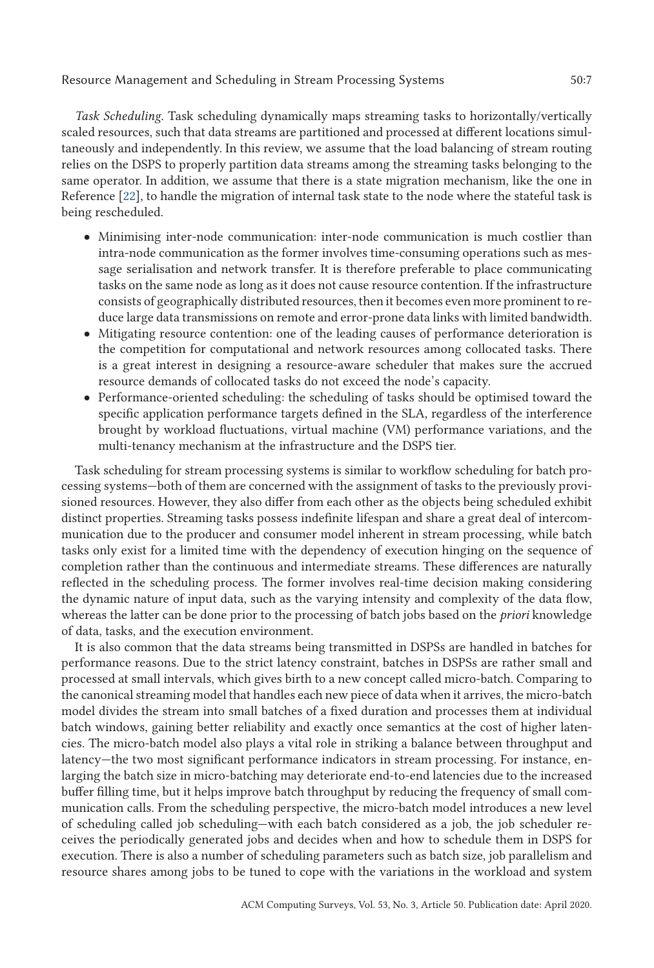*Task Scheduling*. Task scheduling dynamically maps streaming tasks to horizontally/vertically scaled resources, such that data streams are partitioned and processed at different locations simultaneously and independently. In this review, we assume that the load balancing of stream routing relies on the DSPS to properly partition data streams among the streaming tasks belonging to the same operator. In addition, we assume that there is a state migration mechanism, like the one in Reference [22], to handle the migration of internal task state to the node where the stateful task is being rescheduled.

- Minimising inter-node communication: inter-node communication is much costlier than intra-node communication as the former involves time-consuming operations such as message serialisation and network transfer. It is therefore preferable to place communicating tasks on the same node as long as it does not cause resource contention. If the infrastructure consists of geographically distributed resources, then it becomes even more prominent to reduce large data transmissions on remote and error-prone data links with limited bandwidth.
- Mitigating resource contention: one of the leading causes of performance deterioration is the competition for computational and network resources among collocated tasks. There is a great interest in designing a resource-aware scheduler that makes sure the accrued resource demands of collocated tasks do not exceed the node's capacity.
- Performance-oriented scheduling: the scheduling of tasks should be optimised toward the specific application performance targets defined in the SLA, regardless of the interference brought by workload fluctuations, virtual machine (VM) performance variations, and the multi-tenancy mechanism at the infrastructure and the DSPS tier.

Task scheduling for stream processing systems is similar to workflow scheduling for batch processing systems—both of them are concerned with the assignment of tasks to the previously provisioned resources. However, they also differ from each other as the objects being scheduled exhibit distinct properties. Streaming tasks possess indefinite lifespan and share a great deal of intercommunication due to the producer and consumer model inherent in stream processing, while batch tasks only exist for a limited time with the dependency of execution hinging on the sequence of completion rather than the continuous and intermediate streams. These differences are naturally reflected in the scheduling process. The former involves real-time decision making considering the dynamic nature of input data, such as the varying intensity and complexity of the data flow, whereas the latter can be done prior to the processing of batch jobs based on the *priori* knowledge of data, tasks, and the execution environment.

It is also common that the data streams being transmitted in DSPSs are handled in batches for performance reasons. Due to the strict latency constraint, batches in DSPSs are rather small and processed at small intervals, which gives birth to a new concept called micro-batch. Comparing to the canonical streaming model that handles each new piece of data when it arrives, the micro-batch model divides the stream into small batches of a fixed duration and processes them at individual batch windows, gaining better reliability and exactly once semantics at the cost of higher latencies. The micro-batch model also plays a vital role in striking a balance between throughput and latency—the two most significant performance indicators in stream processing. For instance, enlarging the batch size in micro-batching may deteriorate end-to-end latencies due to the increased buffer filling time, but it helps improve batch throughput by reducing the frequency of small communication calls. From the scheduling perspective, the micro-batch model introduces a new level of scheduling called job scheduling—with each batch considered as a job, the job scheduler receives the periodically generated jobs and decides when and how to schedule them in DSPS for execution. There is also a number of scheduling parameters such as batch size, job parallelism and resource shares among jobs to be tuned to cope with the variations in the workload and system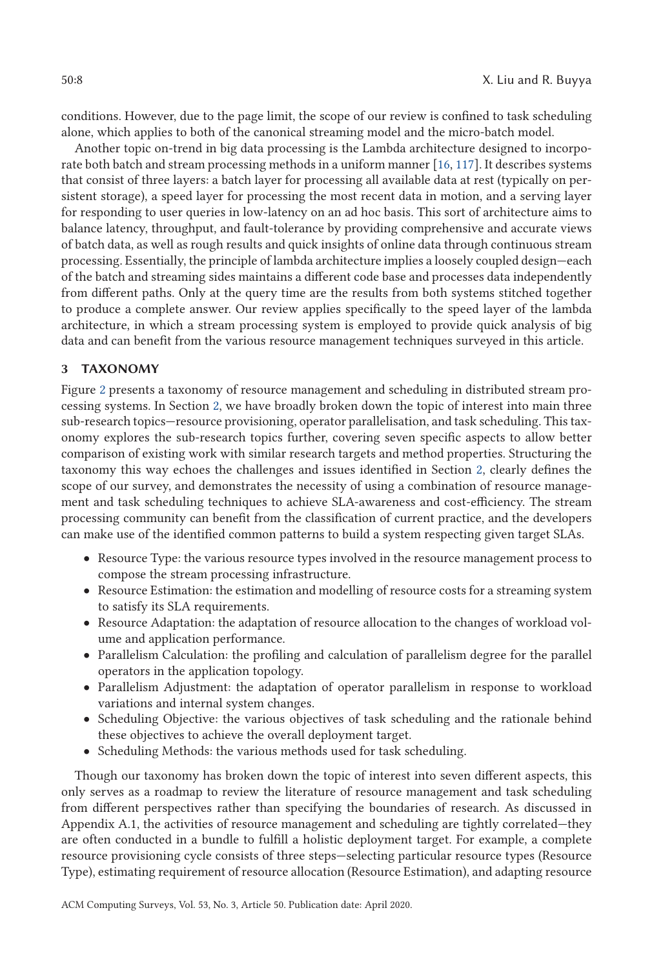conditions. However, due to the page limit, the scope of our review is confined to task scheduling alone, which applies to both of the canonical streaming model and the micro-batch model.

Another topic on-trend in big data processing is the Lambda architecture designed to incorporate both batch and stream processing methods in a uniform manner [16, 117]. It describes systems that consist of three layers: a batch layer for processing all available data at rest (typically on persistent storage), a speed layer for processing the most recent data in motion, and a serving layer for responding to user queries in low-latency on an ad hoc basis. This sort of architecture aims to balance latency, throughput, and fault-tolerance by providing comprehensive and accurate views of batch data, as well as rough results and quick insights of online data through continuous stream processing. Essentially, the principle of lambda architecture implies a loosely coupled design—each of the batch and streaming sides maintains a different code base and processes data independently from different paths. Only at the query time are the results from both systems stitched together to produce a complete answer. Our review applies specifically to the speed layer of the lambda architecture, in which a stream processing system is employed to provide quick analysis of big data and can benefit from the various resource management techniques surveyed in this article.

# **3 TAXONOMY**

Figure 2 presents a taxonomy of resource management and scheduling in distributed stream processing systems. In Section 2, we have broadly broken down the topic of interest into main three sub-research topics—resource provisioning, operator parallelisation, and task scheduling. This taxonomy explores the sub-research topics further, covering seven specific aspects to allow better comparison of existing work with similar research targets and method properties. Structuring the taxonomy this way echoes the challenges and issues identified in Section 2, clearly defines the scope of our survey, and demonstrates the necessity of using a combination of resource management and task scheduling techniques to achieve SLA-awareness and cost-efficiency. The stream processing community can benefit from the classification of current practice, and the developers can make use of the identified common patterns to build a system respecting given target SLAs.

- Resource Type: the various resource types involved in the resource management process to compose the stream processing infrastructure.
- Resource Estimation: the estimation and modelling of resource costs for a streaming system to satisfy its SLA requirements.
- Resource Adaptation: the adaptation of resource allocation to the changes of workload volume and application performance.
- Parallelism Calculation: the profiling and calculation of parallelism degree for the parallel operators in the application topology.
- Parallelism Adjustment: the adaptation of operator parallelism in response to workload variations and internal system changes.
- Scheduling Objective: the various objectives of task scheduling and the rationale behind these objectives to achieve the overall deployment target.
- Scheduling Methods: the various methods used for task scheduling.

Though our taxonomy has broken down the topic of interest into seven different aspects, this only serves as a roadmap to review the literature of resource management and task scheduling from different perspectives rather than specifying the boundaries of research. As discussed in Appendix A.1, the activities of resource management and scheduling are tightly correlated—they are often conducted in a bundle to fulfill a holistic deployment target. For example, a complete resource provisioning cycle consists of three steps—selecting particular resource types (Resource Type), estimating requirement of resource allocation (Resource Estimation), and adapting resource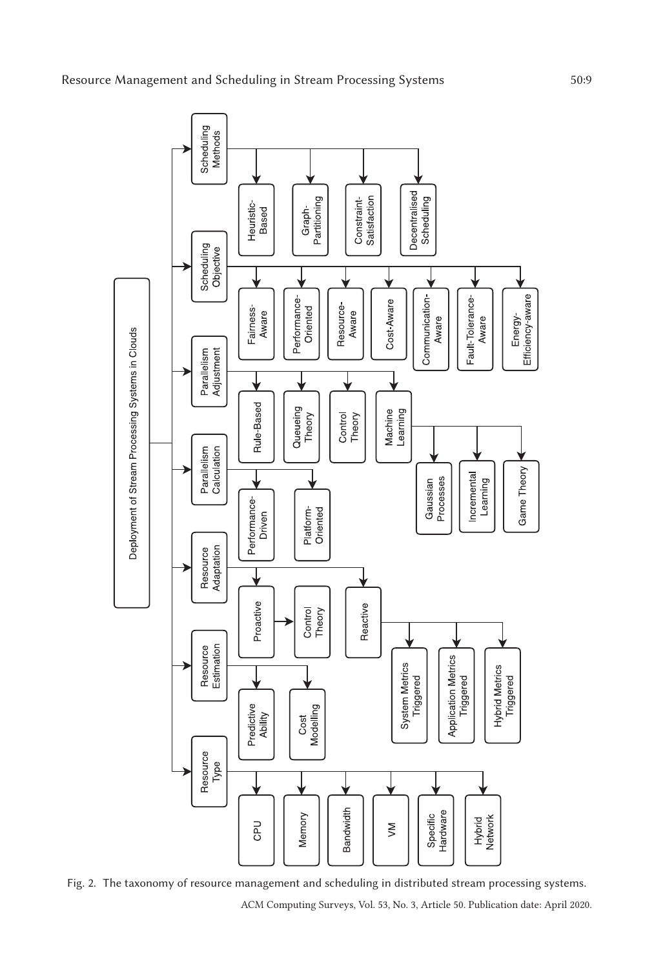

Fig. 2. The taxonomy of resource management and scheduling in distributed stream processing systems. ACM Computing Surveys, Vol. 53, No. 3, Article 50. Publication date: April 2020.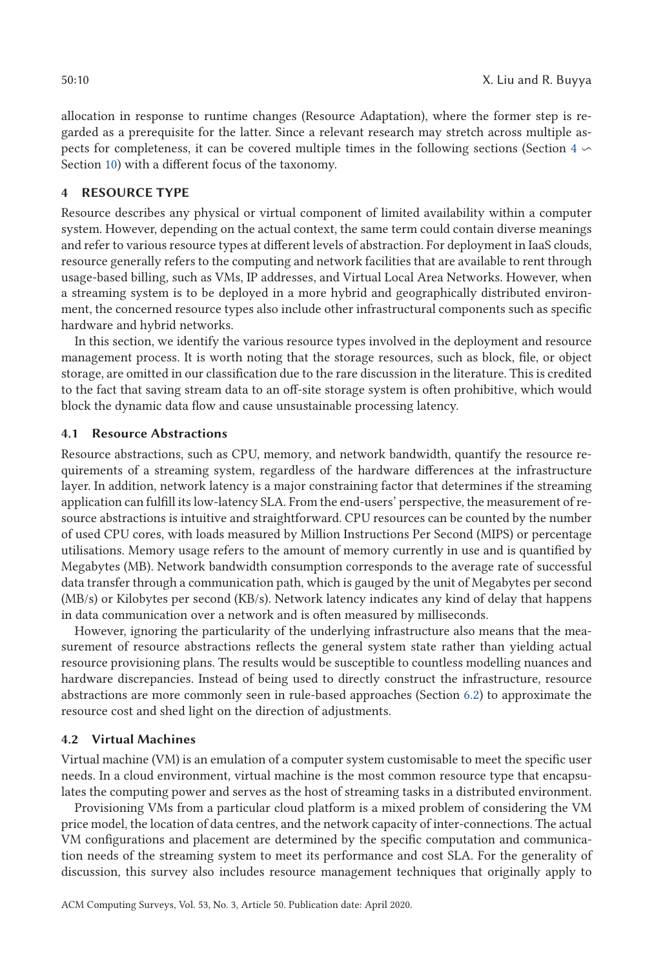allocation in response to runtime changes (Resource Adaptation), where the former step is regarded as a prerequisite for the latter. Since a relevant research may stretch across multiple aspects for completeness, it can be covered multiple times in the following sections (Section 4  $\backsim$ Section 10) with a different focus of the taxonomy.

# **4 RESOURCE TYPE**

Resource describes any physical or virtual component of limited availability within a computer system. However, depending on the actual context, the same term could contain diverse meanings and refer to various resource types at different levels of abstraction. For deployment in IaaS clouds, resource generally refers to the computing and network facilities that are available to rent through usage-based billing, such as VMs, IP addresses, and Virtual Local Area Networks. However, when a streaming system is to be deployed in a more hybrid and geographically distributed environment, the concerned resource types also include other infrastructural components such as specific hardware and hybrid networks.

In this section, we identify the various resource types involved in the deployment and resource management process. It is worth noting that the storage resources, such as block, file, or object storage, are omitted in our classification due to the rare discussion in the literature. This is credited to the fact that saving stream data to an off-site storage system is often prohibitive, which would block the dynamic data flow and cause unsustainable processing latency.

### **4.1 Resource Abstractions**

Resource abstractions, such as CPU, memory, and network bandwidth, quantify the resource requirements of a streaming system, regardless of the hardware differences at the infrastructure layer. In addition, network latency is a major constraining factor that determines if the streaming application can fulfill its low-latency SLA. From the end-users' perspective, the measurement of resource abstractions is intuitive and straightforward. CPU resources can be counted by the number of used CPU cores, with loads measured by Million Instructions Per Second (MIPS) or percentage utilisations. Memory usage refers to the amount of memory currently in use and is quantified by Megabytes (MB). Network bandwidth consumption corresponds to the average rate of successful data transfer through a communication path, which is gauged by the unit of Megabytes per second (MB/s) or Kilobytes per second (KB/s). Network latency indicates any kind of delay that happens in data communication over a network and is often measured by milliseconds.

However, ignoring the particularity of the underlying infrastructure also means that the measurement of resource abstractions reflects the general system state rather than yielding actual resource provisioning plans. The results would be susceptible to countless modelling nuances and hardware discrepancies. Instead of being used to directly construct the infrastructure, resource abstractions are more commonly seen in rule-based approaches (Section 6.2) to approximate the resource cost and shed light on the direction of adjustments.

### **4.2 Virtual Machines**

Virtual machine (VM) is an emulation of a computer system customisable to meet the specific user needs. In a cloud environment, virtual machine is the most common resource type that encapsulates the computing power and serves as the host of streaming tasks in a distributed environment.

Provisioning VMs from a particular cloud platform is a mixed problem of considering the VM price model, the location of data centres, and the network capacity of inter-connections. The actual VM configurations and placement are determined by the specific computation and communication needs of the streaming system to meet its performance and cost SLA. For the generality of discussion, this survey also includes resource management techniques that originally apply to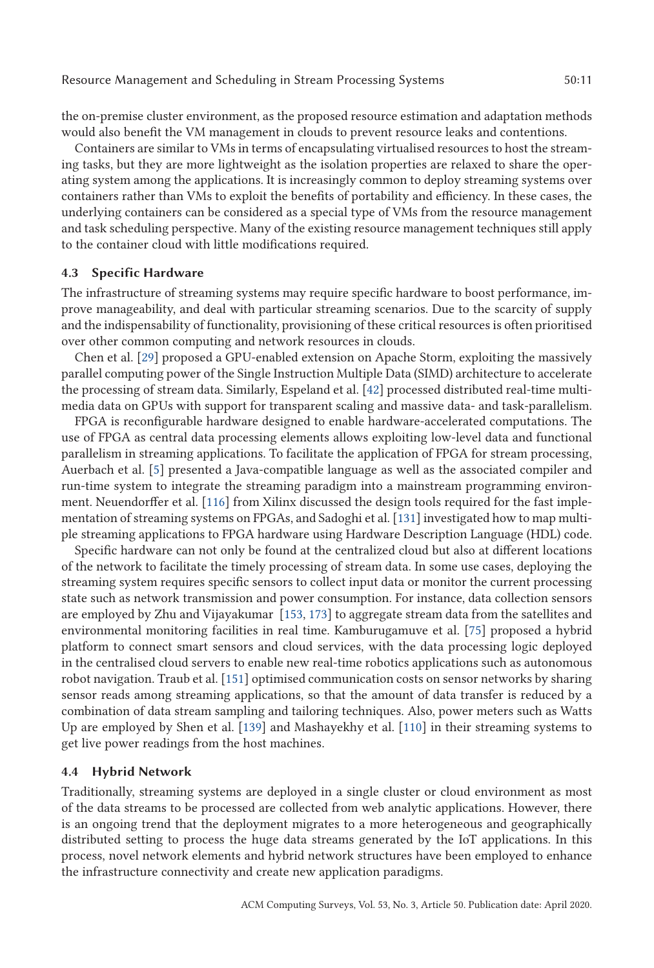the on-premise cluster environment, as the proposed resource estimation and adaptation methods would also benefit the VM management in clouds to prevent resource leaks and contentions.

Containers are similar to VMs in terms of encapsulating virtualised resources to host the streaming tasks, but they are more lightweight as the isolation properties are relaxed to share the operating system among the applications. It is increasingly common to deploy streaming systems over containers rather than VMs to exploit the benefits of portability and efficiency. In these cases, the underlying containers can be considered as a special type of VMs from the resource management and task scheduling perspective. Many of the existing resource management techniques still apply to the container cloud with little modifications required.

#### **4.3 Specific Hardware**

The infrastructure of streaming systems may require specific hardware to boost performance, improve manageability, and deal with particular streaming scenarios. Due to the scarcity of supply and the indispensability of functionality, provisioning of these critical resources is often prioritised over other common computing and network resources in clouds.

Chen et al. [29] proposed a GPU-enabled extension on Apache Storm, exploiting the massively parallel computing power of the Single Instruction Multiple Data (SIMD) architecture to accelerate the processing of stream data. Similarly, Espeland et al. [42] processed distributed real-time multimedia data on GPUs with support for transparent scaling and massive data- and task-parallelism.

FPGA is reconfigurable hardware designed to enable hardware-accelerated computations. The use of FPGA as central data processing elements allows exploiting low-level data and functional parallelism in streaming applications. To facilitate the application of FPGA for stream processing, Auerbach et al. [5] presented a Java-compatible language as well as the associated compiler and run-time system to integrate the streaming paradigm into a mainstream programming environment. Neuendorffer et al. [116] from Xilinx discussed the design tools required for the fast implementation of streaming systems on FPGAs, and Sadoghi et al. [131] investigated how to map multiple streaming applications to FPGA hardware using Hardware Description Language (HDL) code.

Specific hardware can not only be found at the centralized cloud but also at different locations of the network to facilitate the timely processing of stream data. In some use cases, deploying the streaming system requires specific sensors to collect input data or monitor the current processing state such as network transmission and power consumption. For instance, data collection sensors are employed by Zhu and Vijayakumar [153, 173] to aggregate stream data from the satellites and environmental monitoring facilities in real time. Kamburugamuve et al. [75] proposed a hybrid platform to connect smart sensors and cloud services, with the data processing logic deployed in the centralised cloud servers to enable new real-time robotics applications such as autonomous robot navigation. Traub et al. [151] optimised communication costs on sensor networks by sharing sensor reads among streaming applications, so that the amount of data transfer is reduced by a combination of data stream sampling and tailoring techniques. Also, power meters such as Watts Up are employed by Shen et al. [139] and Mashayekhy et al. [110] in their streaming systems to get live power readings from the host machines.

### **4.4 Hybrid Network**

Traditionally, streaming systems are deployed in a single cluster or cloud environment as most of the data streams to be processed are collected from web analytic applications. However, there is an ongoing trend that the deployment migrates to a more heterogeneous and geographically distributed setting to process the huge data streams generated by the IoT applications. In this process, novel network elements and hybrid network structures have been employed to enhance the infrastructure connectivity and create new application paradigms.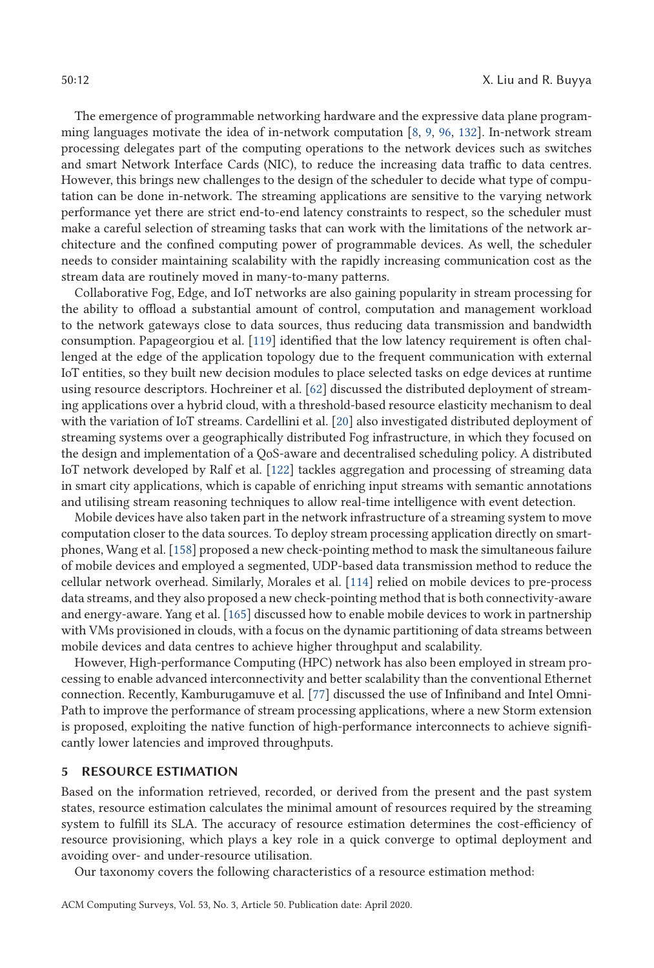The emergence of programmable networking hardware and the expressive data plane programming languages motivate the idea of in-network computation [8, 9, 96, 132]. In-network stream processing delegates part of the computing operations to the network devices such as switches and smart Network Interface Cards (NIC), to reduce the increasing data traffic to data centres. However, this brings new challenges to the design of the scheduler to decide what type of computation can be done in-network. The streaming applications are sensitive to the varying network performance yet there are strict end-to-end latency constraints to respect, so the scheduler must make a careful selection of streaming tasks that can work with the limitations of the network architecture and the confined computing power of programmable devices. As well, the scheduler needs to consider maintaining scalability with the rapidly increasing communication cost as the stream data are routinely moved in many-to-many patterns.

Collaborative Fog, Edge, and IoT networks are also gaining popularity in stream processing for the ability to offload a substantial amount of control, computation and management workload to the network gateways close to data sources, thus reducing data transmission and bandwidth consumption. Papageorgiou et al. [119] identified that the low latency requirement is often challenged at the edge of the application topology due to the frequent communication with external IoT entities, so they built new decision modules to place selected tasks on edge devices at runtime using resource descriptors. Hochreiner et al. [62] discussed the distributed deployment of streaming applications over a hybrid cloud, with a threshold-based resource elasticity mechanism to deal with the variation of IoT streams. Cardellini et al. [20] also investigated distributed deployment of streaming systems over a geographically distributed Fog infrastructure, in which they focused on the design and implementation of a QoS-aware and decentralised scheduling policy. A distributed IoT network developed by Ralf et al. [122] tackles aggregation and processing of streaming data in smart city applications, which is capable of enriching input streams with semantic annotations and utilising stream reasoning techniques to allow real-time intelligence with event detection.

Mobile devices have also taken part in the network infrastructure of a streaming system to move computation closer to the data sources. To deploy stream processing application directly on smartphones, Wang et al. [158] proposed a new check-pointing method to mask the simultaneous failure of mobile devices and employed a segmented, UDP-based data transmission method to reduce the cellular network overhead. Similarly, Morales et al. [114] relied on mobile devices to pre-process data streams, and they also proposed a new check-pointing method that is both connectivity-aware and energy-aware. Yang et al. [165] discussed how to enable mobile devices to work in partnership with VMs provisioned in clouds, with a focus on the dynamic partitioning of data streams between mobile devices and data centres to achieve higher throughput and scalability.

However, High-performance Computing (HPC) network has also been employed in stream processing to enable advanced interconnectivity and better scalability than the conventional Ethernet connection. Recently, Kamburugamuve et al. [77] discussed the use of Infiniband and Intel Omni-Path to improve the performance of stream processing applications, where a new Storm extension is proposed, exploiting the native function of high-performance interconnects to achieve significantly lower latencies and improved throughputs.

### **5 RESOURCE ESTIMATION**

Based on the information retrieved, recorded, or derived from the present and the past system states, resource estimation calculates the minimal amount of resources required by the streaming system to fulfill its SLA. The accuracy of resource estimation determines the cost-efficiency of resource provisioning, which plays a key role in a quick converge to optimal deployment and avoiding over- and under-resource utilisation.

Our taxonomy covers the following characteristics of a resource estimation method: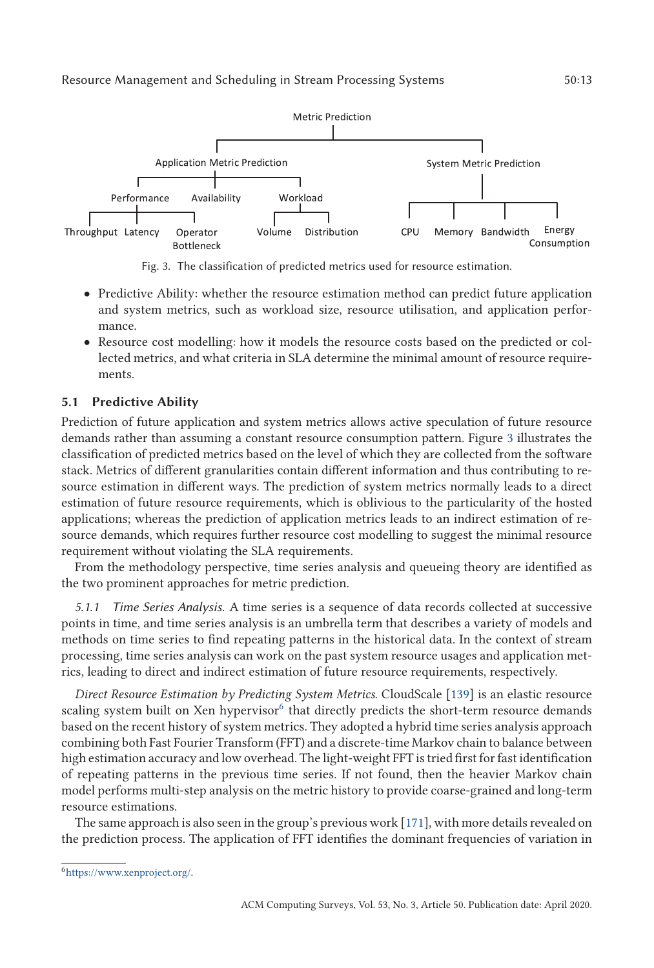

Fig. 3. The classification of predicted metrics used for resource estimation.

- Predictive Ability: whether the resource estimation method can predict future application and system metrics, such as workload size, resource utilisation, and application performance.
- Resource cost modelling: how it models the resource costs based on the predicted or collected metrics, and what criteria in SLA determine the minimal amount of resource requirements.

# **5.1 Predictive Ability**

Prediction of future application and system metrics allows active speculation of future resource demands rather than assuming a constant resource consumption pattern. Figure 3 illustrates the classification of predicted metrics based on the level of which they are collected from the software stack. Metrics of different granularities contain different information and thus contributing to resource estimation in different ways. The prediction of system metrics normally leads to a direct estimation of future resource requirements, which is oblivious to the particularity of the hosted applications; whereas the prediction of application metrics leads to an indirect estimation of resource demands, which requires further resource cost modelling to suggest the minimal resource requirement without violating the SLA requirements.

From the methodology perspective, time series analysis and queueing theory are identified as the two prominent approaches for metric prediction.

*5.1.1 Time Series Analysis.* A time series is a sequence of data records collected at successive points in time, and time series analysis is an umbrella term that describes a variety of models and methods on time series to find repeating patterns in the historical data. In the context of stream processing, time series analysis can work on the past system resource usages and application metrics, leading to direct and indirect estimation of future resource requirements, respectively.

*Direct Resource Estimation by Predicting System Metrics*. CloudScale [139] is an elastic resource scaling system built on Xen hypervisor $6$  that directly predicts the short-term resource demands based on the recent history of system metrics. They adopted a hybrid time series analysis approach combining both Fast Fourier Transform (FFT) and a discrete-time Markov chain to balance between high estimation accuracy and low overhead. The light-weight FFT is tried first for fast identification of repeating patterns in the previous time series. If not found, then the heavier Markov chain model performs multi-step analysis on the metric history to provide coarse-grained and long-term resource estimations.

The same approach is also seen in the group's previous work [171], with more details revealed on the prediction process. The application of FFT identifies the dominant frequencies of variation in

[<sup>6</sup>https://www.xenproject.org/.](https://www.xenproject.org/)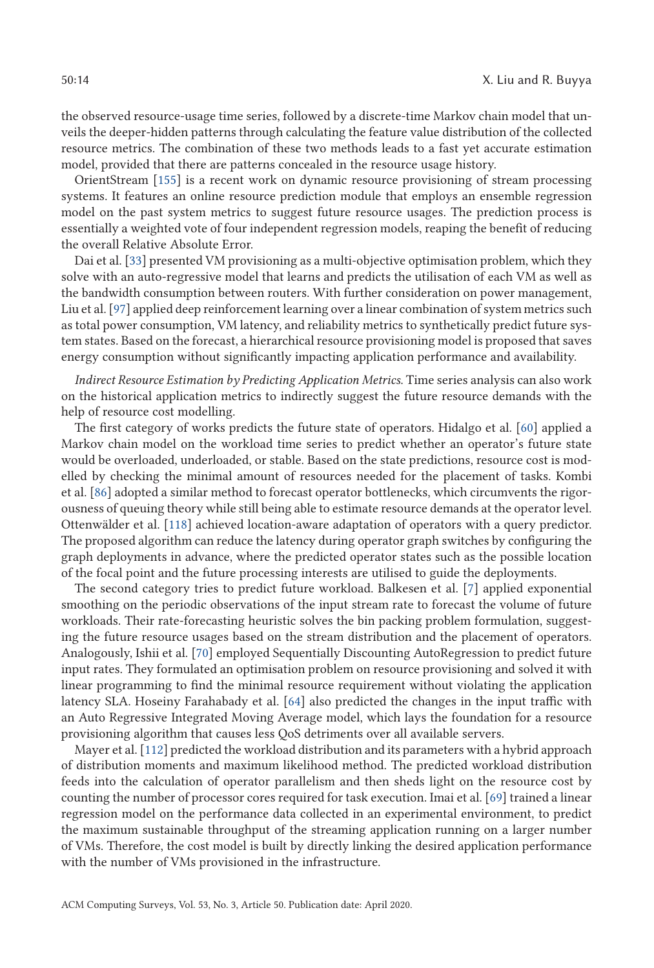the observed resource-usage time series, followed by a discrete-time Markov chain model that unveils the deeper-hidden patterns through calculating the feature value distribution of the collected resource metrics. The combination of these two methods leads to a fast yet accurate estimation model, provided that there are patterns concealed in the resource usage history.

OrientStream [155] is a recent work on dynamic resource provisioning of stream processing systems. It features an online resource prediction module that employs an ensemble regression model on the past system metrics to suggest future resource usages. The prediction process is essentially a weighted vote of four independent regression models, reaping the benefit of reducing the overall Relative Absolute Error.

Dai et al. [33] presented VM provisioning as a multi-objective optimisation problem, which they solve with an auto-regressive model that learns and predicts the utilisation of each VM as well as the bandwidth consumption between routers. With further consideration on power management, Liu et al. [97] applied deep reinforcement learning over a linear combination of system metrics such as total power consumption, VM latency, and reliability metrics to synthetically predict future system states. Based on the forecast, a hierarchical resource provisioning model is proposed that saves energy consumption without significantly impacting application performance and availability.

*Indirect Resource Estimation by Predicting Application Metrics*. Time series analysis can also work on the historical application metrics to indirectly suggest the future resource demands with the help of resource cost modelling.

The first category of works predicts the future state of operators. Hidalgo et al. [60] applied a Markov chain model on the workload time series to predict whether an operator's future state would be overloaded, underloaded, or stable. Based on the state predictions, resource cost is modelled by checking the minimal amount of resources needed for the placement of tasks. Kombi et al. [86] adopted a similar method to forecast operator bottlenecks, which circumvents the rigorousness of queuing theory while still being able to estimate resource demands at the operator level. Ottenwälder et al. [118] achieved location-aware adaptation of operators with a query predictor. The proposed algorithm can reduce the latency during operator graph switches by configuring the graph deployments in advance, where the predicted operator states such as the possible location of the focal point and the future processing interests are utilised to guide the deployments.

The second category tries to predict future workload. Balkesen et al. [7] applied exponential smoothing on the periodic observations of the input stream rate to forecast the volume of future workloads. Their rate-forecasting heuristic solves the bin packing problem formulation, suggesting the future resource usages based on the stream distribution and the placement of operators. Analogously, Ishii et al. [70] employed Sequentially Discounting AutoRegression to predict future input rates. They formulated an optimisation problem on resource provisioning and solved it with linear programming to find the minimal resource requirement without violating the application latency SLA. Hoseiny Farahabady et al. [64] also predicted the changes in the input traffic with an Auto Regressive Integrated Moving Average model, which lays the foundation for a resource provisioning algorithm that causes less QoS detriments over all available servers.

Mayer et al. [112] predicted the workload distribution and its parameters with a hybrid approach of distribution moments and maximum likelihood method. The predicted workload distribution feeds into the calculation of operator parallelism and then sheds light on the resource cost by counting the number of processor cores required for task execution. Imai et al. [69] trained a linear regression model on the performance data collected in an experimental environment, to predict the maximum sustainable throughput of the streaming application running on a larger number of VMs. Therefore, the cost model is built by directly linking the desired application performance with the number of VMs provisioned in the infrastructure.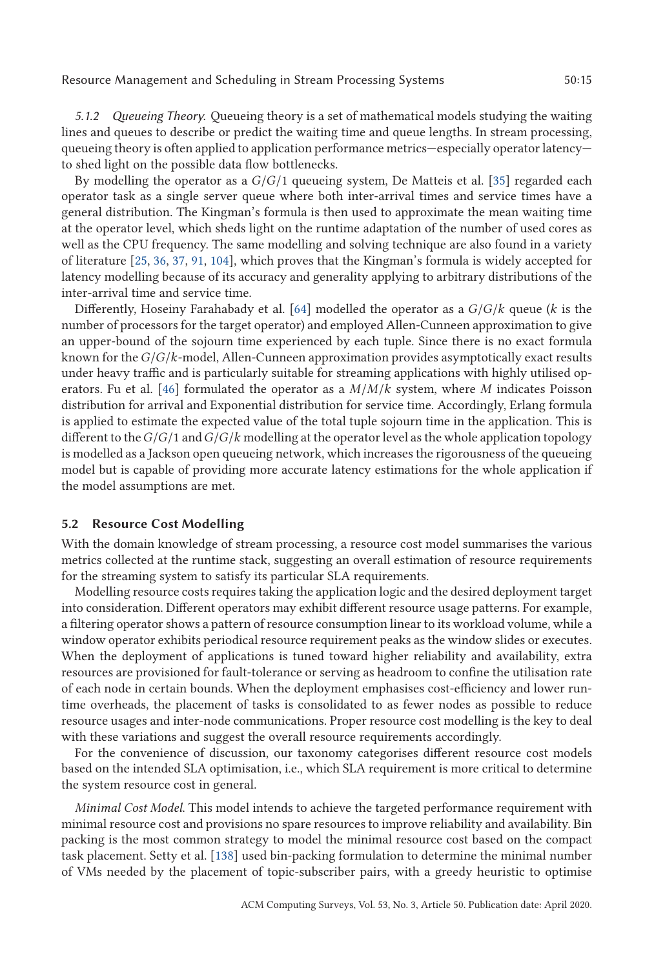Resource Management and Scheduling in Stream Processing Systems 50:15

*5.1.2 Queueing Theory.* Queueing theory is a set of mathematical models studying the waiting lines and queues to describe or predict the waiting time and queue lengths. In stream processing, queueing theory is often applied to application performance metrics—especially operator latency to shed light on the possible data flow bottlenecks.

By modelling the operator as a *<sup>G</sup>*/*G*/1 queueing system, De Matteis et al. [35] regarded each operator task as a single server queue where both inter-arrival times and service times have a general distribution. The Kingman's formula is then used to approximate the mean waiting time at the operator level, which sheds light on the runtime adaptation of the number of used cores as well as the CPU frequency. The same modelling and solving technique are also found in a variety of literature [25, 36, 37, 91, 104], which proves that the Kingman's formula is widely accepted for latency modelling because of its accuracy and generality applying to arbitrary distributions of the inter-arrival time and service time.

Differently, Hoseiny Farahabady et al. [64] modelled the operator as a *<sup>G</sup>*/*G*/*<sup>k</sup>* queue (*<sup>k</sup>* is the number of processors for the target operator) and employed Allen-Cunneen approximation to give an upper-bound of the sojourn time experienced by each tuple. Since there is no exact formula known for the*G*/*G*/*k*-model, Allen-Cunneen approximation provides asymptotically exact results under heavy traffic and is particularly suitable for streaming applications with highly utilised operators. Fu et al. [46] formulated the operator as a *<sup>M</sup>*/*M*/*<sup>k</sup>* system, where *<sup>M</sup>* indicates Poisson distribution for arrival and Exponential distribution for service time. Accordingly, Erlang formula is applied to estimate the expected value of the total tuple sojourn time in the application. This is different to the*G*/*G*/1 and*G*/*G*/*<sup>k</sup>* modelling at the operator level as the whole application topology is modelled as a Jackson open queueing network, which increases the rigorousness of the queueing model but is capable of providing more accurate latency estimations for the whole application if the model assumptions are met.

#### **5.2 Resource Cost Modelling**

With the domain knowledge of stream processing, a resource cost model summarises the various metrics collected at the runtime stack, suggesting an overall estimation of resource requirements for the streaming system to satisfy its particular SLA requirements.

Modelling resource costs requires taking the application logic and the desired deployment target into consideration. Different operators may exhibit different resource usage patterns. For example, a filtering operator shows a pattern of resource consumption linear to its workload volume, while a window operator exhibits periodical resource requirement peaks as the window slides or executes. When the deployment of applications is tuned toward higher reliability and availability, extra resources are provisioned for fault-tolerance or serving as headroom to confine the utilisation rate of each node in certain bounds. When the deployment emphasises cost-efficiency and lower runtime overheads, the placement of tasks is consolidated to as fewer nodes as possible to reduce resource usages and inter-node communications. Proper resource cost modelling is the key to deal with these variations and suggest the overall resource requirements accordingly.

For the convenience of discussion, our taxonomy categorises different resource cost models based on the intended SLA optimisation, i.e., which SLA requirement is more critical to determine the system resource cost in general.

*Minimal Cost Model*. This model intends to achieve the targeted performance requirement with minimal resource cost and provisions no spare resources to improve reliability and availability. Bin packing is the most common strategy to model the minimal resource cost based on the compact task placement. Setty et al. [138] used bin-packing formulation to determine the minimal number of VMs needed by the placement of topic-subscriber pairs, with a greedy heuristic to optimise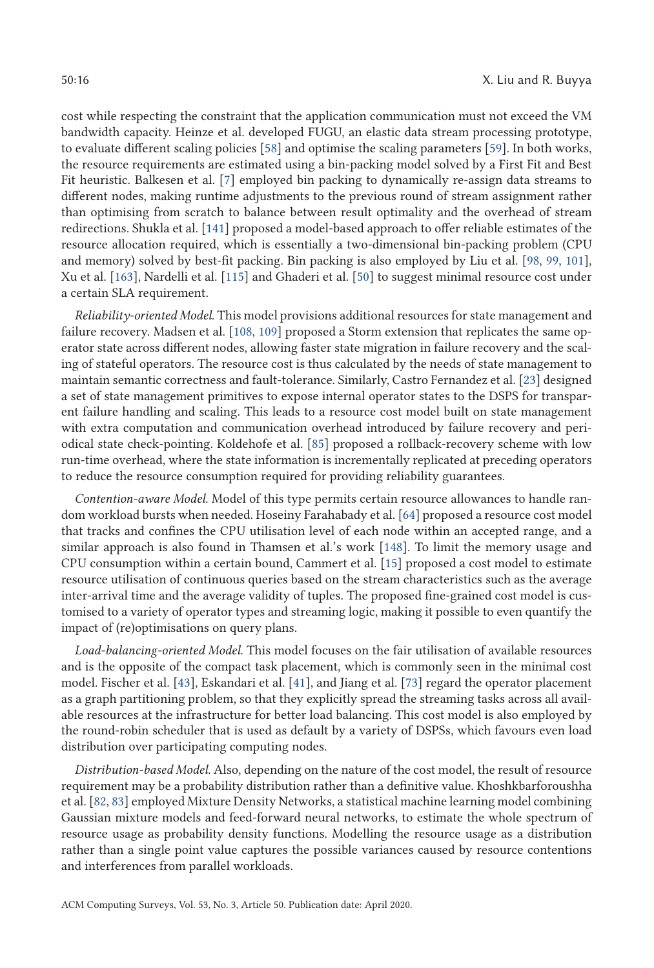cost while respecting the constraint that the application communication must not exceed the VM bandwidth capacity. Heinze et al. developed FUGU, an elastic data stream processing prototype, to evaluate different scaling policies [58] and optimise the scaling parameters [59]. In both works, the resource requirements are estimated using a bin-packing model solved by a First Fit and Best Fit heuristic. Balkesen et al. [7] employed bin packing to dynamically re-assign data streams to different nodes, making runtime adjustments to the previous round of stream assignment rather than optimising from scratch to balance between result optimality and the overhead of stream redirections. Shukla et al. [141] proposed a model-based approach to offer reliable estimates of the resource allocation required, which is essentially a two-dimensional bin-packing problem (CPU and memory) solved by best-fit packing. Bin packing is also employed by Liu et al. [98, 99, 101], Xu et al. [163], Nardelli et al. [115] and Ghaderi et al. [50] to suggest minimal resource cost under a certain SLA requirement.

*Reliability-oriented Model*. This model provisions additional resources for state management and failure recovery. Madsen et al. [108, 109] proposed a Storm extension that replicates the same operator state across different nodes, allowing faster state migration in failure recovery and the scaling of stateful operators. The resource cost is thus calculated by the needs of state management to maintain semantic correctness and fault-tolerance. Similarly, Castro Fernandez et al. [23] designed a set of state management primitives to expose internal operator states to the DSPS for transparent failure handling and scaling. This leads to a resource cost model built on state management with extra computation and communication overhead introduced by failure recovery and periodical state check-pointing. Koldehofe et al. [85] proposed a rollback-recovery scheme with low run-time overhead, where the state information is incrementally replicated at preceding operators to reduce the resource consumption required for providing reliability guarantees.

*Contention-aware Model*. Model of this type permits certain resource allowances to handle random workload bursts when needed. Hoseiny Farahabady et al. [64] proposed a resource cost model that tracks and confines the CPU utilisation level of each node within an accepted range, and a similar approach is also found in Thamsen et al.'s work [148]. To limit the memory usage and CPU consumption within a certain bound, Cammert et al. [15] proposed a cost model to estimate resource utilisation of continuous queries based on the stream characteristics such as the average inter-arrival time and the average validity of tuples. The proposed fine-grained cost model is customised to a variety of operator types and streaming logic, making it possible to even quantify the impact of (re)optimisations on query plans.

*Load-balancing-oriented Model*. This model focuses on the fair utilisation of available resources and is the opposite of the compact task placement, which is commonly seen in the minimal cost model. Fischer et al. [43], Eskandari et al. [41], and Jiang et al. [73] regard the operator placement as a graph partitioning problem, so that they explicitly spread the streaming tasks across all available resources at the infrastructure for better load balancing. This cost model is also employed by the round-robin scheduler that is used as default by a variety of DSPSs, which favours even load distribution over participating computing nodes.

*Distribution-based Model*. Also, depending on the nature of the cost model, the result of resource requirement may be a probability distribution rather than a definitive value. Khoshkbarforoushha et al. [82, 83] employed Mixture Density Networks, a statistical machine learning model combining Gaussian mixture models and feed-forward neural networks, to estimate the whole spectrum of resource usage as probability density functions. Modelling the resource usage as a distribution rather than a single point value captures the possible variances caused by resource contentions and interferences from parallel workloads.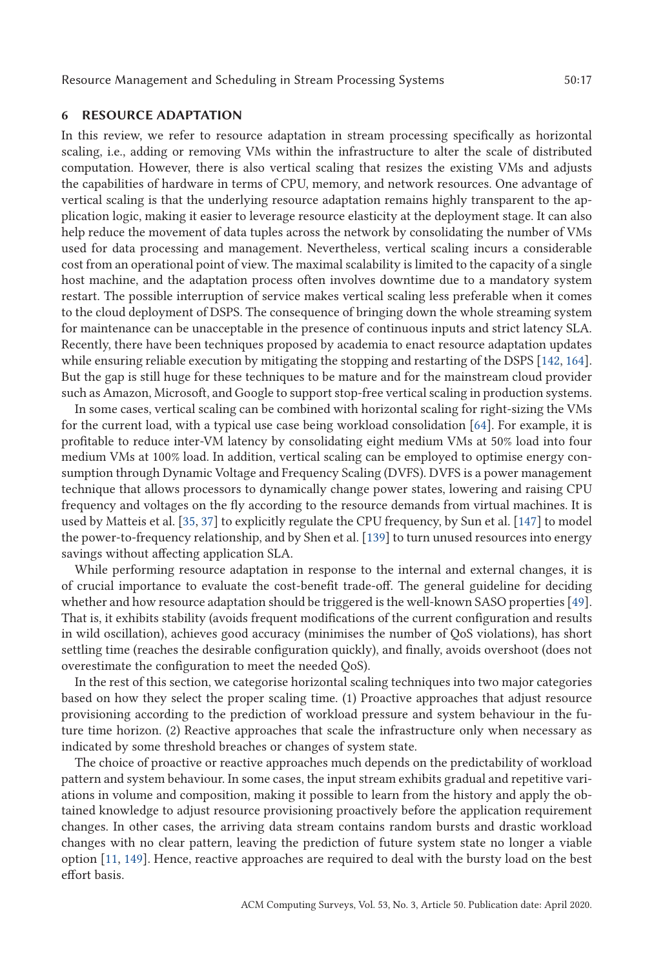### **6 RESOURCE ADAPTATION**

In this review, we refer to resource adaptation in stream processing specifically as horizontal scaling, i.e., adding or removing VMs within the infrastructure to alter the scale of distributed computation. However, there is also vertical scaling that resizes the existing VMs and adjusts the capabilities of hardware in terms of CPU, memory, and network resources. One advantage of vertical scaling is that the underlying resource adaptation remains highly transparent to the application logic, making it easier to leverage resource elasticity at the deployment stage. It can also help reduce the movement of data tuples across the network by consolidating the number of VMs used for data processing and management. Nevertheless, vertical scaling incurs a considerable cost from an operational point of view. The maximal scalability is limited to the capacity of a single host machine, and the adaptation process often involves downtime due to a mandatory system restart. The possible interruption of service makes vertical scaling less preferable when it comes to the cloud deployment of DSPS. The consequence of bringing down the whole streaming system for maintenance can be unacceptable in the presence of continuous inputs and strict latency SLA. Recently, there have been techniques proposed by academia to enact resource adaptation updates while ensuring reliable execution by mitigating the stopping and restarting of the DSPS [142, 164]. But the gap is still huge for these techniques to be mature and for the mainstream cloud provider such as Amazon, Microsoft, and Google to support stop-free vertical scaling in production systems.

In some cases, vertical scaling can be combined with horizontal scaling for right-sizing the VMs for the current load, with a typical use case being workload consolidation [64]. For example, it is profitable to reduce inter-VM latency by consolidating eight medium VMs at 50% load into four medium VMs at 100% load. In addition, vertical scaling can be employed to optimise energy consumption through Dynamic Voltage and Frequency Scaling (DVFS). DVFS is a power management technique that allows processors to dynamically change power states, lowering and raising CPU frequency and voltages on the fly according to the resource demands from virtual machines. It is used by Matteis et al. [35, 37] to explicitly regulate the CPU frequency, by Sun et al. [147] to model the power-to-frequency relationship, and by Shen et al. [139] to turn unused resources into energy savings without affecting application SLA.

While performing resource adaptation in response to the internal and external changes, it is of crucial importance to evaluate the cost-benefit trade-off. The general guideline for deciding whether and how resource adaptation should be triggered is the well-known SASO properties [49]. That is, it exhibits stability (avoids frequent modifications of the current configuration and results in wild oscillation), achieves good accuracy (minimises the number of QoS violations), has short settling time (reaches the desirable configuration quickly), and finally, avoids overshoot (does not overestimate the configuration to meet the needed QoS).

In the rest of this section, we categorise horizontal scaling techniques into two major categories based on how they select the proper scaling time. (1) Proactive approaches that adjust resource provisioning according to the prediction of workload pressure and system behaviour in the future time horizon. (2) Reactive approaches that scale the infrastructure only when necessary as indicated by some threshold breaches or changes of system state.

The choice of proactive or reactive approaches much depends on the predictability of workload pattern and system behaviour. In some cases, the input stream exhibits gradual and repetitive variations in volume and composition, making it possible to learn from the history and apply the obtained knowledge to adjust resource provisioning proactively before the application requirement changes. In other cases, the arriving data stream contains random bursts and drastic workload changes with no clear pattern, leaving the prediction of future system state no longer a viable option [11, 149]. Hence, reactive approaches are required to deal with the bursty load on the best effort basis.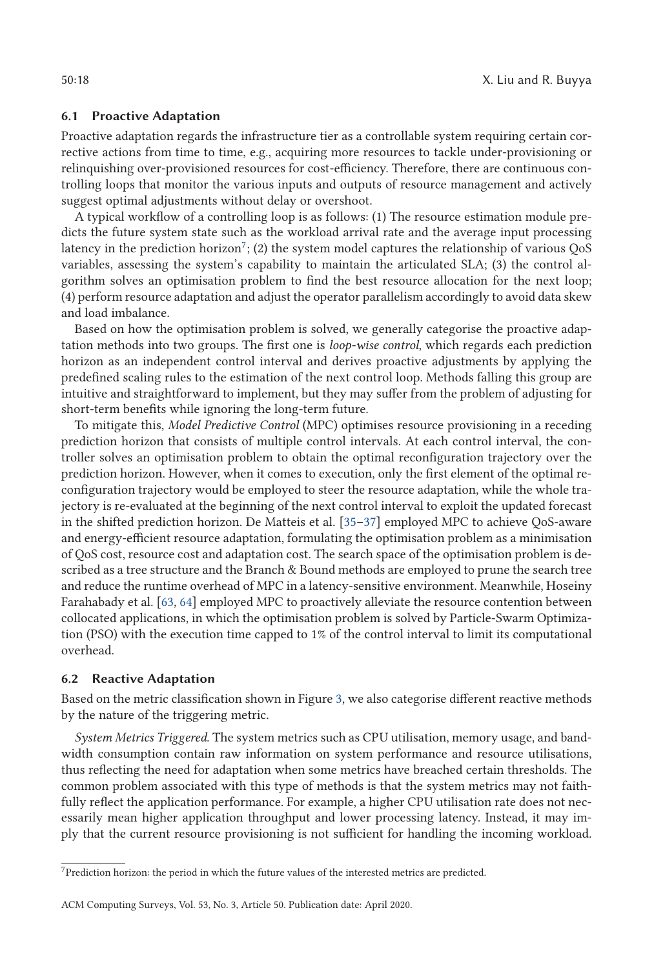### **6.1 Proactive Adaptation**

Proactive adaptation regards the infrastructure tier as a controllable system requiring certain corrective actions from time to time, e.g., acquiring more resources to tackle under-provisioning or relinquishing over-provisioned resources for cost-efficiency. Therefore, there are continuous controlling loops that monitor the various inputs and outputs of resource management and actively suggest optimal adjustments without delay or overshoot.

A typical workflow of a controlling loop is as follows: (1) The resource estimation module predicts the future system state such as the workload arrival rate and the average input processing latency in the prediction horizon<sup>7</sup>; (2) the system model captures the relationship of various QoS variables, assessing the system's capability to maintain the articulated SLA; (3) the control algorithm solves an optimisation problem to find the best resource allocation for the next loop; (4) perform resource adaptation and adjust the operator parallelism accordingly to avoid data skew and load imbalance.

Based on how the optimisation problem is solved, we generally categorise the proactive adaptation methods into two groups. The first one is *loop-wise control*, which regards each prediction horizon as an independent control interval and derives proactive adjustments by applying the predefined scaling rules to the estimation of the next control loop. Methods falling this group are intuitive and straightforward to implement, but they may suffer from the problem of adjusting for short-term benefits while ignoring the long-term future.

To mitigate this, *Model Predictive Control* (MPC) optimises resource provisioning in a receding prediction horizon that consists of multiple control intervals. At each control interval, the controller solves an optimisation problem to obtain the optimal reconfiguration trajectory over the prediction horizon. However, when it comes to execution, only the first element of the optimal reconfiguration trajectory would be employed to steer the resource adaptation, while the whole trajectory is re-evaluated at the beginning of the next control interval to exploit the updated forecast in the shifted prediction horizon. De Matteis et al. [35–37] employed MPC to achieve QoS-aware and energy-efficient resource adaptation, formulating the optimisation problem as a minimisation of QoS cost, resource cost and adaptation cost. The search space of the optimisation problem is described as a tree structure and the Branch & Bound methods are employed to prune the search tree and reduce the runtime overhead of MPC in a latency-sensitive environment. Meanwhile, Hoseiny Farahabady et al. [63, 64] employed MPC to proactively alleviate the resource contention between collocated applications, in which the optimisation problem is solved by Particle-Swarm Optimization (PSO) with the execution time capped to 1% of the control interval to limit its computational overhead.

### **6.2 Reactive Adaptation**

Based on the metric classification shown in Figure 3, we also categorise different reactive methods by the nature of the triggering metric.

*System Metrics Triggered*. The system metrics such as CPU utilisation, memory usage, and bandwidth consumption contain raw information on system performance and resource utilisations, thus reflecting the need for adaptation when some metrics have breached certain thresholds. The common problem associated with this type of methods is that the system metrics may not faithfully reflect the application performance. For example, a higher CPU utilisation rate does not necessarily mean higher application throughput and lower processing latency. Instead, it may imply that the current resource provisioning is not sufficient for handling the incoming workload.

 ${\rm ^7Prediction}$  horizon: the period in which the future values of the interested metrics are predicted.

ACM Computing Surveys, Vol. 53, No. 3, Article 50. Publication date: April 2020.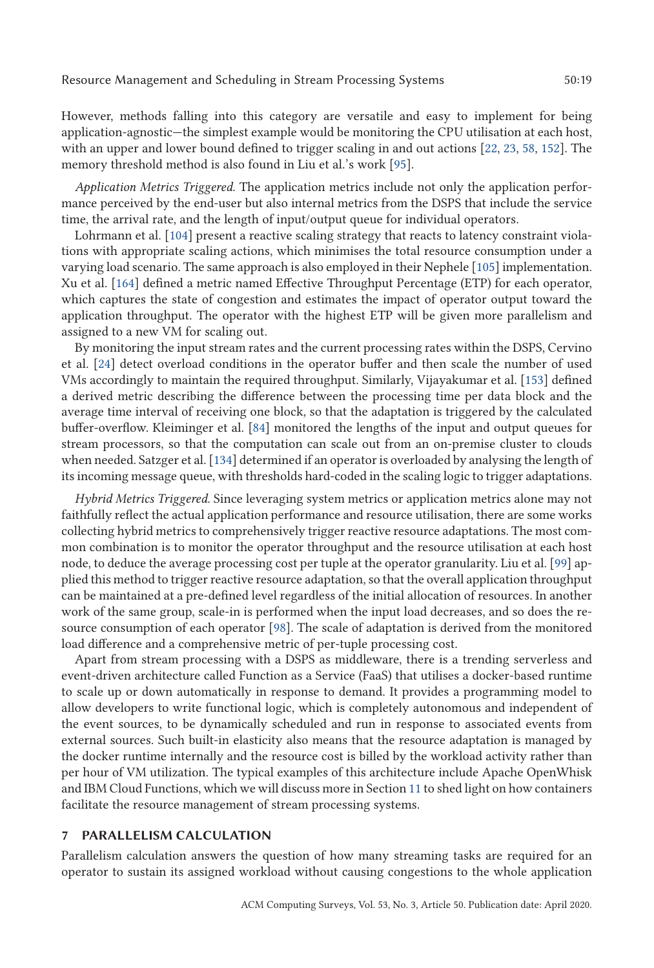However, methods falling into this category are versatile and easy to implement for being application-agnostic—the simplest example would be monitoring the CPU utilisation at each host, with an upper and lower bound defined to trigger scaling in and out actions [22, 23, 58, 152]. The memory threshold method is also found in Liu et al.'s work [95].

*Application Metrics Triggered*. The application metrics include not only the application performance perceived by the end-user but also internal metrics from the DSPS that include the service time, the arrival rate, and the length of input/output queue for individual operators.

Lohrmann et al. [104] present a reactive scaling strategy that reacts to latency constraint violations with appropriate scaling actions, which minimises the total resource consumption under a varying load scenario. The same approach is also employed in their Nephele [105] implementation. Xu et al. [164] defined a metric named Effective Throughput Percentage (ETP) for each operator, which captures the state of congestion and estimates the impact of operator output toward the application throughput. The operator with the highest ETP will be given more parallelism and assigned to a new VM for scaling out.

By monitoring the input stream rates and the current processing rates within the DSPS, Cervino et al. [24] detect overload conditions in the operator buffer and then scale the number of used VMs accordingly to maintain the required throughput. Similarly, Vijayakumar et al. [153] defined a derived metric describing the difference between the processing time per data block and the average time interval of receiving one block, so that the adaptation is triggered by the calculated buffer-overflow. Kleiminger et al. [84] monitored the lengths of the input and output queues for stream processors, so that the computation can scale out from an on-premise cluster to clouds when needed. Satzger et al. [134] determined if an operator is overloaded by analysing the length of its incoming message queue, with thresholds hard-coded in the scaling logic to trigger adaptations.

*Hybrid Metrics Triggered*. Since leveraging system metrics or application metrics alone may not faithfully reflect the actual application performance and resource utilisation, there are some works collecting hybrid metrics to comprehensively trigger reactive resource adaptations. The most common combination is to monitor the operator throughput and the resource utilisation at each host node, to deduce the average processing cost per tuple at the operator granularity. Liu et al. [99] applied this method to trigger reactive resource adaptation, so that the overall application throughput can be maintained at a pre-defined level regardless of the initial allocation of resources. In another work of the same group, scale-in is performed when the input load decreases, and so does the resource consumption of each operator [98]. The scale of adaptation is derived from the monitored load difference and a comprehensive metric of per-tuple processing cost.

Apart from stream processing with a DSPS as middleware, there is a trending serverless and event-driven architecture called Function as a Service (FaaS) that utilises a docker-based runtime to scale up or down automatically in response to demand. It provides a programming model to allow developers to write functional logic, which is completely autonomous and independent of the event sources, to be dynamically scheduled and run in response to associated events from external sources. Such built-in elasticity also means that the resource adaptation is managed by the docker runtime internally and the resource cost is billed by the workload activity rather than per hour of VM utilization. The typical examples of this architecture include Apache OpenWhisk and IBM Cloud Functions, which we will discuss more in Section 11 to shed light on how containers facilitate the resource management of stream processing systems.

#### **7 PARALLELISM CALCULATION**

Parallelism calculation answers the question of how many streaming tasks are required for an operator to sustain its assigned workload without causing congestions to the whole application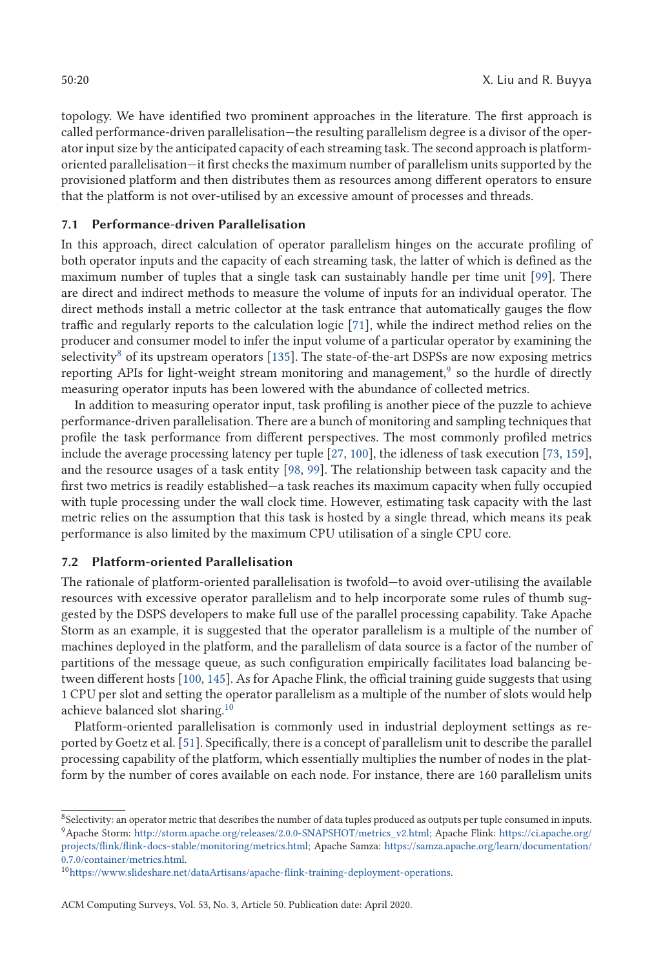topology. We have identified two prominent approaches in the literature. The first approach is called performance-driven parallelisation—the resulting parallelism degree is a divisor of the operator input size by the anticipated capacity of each streaming task. The second approach is platformoriented parallelisation—it first checks the maximum number of parallelism units supported by the provisioned platform and then distributes them as resources among different operators to ensure that the platform is not over-utilised by an excessive amount of processes and threads.

# **7.1 Performance-driven Parallelisation**

In this approach, direct calculation of operator parallelism hinges on the accurate profiling of both operator inputs and the capacity of each streaming task, the latter of which is defined as the maximum number of tuples that a single task can sustainably handle per time unit [99]. There are direct and indirect methods to measure the volume of inputs for an individual operator. The direct methods install a metric collector at the task entrance that automatically gauges the flow traffic and regularly reports to the calculation logic [71], while the indirect method relies on the producer and consumer model to infer the input volume of a particular operator by examining the selectivity<sup>8</sup> of its upstream operators [135]. The state-of-the-art DSPSs are now exposing metrics reporting APIs for light-weight stream monitoring and management, $\frac{9}{5}$  so the hurdle of directly measuring operator inputs has been lowered with the abundance of collected metrics.

In addition to measuring operator input, task profiling is another piece of the puzzle to achieve performance-driven parallelisation. There are a bunch of monitoring and sampling techniques that profile the task performance from different perspectives. The most commonly profiled metrics include the average processing latency per tuple [27, 100], the idleness of task execution [73, 159], and the resource usages of a task entity [98, 99]. The relationship between task capacity and the first two metrics is readily established—a task reaches its maximum capacity when fully occupied with tuple processing under the wall clock time. However, estimating task capacity with the last metric relies on the assumption that this task is hosted by a single thread, which means its peak performance is also limited by the maximum CPU utilisation of a single CPU core.

# **7.2 Platform-oriented Parallelisation**

The rationale of platform-oriented parallelisation is twofold—to avoid over-utilising the available resources with excessive operator parallelism and to help incorporate some rules of thumb suggested by the DSPS developers to make full use of the parallel processing capability. Take Apache Storm as an example, it is suggested that the operator parallelism is a multiple of the number of machines deployed in the platform, and the parallelism of data source is a factor of the number of partitions of the message queue, as such configuration empirically facilitates load balancing between different hosts [100, 145]. As for Apache Flink, the official training guide suggests that using 1 CPU per slot and setting the operator parallelism as a multiple of the number of slots would help achieve balanced slot sharing.10

Platform-oriented parallelisation is commonly used in industrial deployment settings as reported by Goetz et al. [51]. Specifically, there is a concept of parallelism unit to describe the parallel processing capability of the platform, which essentially multiplies the number of nodes in the platform by the number of cores available on each node. For instance, there are 160 parallelism units

<sup>&</sup>lt;sup>8</sup>Selectivity: an operator metric that describes the number of data tuples produced as outputs per tuple consumed in inputs. 9Apache Storm: [http://storm.apache.org/releases/2.0.0-SNAPSHOT/metrics\\_v2.html;](http://storm.apache.org/releases/2.0.0-SNAPSHOT/metrics_v2.html;) Apache Flink: [https://ci.apache.org/](https://ci.apache.org/projects/flink/flink-docs-stable/monitoring/metrics.html;) [projects/flink/flink-docs-stable/monitoring/metrics.html;](https://ci.apache.org/projects/flink/flink-docs-stable/monitoring/metrics.html;) Apache Samza: [https://samza.apache.org/learn/documentation/](https://samza.apache.org/learn/documentation/0.7.0/container/metrics.html) [0.7.0/container/metrics.html.](https://samza.apache.org/learn/documentation/0.7.0/container/metrics.html)

<sup>1</sup>[0https://www.slideshare.net/dataArtisans/apache-flink-training-deployment-operations.](https://www.slideshare.net/dataArtisans/apache-flink-training-deployment-operations)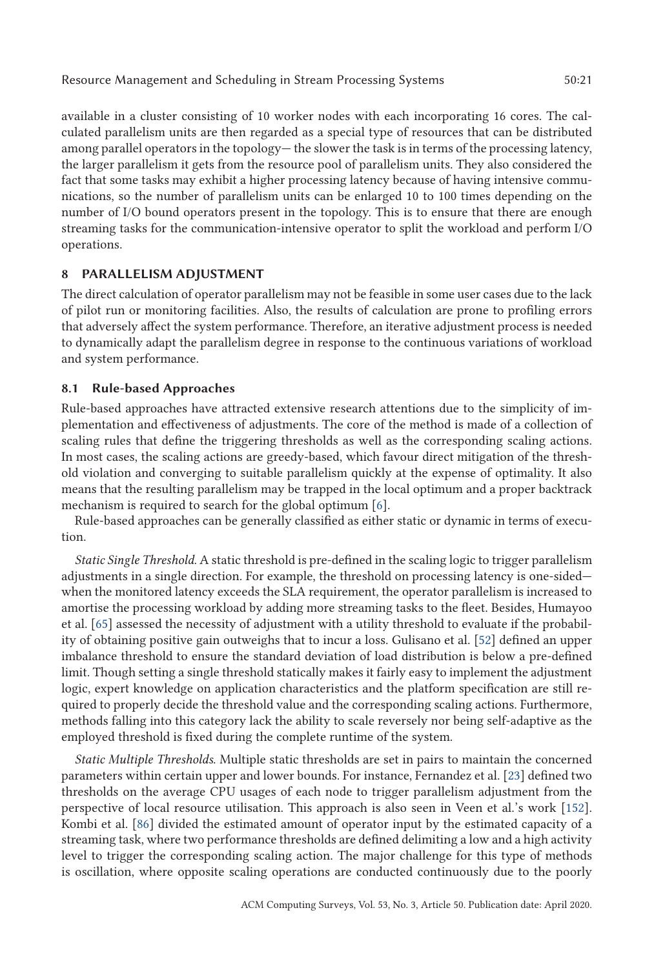Resource Management and Scheduling in Stream Processing Systems 50:21

available in a cluster consisting of 10 worker nodes with each incorporating 16 cores. The calculated parallelism units are then regarded as a special type of resources that can be distributed among parallel operators in the topology— the slower the task is in terms of the processing latency, the larger parallelism it gets from the resource pool of parallelism units. They also considered the fact that some tasks may exhibit a higher processing latency because of having intensive communications, so the number of parallelism units can be enlarged 10 to 100 times depending on the number of I/O bound operators present in the topology. This is to ensure that there are enough streaming tasks for the communication-intensive operator to split the workload and perform I/O operations.

# **8 PARALLELISM ADJUSTMENT**

The direct calculation of operator parallelism may not be feasible in some user cases due to the lack of pilot run or monitoring facilities. Also, the results of calculation are prone to profiling errors that adversely affect the system performance. Therefore, an iterative adjustment process is needed to dynamically adapt the parallelism degree in response to the continuous variations of workload and system performance.

# **8.1 Rule-based Approaches**

Rule-based approaches have attracted extensive research attentions due to the simplicity of implementation and effectiveness of adjustments. The core of the method is made of a collection of scaling rules that define the triggering thresholds as well as the corresponding scaling actions. In most cases, the scaling actions are greedy-based, which favour direct mitigation of the threshold violation and converging to suitable parallelism quickly at the expense of optimality. It also means that the resulting parallelism may be trapped in the local optimum and a proper backtrack mechanism is required to search for the global optimum [6].

Rule-based approaches can be generally classified as either static or dynamic in terms of execution.

*Static Single Threshold*. A static threshold is pre-defined in the scaling logic to trigger parallelism adjustments in a single direction. For example, the threshold on processing latency is one-sided when the monitored latency exceeds the SLA requirement, the operator parallelism is increased to amortise the processing workload by adding more streaming tasks to the fleet. Besides, Humayoo et al. [65] assessed the necessity of adjustment with a utility threshold to evaluate if the probability of obtaining positive gain outweighs that to incur a loss. Gulisano et al. [52] defined an upper imbalance threshold to ensure the standard deviation of load distribution is below a pre-defined limit. Though setting a single threshold statically makes it fairly easy to implement the adjustment logic, expert knowledge on application characteristics and the platform specification are still required to properly decide the threshold value and the corresponding scaling actions. Furthermore, methods falling into this category lack the ability to scale reversely nor being self-adaptive as the employed threshold is fixed during the complete runtime of the system.

*Static Multiple Thresholds*. Multiple static thresholds are set in pairs to maintain the concerned parameters within certain upper and lower bounds. For instance, Fernandez et al. [23] defined two thresholds on the average CPU usages of each node to trigger parallelism adjustment from the perspective of local resource utilisation. This approach is also seen in Veen et al.'s work [152]. Kombi et al. [86] divided the estimated amount of operator input by the estimated capacity of a streaming task, where two performance thresholds are defined delimiting a low and a high activity level to trigger the corresponding scaling action. The major challenge for this type of methods is oscillation, where opposite scaling operations are conducted continuously due to the poorly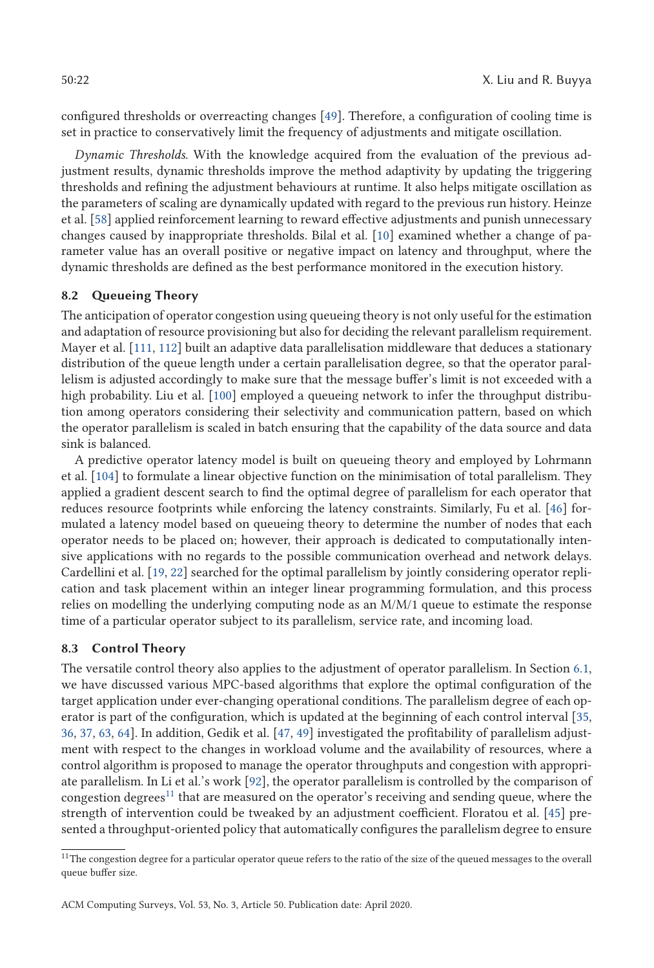configured thresholds or overreacting changes [49]. Therefore, a configuration of cooling time is set in practice to conservatively limit the frequency of adjustments and mitigate oscillation.

*Dynamic Thresholds*. With the knowledge acquired from the evaluation of the previous adjustment results, dynamic thresholds improve the method adaptivity by updating the triggering thresholds and refining the adjustment behaviours at runtime. It also helps mitigate oscillation as the parameters of scaling are dynamically updated with regard to the previous run history. Heinze et al. [58] applied reinforcement learning to reward effective adjustments and punish unnecessary changes caused by inappropriate thresholds. Bilal et al. [10] examined whether a change of parameter value has an overall positive or negative impact on latency and throughput, where the dynamic thresholds are defined as the best performance monitored in the execution history.

# **8.2 Queueing Theory**

The anticipation of operator congestion using queueing theory is not only useful for the estimation and adaptation of resource provisioning but also for deciding the relevant parallelism requirement. Mayer et al. [111, 112] built an adaptive data parallelisation middleware that deduces a stationary distribution of the queue length under a certain parallelisation degree, so that the operator parallelism is adjusted accordingly to make sure that the message buffer's limit is not exceeded with a high probability. Liu et al. [100] employed a queueing network to infer the throughput distribution among operators considering their selectivity and communication pattern, based on which the operator parallelism is scaled in batch ensuring that the capability of the data source and data sink is balanced.

A predictive operator latency model is built on queueing theory and employed by Lohrmann et al. [104] to formulate a linear objective function on the minimisation of total parallelism. They applied a gradient descent search to find the optimal degree of parallelism for each operator that reduces resource footprints while enforcing the latency constraints. Similarly, Fu et al. [46] formulated a latency model based on queueing theory to determine the number of nodes that each operator needs to be placed on; however, their approach is dedicated to computationally intensive applications with no regards to the possible communication overhead and network delays. Cardellini et al. [19, 22] searched for the optimal parallelism by jointly considering operator replication and task placement within an integer linear programming formulation, and this process relies on modelling the underlying computing node as an M/M/1 queue to estimate the response time of a particular operator subject to its parallelism, service rate, and incoming load.

### **8.3 Control Theory**

The versatile control theory also applies to the adjustment of operator parallelism. In Section 6.1, we have discussed various MPC-based algorithms that explore the optimal configuration of the target application under ever-changing operational conditions. The parallelism degree of each operator is part of the configuration, which is updated at the beginning of each control interval [35, 36, 37, 63, 64]. In addition, Gedik et al. [47, 49] investigated the profitability of parallelism adjustment with respect to the changes in workload volume and the availability of resources, where a control algorithm is proposed to manage the operator throughputs and congestion with appropriate parallelism. In Li et al.'s work [92], the operator parallelism is controlled by the comparison of congestion degrees $^{11}$  that are measured on the operator's receiving and sending queue, where the strength of intervention could be tweaked by an adjustment coefficient. Floratou et al. [45] presented a throughput-oriented policy that automatically configures the parallelism degree to ensure

 $^{11}\rm{The}$  congestion degree for a particular operator queue refers to the ratio of the size of the queued messages to the overall queue buffer size.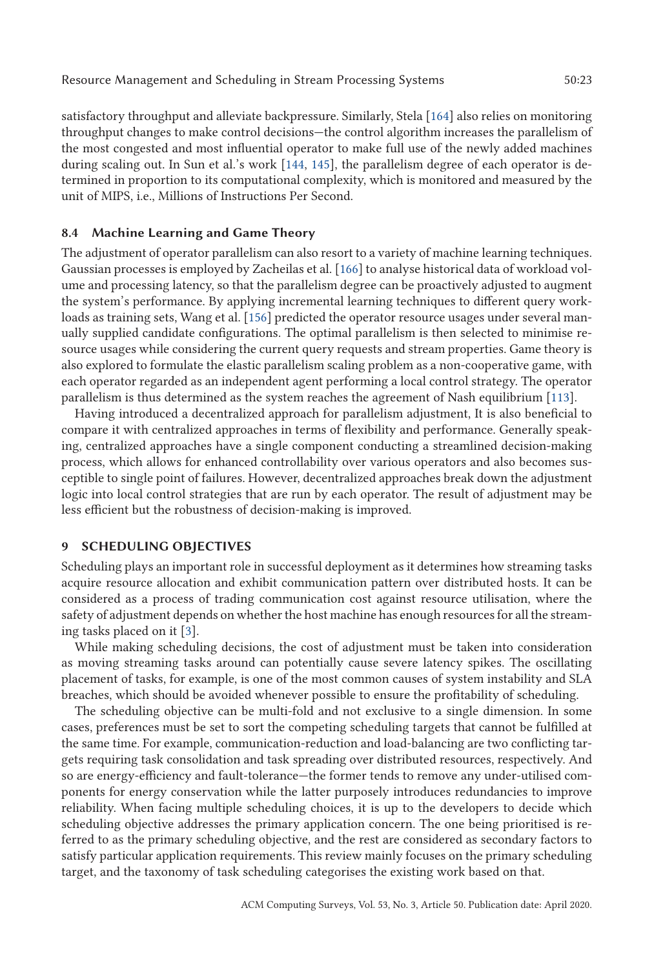satisfactory throughput and alleviate backpressure. Similarly, Stela [164] also relies on monitoring throughput changes to make control decisions—the control algorithm increases the parallelism of the most congested and most influential operator to make full use of the newly added machines during scaling out. In Sun et al.'s work [144, 145], the parallelism degree of each operator is determined in proportion to its computational complexity, which is monitored and measured by the unit of MIPS, i.e., Millions of Instructions Per Second.

# **8.4 Machine Learning and Game Theory**

The adjustment of operator parallelism can also resort to a variety of machine learning techniques. Gaussian processes is employed by Zacheilas et al. [166] to analyse historical data of workload volume and processing latency, so that the parallelism degree can be proactively adjusted to augment the system's performance. By applying incremental learning techniques to different query workloads as training sets, Wang et al. [156] predicted the operator resource usages under several manually supplied candidate configurations. The optimal parallelism is then selected to minimise resource usages while considering the current query requests and stream properties. Game theory is also explored to formulate the elastic parallelism scaling problem as a non-cooperative game, with each operator regarded as an independent agent performing a local control strategy. The operator parallelism is thus determined as the system reaches the agreement of Nash equilibrium [113].

Having introduced a decentralized approach for parallelism adjustment, It is also beneficial to compare it with centralized approaches in terms of flexibility and performance. Generally speaking, centralized approaches have a single component conducting a streamlined decision-making process, which allows for enhanced controllability over various operators and also becomes susceptible to single point of failures. However, decentralized approaches break down the adjustment logic into local control strategies that are run by each operator. The result of adjustment may be less efficient but the robustness of decision-making is improved.

### **9 SCHEDULING OBJECTIVES**

Scheduling plays an important role in successful deployment as it determines how streaming tasks acquire resource allocation and exhibit communication pattern over distributed hosts. It can be considered as a process of trading communication cost against resource utilisation, where the safety of adjustment depends on whether the host machine has enough resources for all the streaming tasks placed on it [3].

While making scheduling decisions, the cost of adjustment must be taken into consideration as moving streaming tasks around can potentially cause severe latency spikes. The oscillating placement of tasks, for example, is one of the most common causes of system instability and SLA breaches, which should be avoided whenever possible to ensure the profitability of scheduling.

The scheduling objective can be multi-fold and not exclusive to a single dimension. In some cases, preferences must be set to sort the competing scheduling targets that cannot be fulfilled at the same time. For example, communication-reduction and load-balancing are two conflicting targets requiring task consolidation and task spreading over distributed resources, respectively. And so are energy-efficiency and fault-tolerance—the former tends to remove any under-utilised components for energy conservation while the latter purposely introduces redundancies to improve reliability. When facing multiple scheduling choices, it is up to the developers to decide which scheduling objective addresses the primary application concern. The one being prioritised is referred to as the primary scheduling objective, and the rest are considered as secondary factors to satisfy particular application requirements. This review mainly focuses on the primary scheduling target, and the taxonomy of task scheduling categorises the existing work based on that.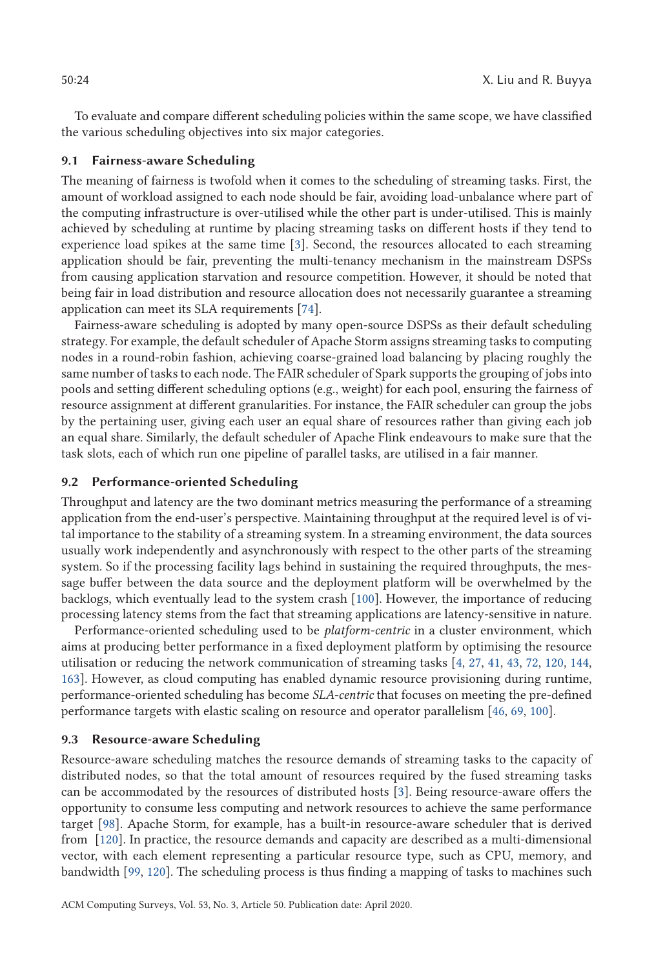To evaluate and compare different scheduling policies within the same scope, we have classified the various scheduling objectives into six major categories.

#### **9.1 Fairness-aware Scheduling**

The meaning of fairness is twofold when it comes to the scheduling of streaming tasks. First, the amount of workload assigned to each node should be fair, avoiding load-unbalance where part of the computing infrastructure is over-utilised while the other part is under-utilised. This is mainly achieved by scheduling at runtime by placing streaming tasks on different hosts if they tend to experience load spikes at the same time [3]. Second, the resources allocated to each streaming application should be fair, preventing the multi-tenancy mechanism in the mainstream DSPSs from causing application starvation and resource competition. However, it should be noted that being fair in load distribution and resource allocation does not necessarily guarantee a streaming application can meet its SLA requirements [74].

Fairness-aware scheduling is adopted by many open-source DSPSs as their default scheduling strategy. For example, the default scheduler of Apache Storm assigns streaming tasks to computing nodes in a round-robin fashion, achieving coarse-grained load balancing by placing roughly the same number of tasks to each node. The FAIR scheduler of Spark supports the grouping of jobs into pools and setting different scheduling options (e.g., weight) for each pool, ensuring the fairness of resource assignment at different granularities. For instance, the FAIR scheduler can group the jobs by the pertaining user, giving each user an equal share of resources rather than giving each job an equal share. Similarly, the default scheduler of Apache Flink endeavours to make sure that the task slots, each of which run one pipeline of parallel tasks, are utilised in a fair manner.

### **9.2 Performance-oriented Scheduling**

Throughput and latency are the two dominant metrics measuring the performance of a streaming application from the end-user's perspective. Maintaining throughput at the required level is of vital importance to the stability of a streaming system. In a streaming environment, the data sources usually work independently and asynchronously with respect to the other parts of the streaming system. So if the processing facility lags behind in sustaining the required throughputs, the message buffer between the data source and the deployment platform will be overwhelmed by the backlogs, which eventually lead to the system crash [100]. However, the importance of reducing processing latency stems from the fact that streaming applications are latency-sensitive in nature.

Performance-oriented scheduling used to be *platform-centric* in a cluster environment, which aims at producing better performance in a fixed deployment platform by optimising the resource utilisation or reducing the network communication of streaming tasks [4, 27, 41, 43, 72, 120, 144, 163]. However, as cloud computing has enabled dynamic resource provisioning during runtime, performance-oriented scheduling has become *SLA-centric* that focuses on meeting the pre-defined performance targets with elastic scaling on resource and operator parallelism [46, 69, 100].

#### **9.3 Resource-aware Scheduling**

Resource-aware scheduling matches the resource demands of streaming tasks to the capacity of distributed nodes, so that the total amount of resources required by the fused streaming tasks can be accommodated by the resources of distributed hosts [3]. Being resource-aware offers the opportunity to consume less computing and network resources to achieve the same performance target [98]. Apache Storm, for example, has a built-in resource-aware scheduler that is derived from [120]. In practice, the resource demands and capacity are described as a multi-dimensional vector, with each element representing a particular resource type, such as CPU, memory, and bandwidth [99, 120]. The scheduling process is thus finding a mapping of tasks to machines such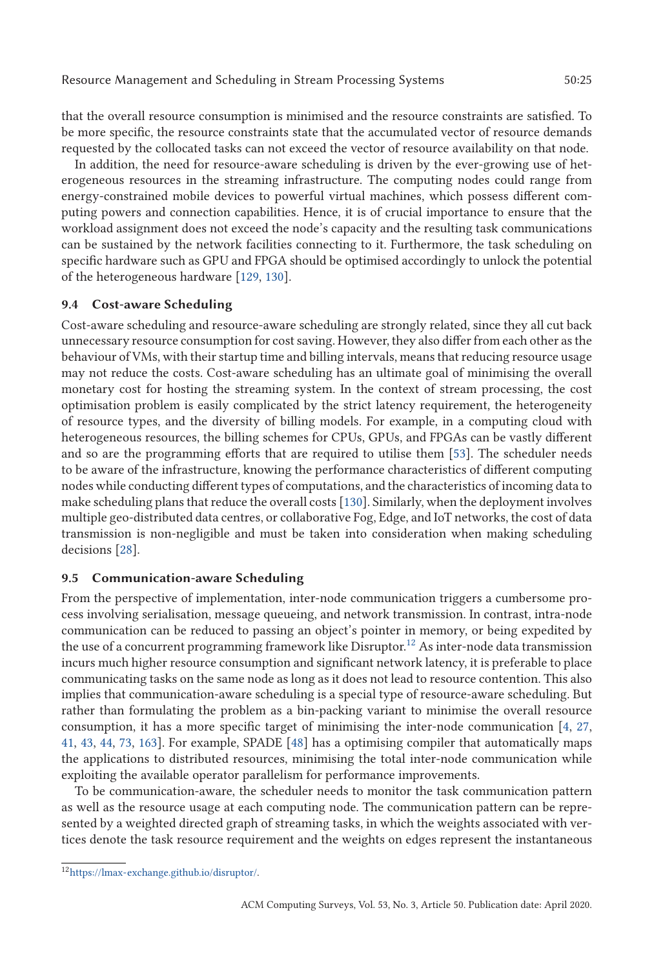that the overall resource consumption is minimised and the resource constraints are satisfied. To be more specific, the resource constraints state that the accumulated vector of resource demands requested by the collocated tasks can not exceed the vector of resource availability on that node.

In addition, the need for resource-aware scheduling is driven by the ever-growing use of heterogeneous resources in the streaming infrastructure. The computing nodes could range from energy-constrained mobile devices to powerful virtual machines, which possess different computing powers and connection capabilities. Hence, it is of crucial importance to ensure that the workload assignment does not exceed the node's capacity and the resulting task communications can be sustained by the network facilities connecting to it. Furthermore, the task scheduling on specific hardware such as GPU and FPGA should be optimised accordingly to unlock the potential of the heterogeneous hardware [129, 130].

# **9.4 Cost-aware Scheduling**

Cost-aware scheduling and resource-aware scheduling are strongly related, since they all cut back unnecessary resource consumption for cost saving. However, they also differ from each other as the behaviour of VMs, with their startup time and billing intervals, means that reducing resource usage may not reduce the costs. Cost-aware scheduling has an ultimate goal of minimising the overall monetary cost for hosting the streaming system. In the context of stream processing, the cost optimisation problem is easily complicated by the strict latency requirement, the heterogeneity of resource types, and the diversity of billing models. For example, in a computing cloud with heterogeneous resources, the billing schemes for CPUs, GPUs, and FPGAs can be vastly different and so are the programming efforts that are required to utilise them [53]. The scheduler needs to be aware of the infrastructure, knowing the performance characteristics of different computing nodes while conducting different types of computations, and the characteristics of incoming data to make scheduling plans that reduce the overall costs [130]. Similarly, when the deployment involves multiple geo-distributed data centres, or collaborative Fog, Edge, and IoT networks, the cost of data transmission is non-negligible and must be taken into consideration when making scheduling decisions [28].

### **9.5 Communication-aware Scheduling**

From the perspective of implementation, inter-node communication triggers a cumbersome process involving serialisation, message queueing, and network transmission. In contrast, intra-node communication can be reduced to passing an object's pointer in memory, or being expedited by the use of a concurrent programming framework like Disruptor.<sup>12</sup> As inter-node data transmission incurs much higher resource consumption and significant network latency, it is preferable to place communicating tasks on the same node as long as it does not lead to resource contention. This also implies that communication-aware scheduling is a special type of resource-aware scheduling. But rather than formulating the problem as a bin-packing variant to minimise the overall resource consumption, it has a more specific target of minimising the inter-node communication [4, 27, 41, 43, 44, 73, 163]. For example, SPADE [48] has a optimising compiler that automatically maps the applications to distributed resources, minimising the total inter-node communication while exploiting the available operator parallelism for performance improvements.

To be communication-aware, the scheduler needs to monitor the task communication pattern as well as the resource usage at each computing node. The communication pattern can be represented by a weighted directed graph of streaming tasks, in which the weights associated with vertices denote the task resource requirement and the weights on edges represent the instantaneous

<sup>1</sup>[2https://lmax-exchange.github.io/disruptor/.](https://lmax-exchange.github.io/disruptor/)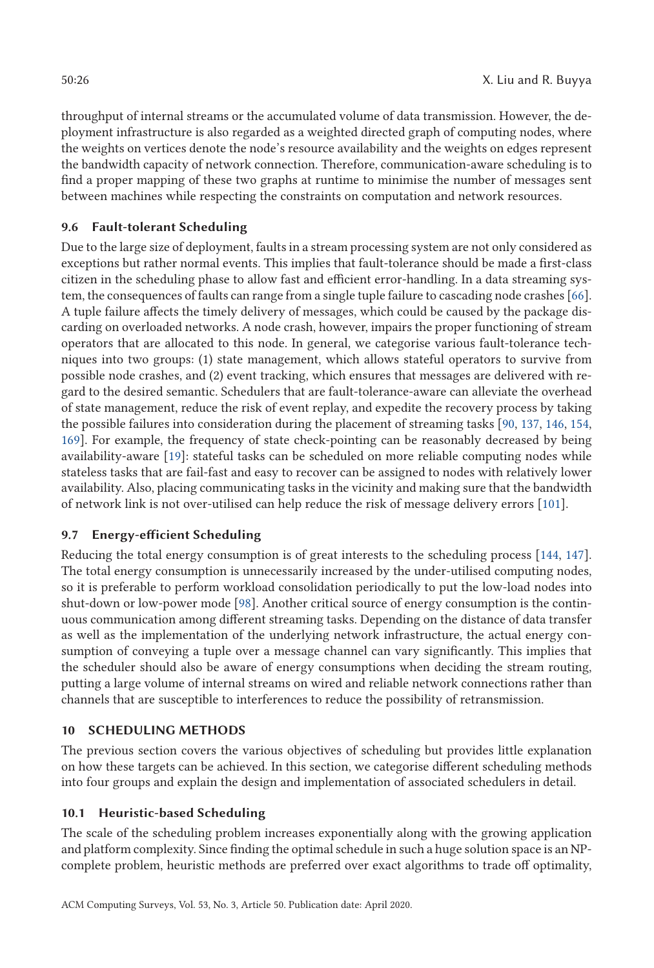throughput of internal streams or the accumulated volume of data transmission. However, the deployment infrastructure is also regarded as a weighted directed graph of computing nodes, where the weights on vertices denote the node's resource availability and the weights on edges represent the bandwidth capacity of network connection. Therefore, communication-aware scheduling is to find a proper mapping of these two graphs at runtime to minimise the number of messages sent between machines while respecting the constraints on computation and network resources.

# **9.6 Fault-tolerant Scheduling**

Due to the large size of deployment, faults in a stream processing system are not only considered as exceptions but rather normal events. This implies that fault-tolerance should be made a first-class citizen in the scheduling phase to allow fast and efficient error-handling. In a data streaming system, the consequences of faults can range from a single tuple failure to cascading node crashes [66]. A tuple failure affects the timely delivery of messages, which could be caused by the package discarding on overloaded networks. A node crash, however, impairs the proper functioning of stream operators that are allocated to this node. In general, we categorise various fault-tolerance techniques into two groups: (1) state management, which allows stateful operators to survive from possible node crashes, and (2) event tracking, which ensures that messages are delivered with regard to the desired semantic. Schedulers that are fault-tolerance-aware can alleviate the overhead of state management, reduce the risk of event replay, and expedite the recovery process by taking the possible failures into consideration during the placement of streaming tasks [90, 137, 146, 154, 169]. For example, the frequency of state check-pointing can be reasonably decreased by being availability-aware [19]: stateful tasks can be scheduled on more reliable computing nodes while stateless tasks that are fail-fast and easy to recover can be assigned to nodes with relatively lower availability. Also, placing communicating tasks in the vicinity and making sure that the bandwidth of network link is not over-utilised can help reduce the risk of message delivery errors [101].

# **9.7 Energy-efficient Scheduling**

Reducing the total energy consumption is of great interests to the scheduling process [144, 147]. The total energy consumption is unnecessarily increased by the under-utilised computing nodes, so it is preferable to perform workload consolidation periodically to put the low-load nodes into shut-down or low-power mode [98]. Another critical source of energy consumption is the continuous communication among different streaming tasks. Depending on the distance of data transfer as well as the implementation of the underlying network infrastructure, the actual energy consumption of conveying a tuple over a message channel can vary significantly. This implies that the scheduler should also be aware of energy consumptions when deciding the stream routing, putting a large volume of internal streams on wired and reliable network connections rather than channels that are susceptible to interferences to reduce the possibility of retransmission.

# **10 SCHEDULING METHODS**

The previous section covers the various objectives of scheduling but provides little explanation on how these targets can be achieved. In this section, we categorise different scheduling methods into four groups and explain the design and implementation of associated schedulers in detail.

# **10.1 Heuristic-based Scheduling**

The scale of the scheduling problem increases exponentially along with the growing application and platform complexity. Since finding the optimal schedule in such a huge solution space is an NPcomplete problem, heuristic methods are preferred over exact algorithms to trade off optimality,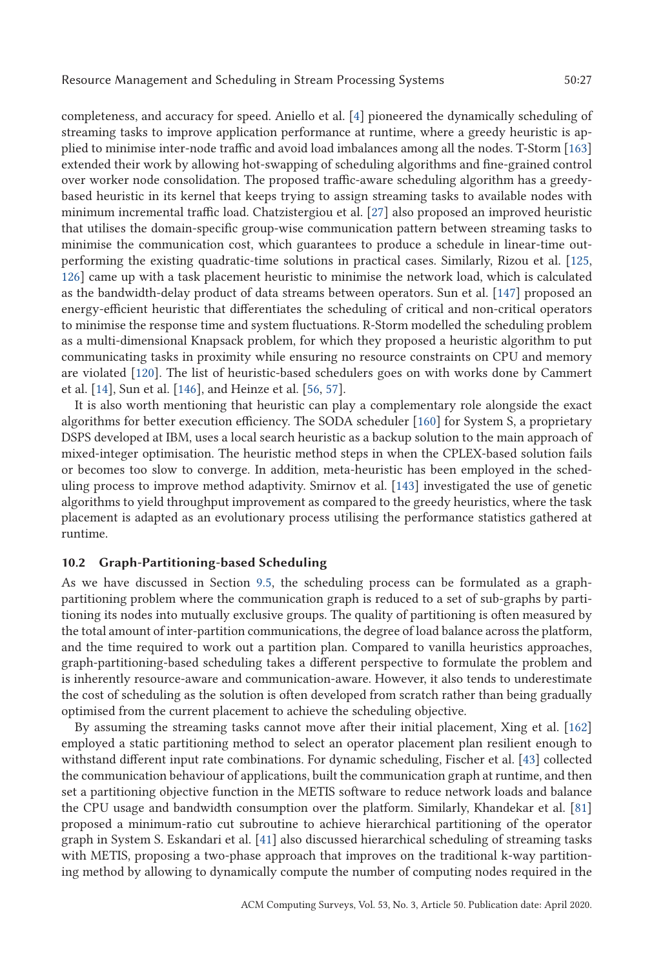completeness, and accuracy for speed. Aniello et al. [4] pioneered the dynamically scheduling of streaming tasks to improve application performance at runtime, where a greedy heuristic is applied to minimise inter-node traffic and avoid load imbalances among all the nodes. T-Storm [163] extended their work by allowing hot-swapping of scheduling algorithms and fine-grained control over worker node consolidation. The proposed traffic-aware scheduling algorithm has a greedybased heuristic in its kernel that keeps trying to assign streaming tasks to available nodes with minimum incremental traffic load. Chatzistergiou et al. [27] also proposed an improved heuristic that utilises the domain-specific group-wise communication pattern between streaming tasks to minimise the communication cost, which guarantees to produce a schedule in linear-time outperforming the existing quadratic-time solutions in practical cases. Similarly, Rizou et al. [125, 126] came up with a task placement heuristic to minimise the network load, which is calculated as the bandwidth-delay product of data streams between operators. Sun et al. [147] proposed an energy-efficient heuristic that differentiates the scheduling of critical and non-critical operators to minimise the response time and system fluctuations. R-Storm modelled the scheduling problem as a multi-dimensional Knapsack problem, for which they proposed a heuristic algorithm to put communicating tasks in proximity while ensuring no resource constraints on CPU and memory are violated [120]. The list of heuristic-based schedulers goes on with works done by Cammert et al. [14], Sun et al. [146], and Heinze et al. [56, 57].

It is also worth mentioning that heuristic can play a complementary role alongside the exact algorithms for better execution efficiency. The SODA scheduler [160] for System S, a proprietary DSPS developed at IBM, uses a local search heuristic as a backup solution to the main approach of mixed-integer optimisation. The heuristic method steps in when the CPLEX-based solution fails or becomes too slow to converge. In addition, meta-heuristic has been employed in the scheduling process to improve method adaptivity. Smirnov et al. [143] investigated the use of genetic algorithms to yield throughput improvement as compared to the greedy heuristics, where the task placement is adapted as an evolutionary process utilising the performance statistics gathered at runtime.

# **10.2 Graph-Partitioning-based Scheduling**

As we have discussed in Section 9.5, the scheduling process can be formulated as a graphpartitioning problem where the communication graph is reduced to a set of sub-graphs by partitioning its nodes into mutually exclusive groups. The quality of partitioning is often measured by the total amount of inter-partition communications, the degree of load balance across the platform, and the time required to work out a partition plan. Compared to vanilla heuristics approaches, graph-partitioning-based scheduling takes a different perspective to formulate the problem and is inherently resource-aware and communication-aware. However, it also tends to underestimate the cost of scheduling as the solution is often developed from scratch rather than being gradually optimised from the current placement to achieve the scheduling objective.

By assuming the streaming tasks cannot move after their initial placement, Xing et al. [162] employed a static partitioning method to select an operator placement plan resilient enough to withstand different input rate combinations. For dynamic scheduling, Fischer et al. [43] collected the communication behaviour of applications, built the communication graph at runtime, and then set a partitioning objective function in the METIS software to reduce network loads and balance the CPU usage and bandwidth consumption over the platform. Similarly, Khandekar et al. [81] proposed a minimum-ratio cut subroutine to achieve hierarchical partitioning of the operator graph in System S. Eskandari et al. [41] also discussed hierarchical scheduling of streaming tasks with METIS, proposing a two-phase approach that improves on the traditional k-way partitioning method by allowing to dynamically compute the number of computing nodes required in the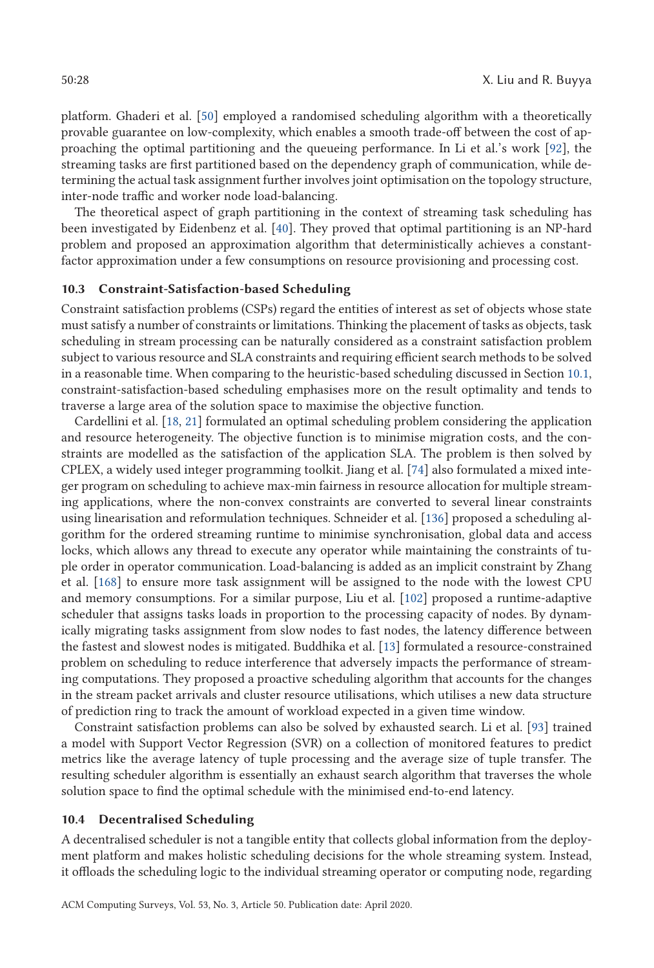platform. Ghaderi et al. [50] employed a randomised scheduling algorithm with a theoretically provable guarantee on low-complexity, which enables a smooth trade-off between the cost of approaching the optimal partitioning and the queueing performance. In Li et al.'s work [92], the streaming tasks are first partitioned based on the dependency graph of communication, while determining the actual task assignment further involves joint optimisation on the topology structure, inter-node traffic and worker node load-balancing.

The theoretical aspect of graph partitioning in the context of streaming task scheduling has been investigated by Eidenbenz et al. [40]. They proved that optimal partitioning is an NP-hard problem and proposed an approximation algorithm that deterministically achieves a constantfactor approximation under a few consumptions on resource provisioning and processing cost.

### **10.3 Constraint-Satisfaction-based Scheduling**

Constraint satisfaction problems (CSPs) regard the entities of interest as set of objects whose state must satisfy a number of constraints or limitations. Thinking the placement of tasks as objects, task scheduling in stream processing can be naturally considered as a constraint satisfaction problem subject to various resource and SLA constraints and requiring efficient search methods to be solved in a reasonable time. When comparing to the heuristic-based scheduling discussed in Section 10.1, constraint-satisfaction-based scheduling emphasises more on the result optimality and tends to traverse a large area of the solution space to maximise the objective function.

Cardellini et al. [18, 21] formulated an optimal scheduling problem considering the application and resource heterogeneity. The objective function is to minimise migration costs, and the constraints are modelled as the satisfaction of the application SLA. The problem is then solved by CPLEX, a widely used integer programming toolkit. Jiang et al. [74] also formulated a mixed integer program on scheduling to achieve max-min fairness in resource allocation for multiple streaming applications, where the non-convex constraints are converted to several linear constraints using linearisation and reformulation techniques. Schneider et al. [136] proposed a scheduling algorithm for the ordered streaming runtime to minimise synchronisation, global data and access locks, which allows any thread to execute any operator while maintaining the constraints of tuple order in operator communication. Load-balancing is added as an implicit constraint by Zhang et al. [168] to ensure more task assignment will be assigned to the node with the lowest CPU and memory consumptions. For a similar purpose, Liu et al. [102] proposed a runtime-adaptive scheduler that assigns tasks loads in proportion to the processing capacity of nodes. By dynamically migrating tasks assignment from slow nodes to fast nodes, the latency difference between the fastest and slowest nodes is mitigated. Buddhika et al. [13] formulated a resource-constrained problem on scheduling to reduce interference that adversely impacts the performance of streaming computations. They proposed a proactive scheduling algorithm that accounts for the changes in the stream packet arrivals and cluster resource utilisations, which utilises a new data structure of prediction ring to track the amount of workload expected in a given time window.

Constraint satisfaction problems can also be solved by exhausted search. Li et al. [93] trained a model with Support Vector Regression (SVR) on a collection of monitored features to predict metrics like the average latency of tuple processing and the average size of tuple transfer. The resulting scheduler algorithm is essentially an exhaust search algorithm that traverses the whole solution space to find the optimal schedule with the minimised end-to-end latency.

#### **10.4 Decentralised Scheduling**

A decentralised scheduler is not a tangible entity that collects global information from the deployment platform and makes holistic scheduling decisions for the whole streaming system. Instead, it offloads the scheduling logic to the individual streaming operator or computing node, regarding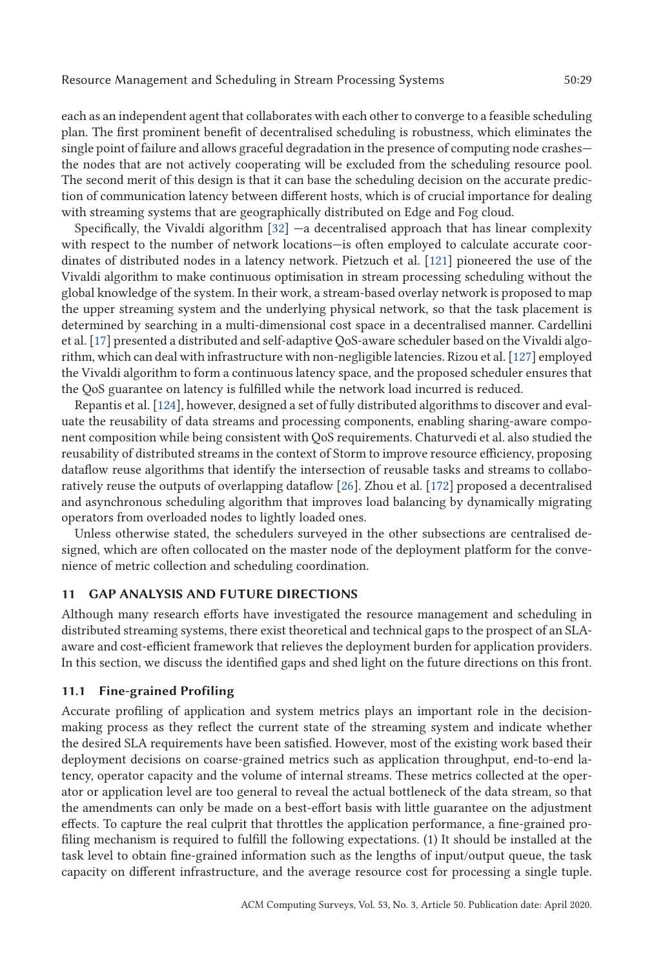each as an independent agent that collaborates with each other to converge to a feasible scheduling plan. The first prominent benefit of decentralised scheduling is robustness, which eliminates the single point of failure and allows graceful degradation in the presence of computing node crashes the nodes that are not actively cooperating will be excluded from the scheduling resource pool. The second merit of this design is that it can base the scheduling decision on the accurate prediction of communication latency between different hosts, which is of crucial importance for dealing with streaming systems that are geographically distributed on Edge and Fog cloud.

Specifically, the Vivaldi algorithm  $[32]$  —a decentralised approach that has linear complexity with respect to the number of network locations—is often employed to calculate accurate coordinates of distributed nodes in a latency network. Pietzuch et al. [121] pioneered the use of the Vivaldi algorithm to make continuous optimisation in stream processing scheduling without the global knowledge of the system. In their work, a stream-based overlay network is proposed to map the upper streaming system and the underlying physical network, so that the task placement is determined by searching in a multi-dimensional cost space in a decentralised manner. Cardellini et al. [17] presented a distributed and self-adaptive QoS-aware scheduler based on the Vivaldi algorithm, which can deal with infrastructure with non-negligible latencies. Rizou et al. [127] employed the Vivaldi algorithm to form a continuous latency space, and the proposed scheduler ensures that the QoS guarantee on latency is fulfilled while the network load incurred is reduced.

Repantis et al. [124], however, designed a set of fully distributed algorithms to discover and evaluate the reusability of data streams and processing components, enabling sharing-aware component composition while being consistent with QoS requirements. Chaturvedi et al. also studied the reusability of distributed streams in the context of Storm to improve resource efficiency, proposing dataflow reuse algorithms that identify the intersection of reusable tasks and streams to collaboratively reuse the outputs of overlapping dataflow [26]. Zhou et al. [172] proposed a decentralised and asynchronous scheduling algorithm that improves load balancing by dynamically migrating operators from overloaded nodes to lightly loaded ones.

Unless otherwise stated, the schedulers surveyed in the other subsections are centralised designed, which are often collocated on the master node of the deployment platform for the convenience of metric collection and scheduling coordination.

### **11 GAP ANALYSIS AND FUTURE DIRECTIONS**

Although many research efforts have investigated the resource management and scheduling in distributed streaming systems, there exist theoretical and technical gaps to the prospect of an SLAaware and cost-efficient framework that relieves the deployment burden for application providers. In this section, we discuss the identified gaps and shed light on the future directions on this front.

### **11.1 Fine-grained Profiling**

Accurate profiling of application and system metrics plays an important role in the decisionmaking process as they reflect the current state of the streaming system and indicate whether the desired SLA requirements have been satisfied. However, most of the existing work based their deployment decisions on coarse-grained metrics such as application throughput, end-to-end latency, operator capacity and the volume of internal streams. These metrics collected at the operator or application level are too general to reveal the actual bottleneck of the data stream, so that the amendments can only be made on a best-effort basis with little guarantee on the adjustment effects. To capture the real culprit that throttles the application performance, a fine-grained profiling mechanism is required to fulfill the following expectations. (1) It should be installed at the task level to obtain fine-grained information such as the lengths of input/output queue, the task capacity on different infrastructure, and the average resource cost for processing a single tuple.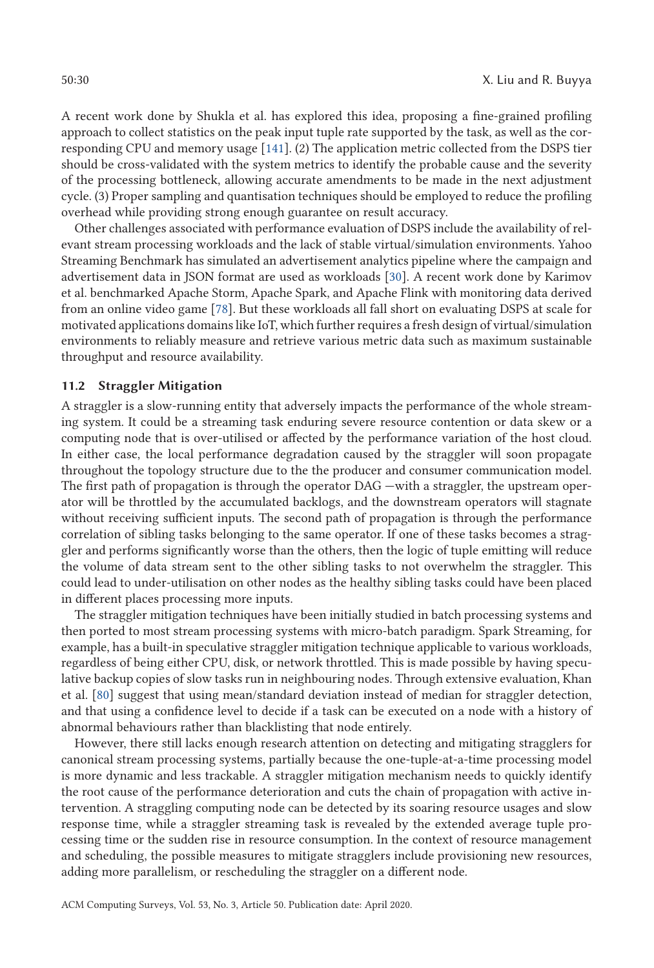A recent work done by Shukla et al. has explored this idea, proposing a fine-grained profiling approach to collect statistics on the peak input tuple rate supported by the task, as well as the corresponding CPU and memory usage [141]. (2) The application metric collected from the DSPS tier should be cross-validated with the system metrics to identify the probable cause and the severity of the processing bottleneck, allowing accurate amendments to be made in the next adjustment cycle. (3) Proper sampling and quantisation techniques should be employed to reduce the profiling overhead while providing strong enough guarantee on result accuracy.

Other challenges associated with performance evaluation of DSPS include the availability of relevant stream processing workloads and the lack of stable virtual/simulation environments. Yahoo Streaming Benchmark has simulated an advertisement analytics pipeline where the campaign and advertisement data in JSON format are used as workloads [30]. A recent work done by Karimov et al. benchmarked Apache Storm, Apache Spark, and Apache Flink with monitoring data derived from an online video game [78]. But these workloads all fall short on evaluating DSPS at scale for motivated applications domains like IoT, which further requires a fresh design of virtual/simulation environments to reliably measure and retrieve various metric data such as maximum sustainable throughput and resource availability.

# **11.2 Straggler Mitigation**

A straggler is a slow-running entity that adversely impacts the performance of the whole streaming system. It could be a streaming task enduring severe resource contention or data skew or a computing node that is over-utilised or affected by the performance variation of the host cloud. In either case, the local performance degradation caused by the straggler will soon propagate throughout the topology structure due to the the producer and consumer communication model. The first path of propagation is through the operator DAG —with a straggler, the upstream operator will be throttled by the accumulated backlogs, and the downstream operators will stagnate without receiving sufficient inputs. The second path of propagation is through the performance correlation of sibling tasks belonging to the same operator. If one of these tasks becomes a straggler and performs significantly worse than the others, then the logic of tuple emitting will reduce the volume of data stream sent to the other sibling tasks to not overwhelm the straggler. This could lead to under-utilisation on other nodes as the healthy sibling tasks could have been placed in different places processing more inputs.

The straggler mitigation techniques have been initially studied in batch processing systems and then ported to most stream processing systems with micro-batch paradigm. Spark Streaming, for example, has a built-in speculative straggler mitigation technique applicable to various workloads, regardless of being either CPU, disk, or network throttled. This is made possible by having speculative backup copies of slow tasks run in neighbouring nodes. Through extensive evaluation, Khan et al. [80] suggest that using mean/standard deviation instead of median for straggler detection, and that using a confidence level to decide if a task can be executed on a node with a history of abnormal behaviours rather than blacklisting that node entirely.

However, there still lacks enough research attention on detecting and mitigating stragglers for canonical stream processing systems, partially because the one-tuple-at-a-time processing model is more dynamic and less trackable. A straggler mitigation mechanism needs to quickly identify the root cause of the performance deterioration and cuts the chain of propagation with active intervention. A straggling computing node can be detected by its soaring resource usages and slow response time, while a straggler streaming task is revealed by the extended average tuple processing time or the sudden rise in resource consumption. In the context of resource management and scheduling, the possible measures to mitigate stragglers include provisioning new resources, adding more parallelism, or rescheduling the straggler on a different node.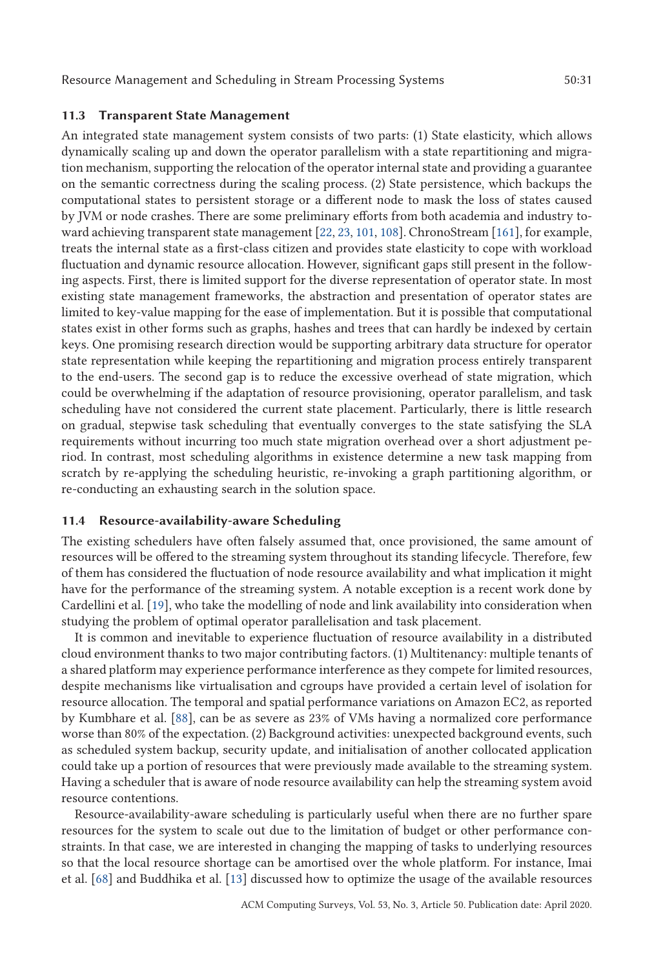### **11.3 Transparent State Management**

An integrated state management system consists of two parts: (1) State elasticity, which allows dynamically scaling up and down the operator parallelism with a state repartitioning and migration mechanism, supporting the relocation of the operator internal state and providing a guarantee on the semantic correctness during the scaling process. (2) State persistence, which backups the computational states to persistent storage or a different node to mask the loss of states caused by JVM or node crashes. There are some preliminary efforts from both academia and industry toward achieving transparent state management [22, 23, 101, 108]. ChronoStream [161], for example, treats the internal state as a first-class citizen and provides state elasticity to cope with workload fluctuation and dynamic resource allocation. However, significant gaps still present in the following aspects. First, there is limited support for the diverse representation of operator state. In most existing state management frameworks, the abstraction and presentation of operator states are limited to key-value mapping for the ease of implementation. But it is possible that computational states exist in other forms such as graphs, hashes and trees that can hardly be indexed by certain keys. One promising research direction would be supporting arbitrary data structure for operator state representation while keeping the repartitioning and migration process entirely transparent to the end-users. The second gap is to reduce the excessive overhead of state migration, which could be overwhelming if the adaptation of resource provisioning, operator parallelism, and task scheduling have not considered the current state placement. Particularly, there is little research on gradual, stepwise task scheduling that eventually converges to the state satisfying the SLA requirements without incurring too much state migration overhead over a short adjustment period. In contrast, most scheduling algorithms in existence determine a new task mapping from scratch by re-applying the scheduling heuristic, re-invoking a graph partitioning algorithm, or re-conducting an exhausting search in the solution space.

### **11.4 Resource-availability-aware Scheduling**

The existing schedulers have often falsely assumed that, once provisioned, the same amount of resources will be offered to the streaming system throughout its standing lifecycle. Therefore, few of them has considered the fluctuation of node resource availability and what implication it might have for the performance of the streaming system. A notable exception is a recent work done by Cardellini et al. [19], who take the modelling of node and link availability into consideration when studying the problem of optimal operator parallelisation and task placement.

It is common and inevitable to experience fluctuation of resource availability in a distributed cloud environment thanks to two major contributing factors. (1) Multitenancy: multiple tenants of a shared platform may experience performance interference as they compete for limited resources, despite mechanisms like virtualisation and cgroups have provided a certain level of isolation for resource allocation. The temporal and spatial performance variations on Amazon EC2, as reported by Kumbhare et al. [88], can be as severe as 23% of VMs having a normalized core performance worse than 80% of the expectation. (2) Background activities: unexpected background events, such as scheduled system backup, security update, and initialisation of another collocated application could take up a portion of resources that were previously made available to the streaming system. Having a scheduler that is aware of node resource availability can help the streaming system avoid resource contentions.

Resource-availability-aware scheduling is particularly useful when there are no further spare resources for the system to scale out due to the limitation of budget or other performance constraints. In that case, we are interested in changing the mapping of tasks to underlying resources so that the local resource shortage can be amortised over the whole platform. For instance, Imai et al. [68] and Buddhika et al. [13] discussed how to optimize the usage of the available resources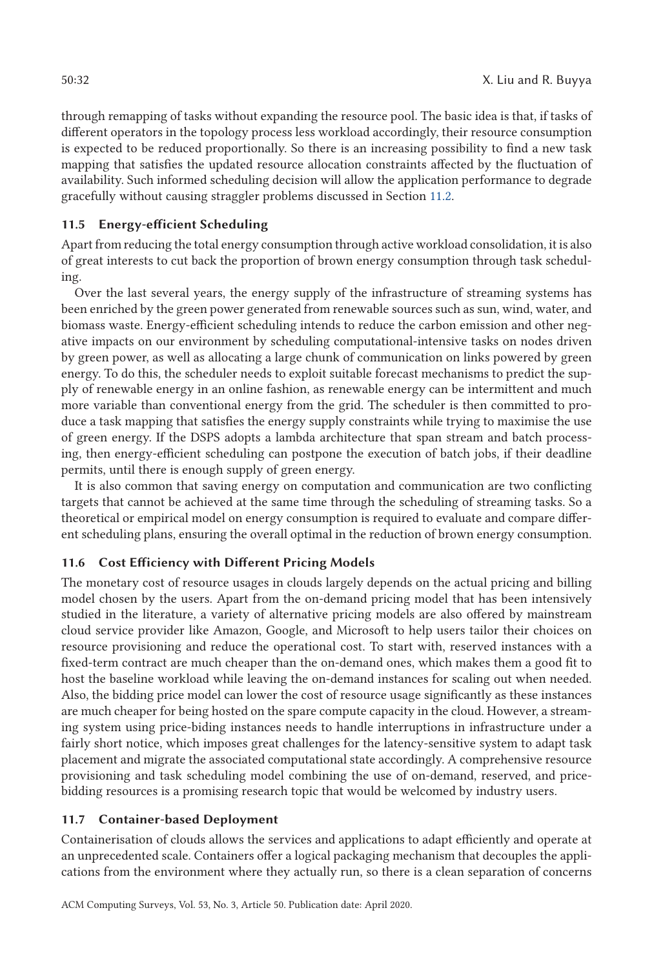through remapping of tasks without expanding the resource pool. The basic idea is that, if tasks of different operators in the topology process less workload accordingly, their resource consumption is expected to be reduced proportionally. So there is an increasing possibility to find a new task mapping that satisfies the updated resource allocation constraints affected by the fluctuation of availability. Such informed scheduling decision will allow the application performance to degrade gracefully without causing straggler problems discussed in Section 11.2.

# **11.5 Energy-efficient Scheduling**

Apart from reducing the total energy consumption through active workload consolidation, it is also of great interests to cut back the proportion of brown energy consumption through task scheduling.

Over the last several years, the energy supply of the infrastructure of streaming systems has been enriched by the green power generated from renewable sources such as sun, wind, water, and biomass waste. Energy-efficient scheduling intends to reduce the carbon emission and other negative impacts on our environment by scheduling computational-intensive tasks on nodes driven by green power, as well as allocating a large chunk of communication on links powered by green energy. To do this, the scheduler needs to exploit suitable forecast mechanisms to predict the supply of renewable energy in an online fashion, as renewable energy can be intermittent and much more variable than conventional energy from the grid. The scheduler is then committed to produce a task mapping that satisfies the energy supply constraints while trying to maximise the use of green energy. If the DSPS adopts a lambda architecture that span stream and batch processing, then energy-efficient scheduling can postpone the execution of batch jobs, if their deadline permits, until there is enough supply of green energy.

It is also common that saving energy on computation and communication are two conflicting targets that cannot be achieved at the same time through the scheduling of streaming tasks. So a theoretical or empirical model on energy consumption is required to evaluate and compare different scheduling plans, ensuring the overall optimal in the reduction of brown energy consumption.

# **11.6 Cost Efficiency with Different Pricing Models**

The monetary cost of resource usages in clouds largely depends on the actual pricing and billing model chosen by the users. Apart from the on-demand pricing model that has been intensively studied in the literature, a variety of alternative pricing models are also offered by mainstream cloud service provider like Amazon, Google, and Microsoft to help users tailor their choices on resource provisioning and reduce the operational cost. To start with, reserved instances with a fixed-term contract are much cheaper than the on-demand ones, which makes them a good fit to host the baseline workload while leaving the on-demand instances for scaling out when needed. Also, the bidding price model can lower the cost of resource usage significantly as these instances are much cheaper for being hosted on the spare compute capacity in the cloud. However, a streaming system using price-biding instances needs to handle interruptions in infrastructure under a fairly short notice, which imposes great challenges for the latency-sensitive system to adapt task placement and migrate the associated computational state accordingly. A comprehensive resource provisioning and task scheduling model combining the use of on-demand, reserved, and pricebidding resources is a promising research topic that would be welcomed by industry users.

### **11.7 Container-based Deployment**

Containerisation of clouds allows the services and applications to adapt efficiently and operate at an unprecedented scale. Containers offer a logical packaging mechanism that decouples the applications from the environment where they actually run, so there is a clean separation of concerns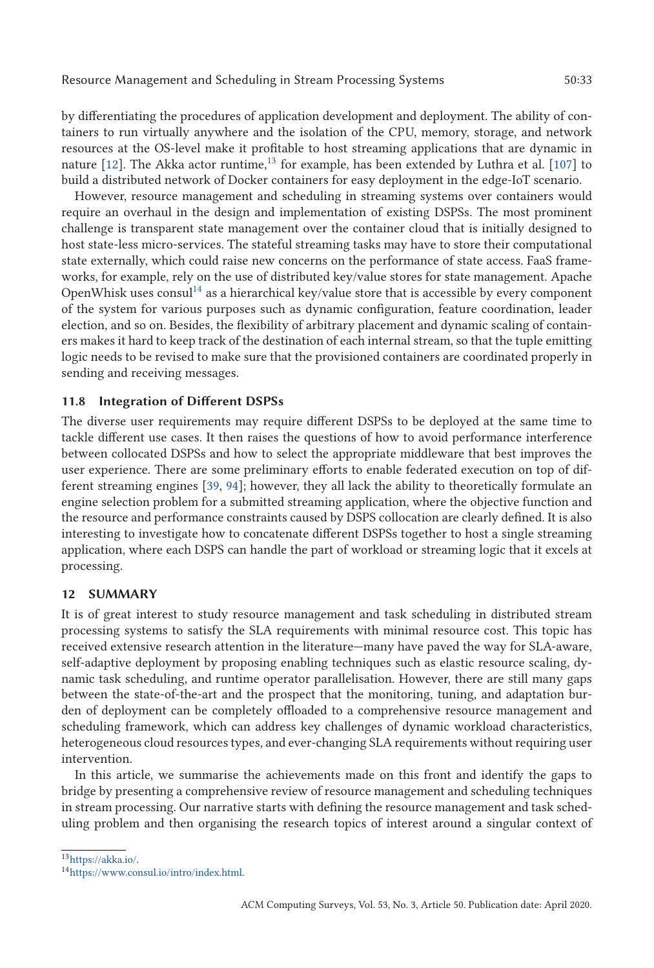by differentiating the procedures of application development and deployment. The ability of containers to run virtually anywhere and the isolation of the CPU, memory, storage, and network resources at the OS-level make it profitable to host streaming applications that are dynamic in nature  $[12]$ . The Akka actor runtime,<sup>13</sup> for example, has been extended by Luthra et al.  $[107]$  to build a distributed network of Docker containers for easy deployment in the edge-IoT scenario.

However, resource management and scheduling in streaming systems over containers would require an overhaul in the design and implementation of existing DSPSs. The most prominent challenge is transparent state management over the container cloud that is initially designed to host state-less micro-services. The stateful streaming tasks may have to store their computational state externally, which could raise new concerns on the performance of state access. FaaS frameworks, for example, rely on the use of distributed key/value stores for state management. Apache OpenWhisk uses consul<sup>14</sup> as a hierarchical key/value store that is accessible by every component of the system for various purposes such as dynamic configuration, feature coordination, leader election, and so on. Besides, the flexibility of arbitrary placement and dynamic scaling of containers makes it hard to keep track of the destination of each internal stream, so that the tuple emitting logic needs to be revised to make sure that the provisioned containers are coordinated properly in sending and receiving messages.

### **11.8 Integration of Different DSPSs**

The diverse user requirements may require different DSPSs to be deployed at the same time to tackle different use cases. It then raises the questions of how to avoid performance interference between collocated DSPSs and how to select the appropriate middleware that best improves the user experience. There are some preliminary efforts to enable federated execution on top of different streaming engines [39, 94]; however, they all lack the ability to theoretically formulate an engine selection problem for a submitted streaming application, where the objective function and the resource and performance constraints caused by DSPS collocation are clearly defined. It is also interesting to investigate how to concatenate different DSPSs together to host a single streaming application, where each DSPS can handle the part of workload or streaming logic that it excels at processing.

### **12 SUMMARY**

It is of great interest to study resource management and task scheduling in distributed stream processing systems to satisfy the SLA requirements with minimal resource cost. This topic has received extensive research attention in the literature—many have paved the way for SLA-aware, self-adaptive deployment by proposing enabling techniques such as elastic resource scaling, dynamic task scheduling, and runtime operator parallelisation. However, there are still many gaps between the state-of-the-art and the prospect that the monitoring, tuning, and adaptation burden of deployment can be completely offloaded to a comprehensive resource management and scheduling framework, which can address key challenges of dynamic workload characteristics, heterogeneous cloud resources types, and ever-changing SLA requirements without requiring user intervention.

In this article, we summarise the achievements made on this front and identify the gaps to bridge by presenting a comprehensive review of resource management and scheduling techniques in stream processing. Our narrative starts with defining the resource management and task scheduling problem and then organising the research topics of interest around a singular context of

1[3https://akka.io/.](https://akka.io/)

<sup>1</sup>[4https://www.consul.io/intro/index.html.](https://www.consul.io/intro/index.html)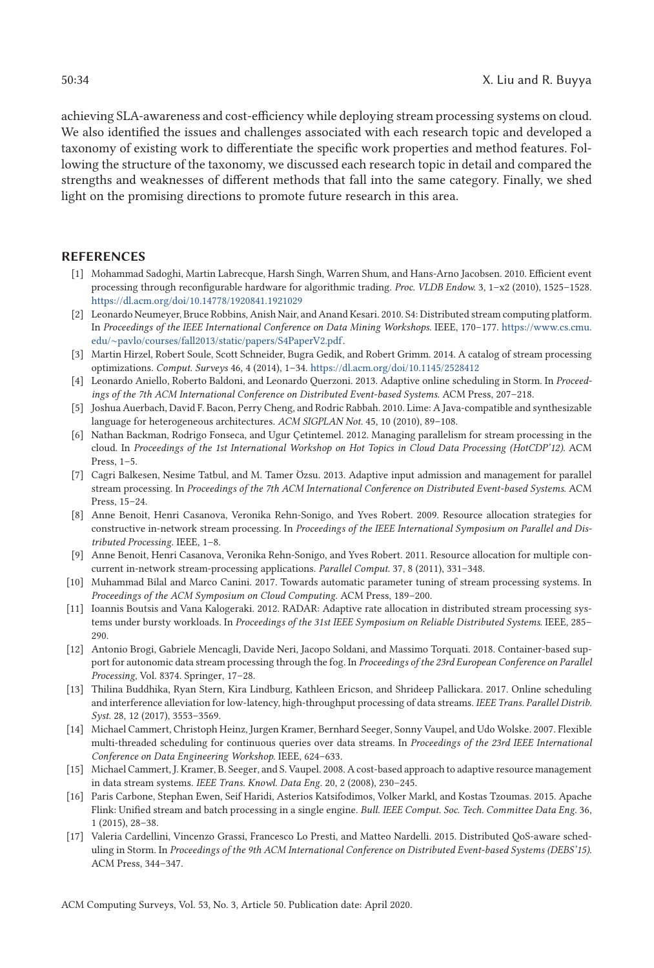achieving SLA-awareness and cost-efficiency while deploying stream processing systems on cloud. We also identified the issues and challenges associated with each research topic and developed a taxonomy of existing work to differentiate the specific work properties and method features. Following the structure of the taxonomy, we discussed each research topic in detail and compared the strengths and weaknesses of different methods that fall into the same category. Finally, we shed light on the promising directions to promote future research in this area.

### **REFERENCES**

- [1] Mohammad Sadoghi, Martin Labrecque, Harsh Singh, Warren Shum, and Hans-Arno Jacobsen. 2010. Efficient event processing through reconfigurable hardware for algorithmic trading. *Proc. VLDB Endow.* 3, 1–x2 (2010), 1525–1528. <https://dl.acm.org/doi/10.14778/1920841.1921029>
- [2] Leonardo Neumeyer, Bruce Robbins, Anish Nair, and Anand Kesari. 2010. S4: Distributed stream computing platform. In *Proceedings of the IEEE International Conference on Data Mining Workshops*. IEEE, 170–177. [https://www.cs.cmu.](https://www.cs.cmu.edu/protect $
elax sim $pavlo/courses/fall2013/static/papers/S4PaperV2.pdf) edu/∼[pavlo/courses/fall2013/static/papers/S4PaperV2.pdf.](https://www.cs.cmu.edu/protect $
elax sim $pavlo/courses/fall2013/static/papers/S4PaperV2.pdf)
- [3] Martin Hirzel, Robert Soule, Scott Schneider, Bugra Gedik, and Robert Grimm. 2014. A catalog of stream processing optimizations. *Comput. Surveys* 46, 4 (2014), 1–34. <https://dl.acm.org/doi/10.1145/2528412>
- [4] Leonardo Aniello, Roberto Baldoni, and Leonardo Querzoni. 2013. Adaptive online scheduling in Storm. In *Proceedings of the 7th ACM International Conference on Distributed Event-based Systems*. ACM Press, 207–218.
- [5] Joshua Auerbach, David F. Bacon, Perry Cheng, and Rodric Rabbah. 2010. Lime: A Java-compatible and synthesizable language for heterogeneous architectures. *ACM SIGPLAN Not.* 45, 10 (2010), 89–108.
- [6] Nathan Backman, Rodrigo Fonseca, and Ugur Çetintemel. 2012. Managing parallelism for stream processing in the cloud. In *Proceedings of the 1st International Workshop on Hot Topics in Cloud Data Processing (HotCDP'12)*. ACM Press,  $1-5$ .
- [7] Cagri Balkesen, Nesime Tatbul, and M. Tamer Özsu. 2013. Adaptive input admission and management for parallel stream processing. In *Proceedings of the 7th ACM International Conference on Distributed Event-based Systems*. ACM Press, 15–24.
- [8] Anne Benoit, Henri Casanova, Veronika Rehn-Sonigo, and Yves Robert. 2009. Resource allocation strategies for constructive in-network stream processing. In *Proceedings of the IEEE International Symposium on Parallel and Distributed Processing*. IEEE, 1–8.
- [9] Anne Benoit, Henri Casanova, Veronika Rehn-Sonigo, and Yves Robert. 2011. Resource allocation for multiple concurrent in-network stream-processing applications. *Parallel Comput.* 37, 8 (2011), 331–348.
- [10] Muhammad Bilal and Marco Canini. 2017. Towards automatic parameter tuning of stream processing systems. In *Proceedings of the ACM Symposium on Cloud Computing*. ACM Press, 189–200.
- [11] Ioannis Boutsis and Vana Kalogeraki. 2012. RADAR: Adaptive rate allocation in distributed stream processing systems under bursty workloads. In *Proceedings of the 31st IEEE Symposium on Reliable Distributed Systems*. IEEE, 285– 290.
- [12] Antonio Brogi, Gabriele Mencagli, Davide Neri, Jacopo Soldani, and Massimo Torquati. 2018. Container-based support for autonomic data stream processing through the fog. In *Proceedings of the 23rd European Conference on Parallel Processing*, Vol. 8374. Springer, 17–28.
- [13] Thilina Buddhika, Ryan Stern, Kira Lindburg, Kathleen Ericson, and Shrideep Pallickara. 2017. Online scheduling and interference alleviation for low-latency, high-throughput processing of data streams. *IEEE Trans. Parallel Distrib. Syst.* 28, 12 (2017), 3553–3569.
- [14] Michael Cammert, Christoph Heinz, Jurgen Kramer, Bernhard Seeger, Sonny Vaupel, and Udo Wolske. 2007. Flexible multi-threaded scheduling for continuous queries over data streams. In *Proceedings of the 23rd IEEE International Conference on Data Engineering Workshop*. IEEE, 624–633.
- [15] Michael Cammert, J. Kramer, B. Seeger, and S. Vaupel. 2008. A cost-based approach to adaptive resource management in data stream systems. *IEEE Trans. Knowl. Data Eng.* 20, 2 (2008), 230–245.
- [16] Paris Carbone, Stephan Ewen, Seif Haridi, Asterios Katsifodimos, Volker Markl, and Kostas Tzoumas. 2015. Apache Flink: Unified stream and batch processing in a single engine. *Bull. IEEE Comput. Soc. Tech. Committee Data Eng.* 36, 1 (2015), 28–38.
- [17] Valeria Cardellini, Vincenzo Grassi, Francesco Lo Presti, and Matteo Nardelli. 2015. Distributed QoS-aware scheduling in Storm. In *Proceedings of the 9th ACM International Conference on Distributed Event-based Systems (DEBS'15)*. ACM Press, 344–347.

ACM Computing Surveys, Vol. 53, No. 3, Article 50. Publication date: April 2020.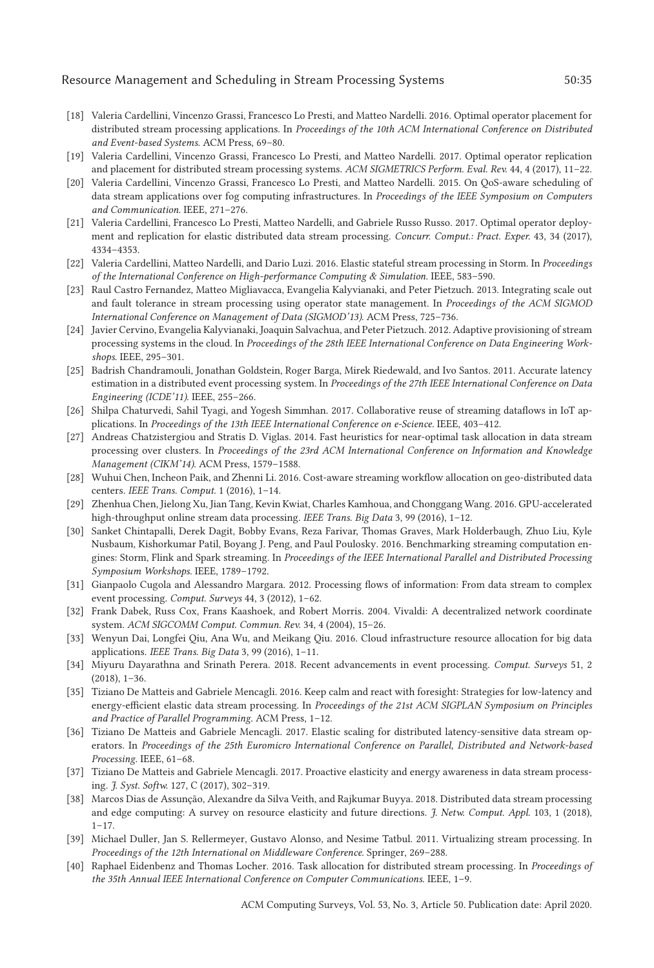### Resource Management and Scheduling in Stream Processing Systems  $50:35$

- [18] Valeria Cardellini, Vincenzo Grassi, Francesco Lo Presti, and Matteo Nardelli. 2016. Optimal operator placement for distributed stream processing applications. In *Proceedings of the 10th ACM International Conference on Distributed and Event-based Systems*. ACM Press, 69–80.
- [19] Valeria Cardellini, Vincenzo Grassi, Francesco Lo Presti, and Matteo Nardelli. 2017. Optimal operator replication and placement for distributed stream processing systems. *ACM SIGMETRICS Perform. Eval. Rev.* 44, 4 (2017), 11–22.
- [20] Valeria Cardellini, Vincenzo Grassi, Francesco Lo Presti, and Matteo Nardelli. 2015. On QoS-aware scheduling of data stream applications over fog computing infrastructures. In *Proceedings of the IEEE Symposium on Computers and Communication*. IEEE, 271–276.
- [21] Valeria Cardellini, Francesco Lo Presti, Matteo Nardelli, and Gabriele Russo Russo. 2017. Optimal operator deployment and replication for elastic distributed data stream processing. *Concurr. Comput.: Pract. Exper.* 43, 34 (2017), 4334–4353.
- [22] Valeria Cardellini, Matteo Nardelli, and Dario Luzi. 2016. Elastic stateful stream processing in Storm. In *Proceedings of the International Conference on High-performance Computing & Simulation*. IEEE, 583–590.
- [23] Raul Castro Fernandez, Matteo Migliavacca, Evangelia Kalyvianaki, and Peter Pietzuch. 2013. Integrating scale out and fault tolerance in stream processing using operator state management. In *Proceedings of the ACM SIGMOD International Conference on Management of Data (SIGMOD'13)*. ACM Press, 725–736.
- [24] Javier Cervino, Evangelia Kalyvianaki, Joaquin Salvachua, and Peter Pietzuch. 2012. Adaptive provisioning of stream processing systems in the cloud. In *Proceedings of the 28th IEEE International Conference on Data Engineering Workshops*. IEEE, 295–301.
- [25] Badrish Chandramouli, Jonathan Goldstein, Roger Barga, Mirek Riedewald, and Ivo Santos. 2011. Accurate latency estimation in a distributed event processing system. In *Proceedings of the 27th IEEE International Conference on Data Engineering (ICDE'11)*. IEEE, 255–266.
- [26] Shilpa Chaturvedi, Sahil Tyagi, and Yogesh Simmhan. 2017. Collaborative reuse of streaming dataflows in IoT applications. In *Proceedings of the 13th IEEE International Conference on e-Science*. IEEE, 403–412.
- [27] Andreas Chatzistergiou and Stratis D. Viglas. 2014. Fast heuristics for near-optimal task allocation in data stream processing over clusters. In *Proceedings of the 23rd ACM International Conference on Information and Knowledge Management (CIKM'14)*. ACM Press, 1579–1588.
- [28] Wuhui Chen, Incheon Paik, and Zhenni Li. 2016. Cost-aware streaming workflow allocation on geo-distributed data centers. *IEEE Trans. Comput.* 1 (2016), 1–14.
- [29] Zhenhua Chen, Jielong Xu, Jian Tang, Kevin Kwiat, Charles Kamhoua, and Chonggang Wang. 2016. GPU-accelerated high-throughput online stream data processing. *IEEE Trans. Big Data* 3, 99 (2016), 1–12.
- [30] Sanket Chintapalli, Derek Dagit, Bobby Evans, Reza Farivar, Thomas Graves, Mark Holderbaugh, Zhuo Liu, Kyle Nusbaum, Kishorkumar Patil, Boyang J. Peng, and Paul Poulosky. 2016. Benchmarking streaming computation engines: Storm, Flink and Spark streaming. In *Proceedings of the IEEE International Parallel and Distributed Processing Symposium Workshops*. IEEE, 1789–1792.
- [31] Gianpaolo Cugola and Alessandro Margara. 2012. Processing flows of information: From data stream to complex event processing. *Comput. Surveys* 44, 3 (2012), 1–62.
- [32] Frank Dabek, Russ Cox, Frans Kaashoek, and Robert Morris. 2004. Vivaldi: A decentralized network coordinate system. *ACM SIGCOMM Comput. Commun. Rev.* 34, 4 (2004), 15–26.
- [33] Wenyun Dai, Longfei Qiu, Ana Wu, and Meikang Qiu. 2016. Cloud infrastructure resource allocation for big data applications. *IEEE Trans. Big Data* 3, 99 (2016), 1–11.
- [34] Miyuru Dayarathna and Srinath Perera. 2018. Recent advancements in event processing. *Comput. Surveys* 51, 2 (2018), 1–36.
- [35] Tiziano De Matteis and Gabriele Mencagli. 2016. Keep calm and react with foresight: Strategies for low-latency and energy-efficient elastic data stream processing. In *Proceedings of the 21st ACM SIGPLAN Symposium on Principles and Practice of Parallel Programming*. ACM Press, 1–12.
- [36] Tiziano De Matteis and Gabriele Mencagli. 2017. Elastic scaling for distributed latency-sensitive data stream operators. In *Proceedings of the 25th Euromicro International Conference on Parallel, Distributed and Network-based Processing*. IEEE, 61–68.
- [37] Tiziano De Matteis and Gabriele Mencagli. 2017. Proactive elasticity and energy awareness in data stream processing. *J. Syst. Softw.* 127, C (2017), 302–319.
- [38] Marcos Dias de Assunção, Alexandre da Silva Veith, and Rajkumar Buyya. 2018. Distributed data stream processing and edge computing: A survey on resource elasticity and future directions. *J. Netw. Comput. Appl.* 103, 1 (2018),  $1 - 17$ .
- [39] Michael Duller, Jan S. Rellermeyer, Gustavo Alonso, and Nesime Tatbul. 2011. Virtualizing stream processing. In *Proceedings of the 12th International on Middleware Conference*. Springer, 269–288.
- [40] Raphael Eidenbenz and Thomas Locher. 2016. Task allocation for distributed stream processing. In *Proceedings of the 35th Annual IEEE International Conference on Computer Communications*. IEEE, 1–9.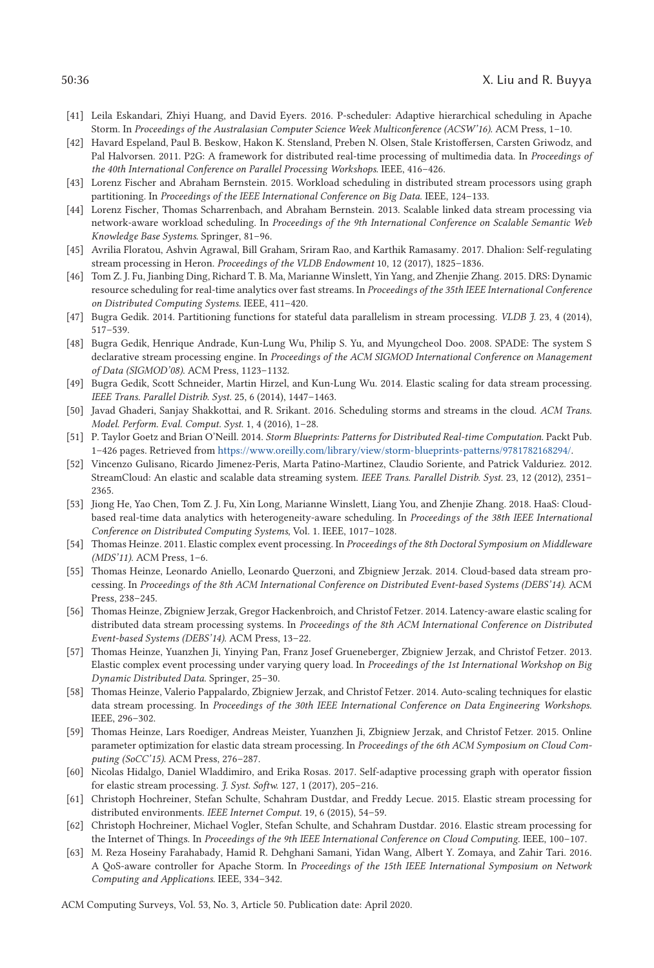- [41] Leila Eskandari, Zhiyi Huang, and David Eyers. 2016. P-scheduler: Adaptive hierarchical scheduling in Apache Storm. In *Proceedings of the Australasian Computer Science Week Multiconference (ACSW'16)*. ACM Press, 1–10.
- [42] Havard Espeland, Paul B. Beskow, Hakon K. Stensland, Preben N. Olsen, Stale Kristoffersen, Carsten Griwodz, and Pal Halvorsen. 2011. P2G: A framework for distributed real-time processing of multimedia data. In *Proceedings of the 40th International Conference on Parallel Processing Workshops*. IEEE, 416–426.
- [43] Lorenz Fischer and Abraham Bernstein. 2015. Workload scheduling in distributed stream processors using graph partitioning. In *Proceedings of the IEEE International Conference on Big Data*. IEEE, 124–133.
- [44] Lorenz Fischer, Thomas Scharrenbach, and Abraham Bernstein. 2013. Scalable linked data stream processing via network-aware workload scheduling. In *Proceedings of the 9th International Conference on Scalable Semantic Web Knowledge Base Systems*. Springer, 81–96.
- [45] Avrilia Floratou, Ashvin Agrawal, Bill Graham, Sriram Rao, and Karthik Ramasamy. 2017. Dhalion: Self-regulating stream processing in Heron. *Proceedings of the VLDB Endowment* 10, 12 (2017), 1825–1836.
- [46] Tom Z. J. Fu, Jianbing Ding, Richard T. B. Ma, Marianne Winslett, Yin Yang, and Zhenjie Zhang. 2015. DRS: Dynamic resource scheduling for real-time analytics over fast streams. In *Proceedings of the 35th IEEE International Conference on Distributed Computing Systems*. IEEE, 411–420.
- [47] Bugra Gedik. 2014. Partitioning functions for stateful data parallelism in stream processing. *VLDB J.* 23, 4 (2014), 517–539.
- [48] Bugra Gedik, Henrique Andrade, Kun-Lung Wu, Philip S. Yu, and Myungcheol Doo. 2008. SPADE: The system S declarative stream processing engine. In *Proceedings of the ACM SIGMOD International Conference on Management of Data (SIGMOD'08)*. ACM Press, 1123–1132.
- [49] Bugra Gedik, Scott Schneider, Martin Hirzel, and Kun-Lung Wu. 2014. Elastic scaling for data stream processing. *IEEE Trans. Parallel Distrib. Syst.* 25, 6 (2014), 1447–1463.
- [50] Javad Ghaderi, Sanjay Shakkottai, and R. Srikant. 2016. Scheduling storms and streams in the cloud. *ACM Trans. Model. Perform. Eval. Comput. Syst.* 1, 4 (2016), 1–28.
- [51] P. Taylor Goetz and Brian O'Neill. 2014. *Storm Blueprints: Patterns for Distributed Real-time Computation*. Packt Pub. 1–426 pages. Retrieved from [https://www.oreilly.com/library/view/storm-blueprints-patterns/9781782168294/.](https://www.oreilly.com/library/view/storm-blueprints-patterns/9781782168294/)
- [52] Vincenzo Gulisano, Ricardo Jimenez-Peris, Marta Patino-Martinez, Claudio Soriente, and Patrick Valduriez. 2012. StreamCloud: An elastic and scalable data streaming system. *IEEE Trans. Parallel Distrib. Syst.* 23, 12 (2012), 2351– 2365.
- [53] Jiong He, Yao Chen, Tom Z. J. Fu, Xin Long, Marianne Winslett, Liang You, and Zhenjie Zhang. 2018. HaaS: Cloudbased real-time data analytics with heterogeneity-aware scheduling. In *Proceedings of the 38th IEEE International Conference on Distributed Computing Systems*, Vol. 1. IEEE, 1017–1028.
- [54] Thomas Heinze. 2011. Elastic complex event processing. In *Proceedings of the 8th Doctoral Symposium on Middleware (MDS'11)*. ACM Press, 1–6.
- [55] Thomas Heinze, Leonardo Aniello, Leonardo Querzoni, and Zbigniew Jerzak. 2014. Cloud-based data stream processing. In *Proceedings of the 8th ACM International Conference on Distributed Event-based Systems (DEBS'14)*. ACM Press, 238–245.
- [56] Thomas Heinze, Zbigniew Jerzak, Gregor Hackenbroich, and Christof Fetzer. 2014. Latency-aware elastic scaling for distributed data stream processing systems. In *Proceedings of the 8th ACM International Conference on Distributed Event-based Systems (DEBS'14)*. ACM Press, 13–22.
- [57] Thomas Heinze, Yuanzhen Ji, Yinying Pan, Franz Josef Grueneberger, Zbigniew Jerzak, and Christof Fetzer. 2013. Elastic complex event processing under varying query load. In *Proceedings of the 1st International Workshop on Big Dynamic Distributed Data*. Springer, 25–30.
- [58] Thomas Heinze, Valerio Pappalardo, Zbigniew Jerzak, and Christof Fetzer. 2014. Auto-scaling techniques for elastic data stream processing. In *Proceedings of the 30th IEEE International Conference on Data Engineering Workshops*. IEEE, 296–302.
- [59] Thomas Heinze, Lars Roediger, Andreas Meister, Yuanzhen Ji, Zbigniew Jerzak, and Christof Fetzer. 2015. Online parameter optimization for elastic data stream processing. In *Proceedings of the 6th ACM Symposium on Cloud Computing (SoCC'15)*. ACM Press, 276–287.
- [60] Nicolas Hidalgo, Daniel Wladdimiro, and Erika Rosas. 2017. Self-adaptive processing graph with operator fission for elastic stream processing. *J. Syst. Softw.* 127, 1 (2017), 205–216.
- [61] Christoph Hochreiner, Stefan Schulte, Schahram Dustdar, and Freddy Lecue. 2015. Elastic stream processing for distributed environments. *IEEE Internet Comput.* 19, 6 (2015), 54–59.
- [62] Christoph Hochreiner, Michael Vogler, Stefan Schulte, and Schahram Dustdar. 2016. Elastic stream processing for the Internet of Things. In *Proceedings of the 9th IEEE International Conference on Cloud Computing*. IEEE, 100–107.
- [63] M. Reza Hoseiny Farahabady, Hamid R. Dehghani Samani, Yidan Wang, Albert Y. Zomaya, and Zahir Tari. 2016. A QoS-aware controller for Apache Storm. In *Proceedings of the 15th IEEE International Symposium on Network Computing and Applications*. IEEE, 334–342.

ACM Computing Surveys, Vol. 53, No. 3, Article 50. Publication date: April 2020.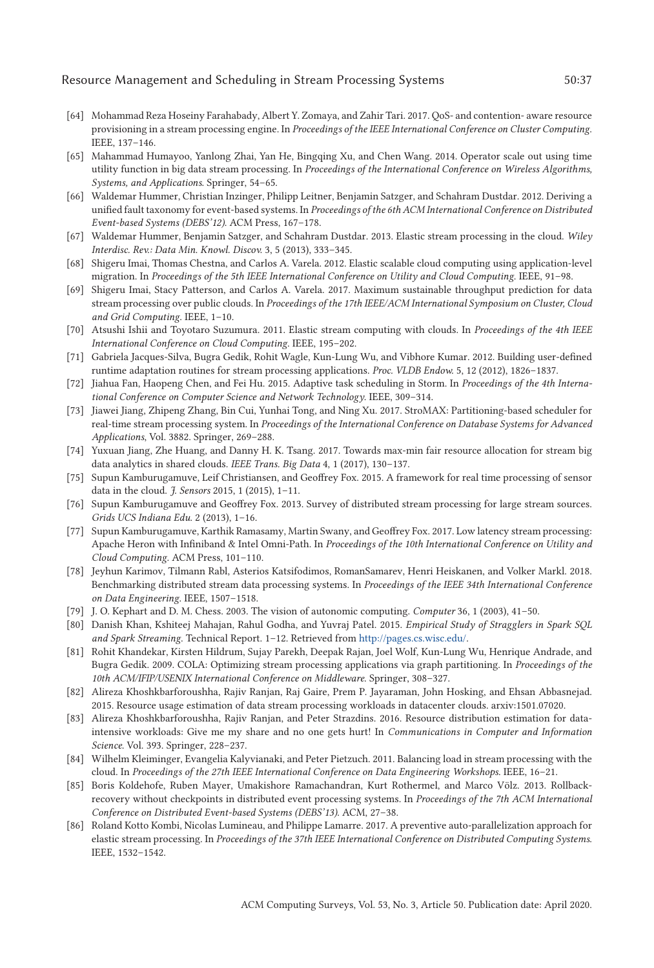### Resource Management and Scheduling in Stream Processing Systems 50:37

- [64] Mohammad Reza Hoseiny Farahabady, Albert Y. Zomaya, and Zahir Tari. 2017. QoS- and contention- aware resource provisioning in a stream processing engine. In *Proceedings of the IEEE International Conference on Cluster Computing*. IEEE, 137–146.
- [65] Mahammad Humayoo, Yanlong Zhai, Yan He, Bingqing Xu, and Chen Wang. 2014. Operator scale out using time utility function in big data stream processing. In *Proceedings of the International Conference on Wireless Algorithms, Systems, and Applications*. Springer, 54–65.
- [66] Waldemar Hummer, Christian Inzinger, Philipp Leitner, Benjamin Satzger, and Schahram Dustdar. 2012. Deriving a unified fault taxonomy for event-based systems. In *Proceedings of the 6th ACM International Conference on Distributed Event-based Systems (DEBS'12)*. ACM Press, 167–178.
- [67] Waldemar Hummer, Benjamin Satzger, and Schahram Dustdar. 2013. Elastic stream processing in the cloud. *Wiley Interdisc. Rev.: Data Min. Knowl. Discov.* 3, 5 (2013), 333–345.
- [68] Shigeru Imai, Thomas Chestna, and Carlos A. Varela. 2012. Elastic scalable cloud computing using application-level migration. In *Proceedings of the 5th IEEE International Conference on Utility and Cloud Computing*. IEEE, 91–98.
- [69] Shigeru Imai, Stacy Patterson, and Carlos A. Varela. 2017. Maximum sustainable throughput prediction for data stream processing over public clouds. In *Proceedings of the 17th IEEE/ACM International Symposium on Cluster, Cloud and Grid Computing*. IEEE, 1–10.
- [70] Atsushi Ishii and Toyotaro Suzumura. 2011. Elastic stream computing with clouds. In *Proceedings of the 4th IEEE International Conference on Cloud Computing*. IEEE, 195–202.
- [71] Gabriela Jacques-Silva, Bugra Gedik, Rohit Wagle, Kun-Lung Wu, and Vibhore Kumar. 2012. Building user-defined runtime adaptation routines for stream processing applications. *Proc. VLDB Endow.* 5, 12 (2012), 1826–1837.
- [72] Jiahua Fan, Haopeng Chen, and Fei Hu. 2015. Adaptive task scheduling in Storm. In *Proceedings of the 4th International Conference on Computer Science and Network Technology*. IEEE, 309–314.
- [73] Jiawei Jiang, Zhipeng Zhang, Bin Cui, Yunhai Tong, and Ning Xu. 2017. StroMAX: Partitioning-based scheduler for real-time stream processing system. In *Proceedings of the International Conference on Database Systems for Advanced Applications*, Vol. 3882. Springer, 269–288.
- [74] Yuxuan Jiang, Zhe Huang, and Danny H. K. Tsang. 2017. Towards max-min fair resource allocation for stream big data analytics in shared clouds. *IEEE Trans. Big Data* 4, 1 (2017), 130–137.
- [75] Supun Kamburugamuve, Leif Christiansen, and Geoffrey Fox. 2015. A framework for real time processing of sensor data in the cloud. *J. Sensors* 2015, 1 (2015), 1–11.
- [76] Supun Kamburugamuve and Geoffrey Fox. 2013. Survey of distributed stream processing for large stream sources. *Grids UCS Indiana Edu.* 2 (2013), 1–16.
- [77] Supun Kamburugamuve, Karthik Ramasamy, Martin Swany, and Geoffrey Fox. 2017. Low latency stream processing: Apache Heron with Infiniband & Intel Omni-Path. In *Proceedings of the 10th International Conference on Utility and Cloud Computing*. ACM Press, 101–110.
- [78] Jeyhun Karimov, Tilmann Rabl, Asterios Katsifodimos, RomanSamarev, Henri Heiskanen, and Volker Markl. 2018. Benchmarking distributed stream data processing systems. In *Proceedings of the IEEE 34th International Conference on Data Engineering*. IEEE, 1507–1518.
- [79] J. O. Kephart and D. M. Chess. 2003. The vision of autonomic computing. *Computer* 36, 1 (2003), 41–50.
- [80] Danish Khan, Kshiteej Mahajan, Rahul Godha, and Yuvraj Patel. 2015. *Empirical Study of Stragglers in Spark SQL and Spark Streaming*. Technical Report. 1–12. Retrieved from [http://pages.cs.wisc.edu/.](http://pages.cs.wisc.edu/)
- [81] Rohit Khandekar, Kirsten Hildrum, Sujay Parekh, Deepak Rajan, Joel Wolf, Kun-Lung Wu, Henrique Andrade, and Bugra Gedik. 2009. COLA: Optimizing stream processing applications via graph partitioning. In *Proceedings of the 10th ACM/IFIP/USENIX International Conference on Middleware*. Springer, 308–327.
- [82] Alireza Khoshkbarforoushha, Rajiv Ranjan, Raj Gaire, Prem P. Jayaraman, John Hosking, and Ehsan Abbasnejad. 2015. Resource usage estimation of data stream processing workloads in datacenter clouds. arxiv:1501.07020.
- [83] Alireza Khoshkbarforoushha, Rajiv Ranjan, and Peter Strazdins. 2016. Resource distribution estimation for dataintensive workloads: Give me my share and no one gets hurt! In *Communications in Computer and Information Science*. Vol. 393. Springer, 228–237.
- [84] Wilhelm Kleiminger, Evangelia Kalyvianaki, and Peter Pietzuch. 2011. Balancing load in stream processing with the cloud. In *Proceedings of the 27th IEEE International Conference on Data Engineering Workshops*. IEEE, 16–21.
- [85] Boris Koldehofe, Ruben Mayer, Umakishore Ramachandran, Kurt Rothermel, and Marco Völz. 2013. Rollbackrecovery without checkpoints in distributed event processing systems. In *Proceedings of the 7th ACM International Conference on Distributed Event-based Systems (DEBS'13)*. ACM, 27–38.
- [86] Roland Kotto Kombi, Nicolas Lumineau, and Philippe Lamarre. 2017. A preventive auto-parallelization approach for elastic stream processing. In *Proceedings of the 37th IEEE International Conference on Distributed Computing Systems*. IEEE, 1532–1542.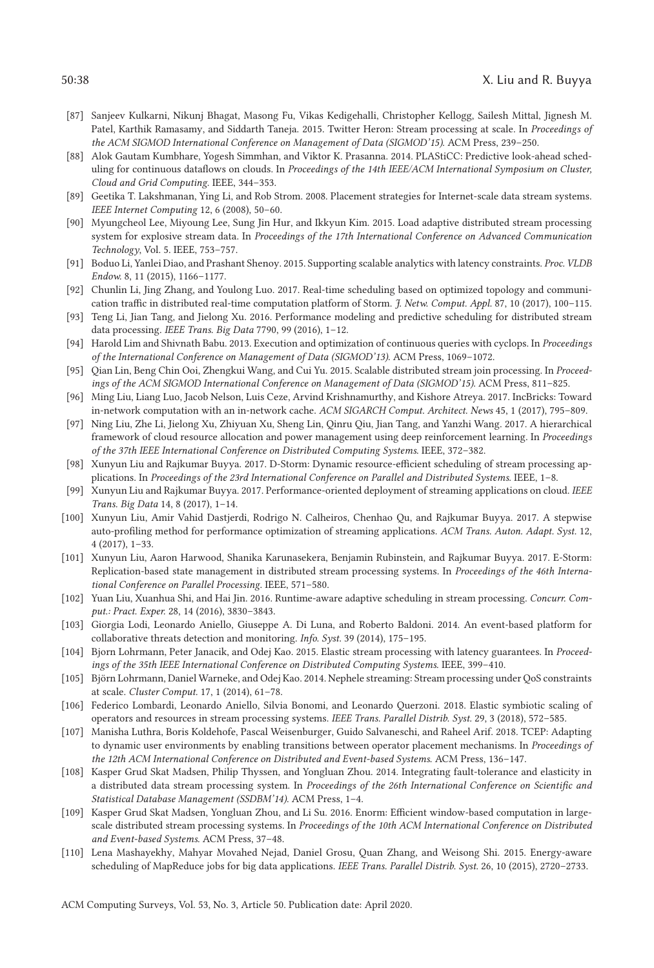- [87] Sanjeev Kulkarni, Nikunj Bhagat, Masong Fu, Vikas Kedigehalli, Christopher Kellogg, Sailesh Mittal, Jignesh M. Patel, Karthik Ramasamy, and Siddarth Taneja. 2015. Twitter Heron: Stream processing at scale. In *Proceedings of the ACM SIGMOD International Conference on Management of Data (SIGMOD'15)*. ACM Press, 239–250.
- [88] Alok Gautam Kumbhare, Yogesh Simmhan, and Viktor K. Prasanna. 2014. PLAStiCC: Predictive look-ahead scheduling for continuous dataflows on clouds. In *Proceedings of the 14th IEEE/ACM International Symposium on Cluster, Cloud and Grid Computing*. IEEE, 344–353.
- [89] Geetika T. Lakshmanan, Ying Li, and Rob Strom. 2008. Placement strategies for Internet-scale data stream systems. *IEEE Internet Computing* 12, 6 (2008), 50–60.
- [90] Myungcheol Lee, Miyoung Lee, Sung Jin Hur, and Ikkyun Kim. 2015. Load adaptive distributed stream processing system for explosive stream data. In *Proceedings of the 17th International Conference on Advanced Communication Technology*, Vol. 5. IEEE, 753–757.
- [91] Boduo Li, Yanlei Diao, and Prashant Shenoy. 2015. Supporting scalable analytics with latency constraints. *Proc. VLDB Endow.* 8, 11 (2015), 1166–1177.
- [92] Chunlin Li, Jing Zhang, and Youlong Luo. 2017. Real-time scheduling based on optimized topology and communication traffic in distributed real-time computation platform of Storm. *J. Netw. Comput. Appl.* 87, 10 (2017), 100–115.
- [93] Teng Li, Jian Tang, and Jielong Xu. 2016. Performance modeling and predictive scheduling for distributed stream data processing. *IEEE Trans. Big Data* 7790, 99 (2016), 1–12.
- [94] Harold Lim and Shivnath Babu. 2013. Execution and optimization of continuous queries with cyclops. In *Proceedings of the International Conference on Management of Data (SIGMOD'13)*. ACM Press, 1069–1072.
- [95] Qian Lin, Beng Chin Ooi, Zhengkui Wang, and Cui Yu. 2015. Scalable distributed stream join processing. In *Proceedings of the ACM SIGMOD International Conference on Management of Data (SIGMOD'15)*. ACM Press, 811–825.
- [96] Ming Liu, Liang Luo, Jacob Nelson, Luis Ceze, Arvind Krishnamurthy, and Kishore Atreya. 2017. IncBricks: Toward in-network computation with an in-network cache. *ACM SIGARCH Comput. Architect. News* 45, 1 (2017), 795–809.
- [97] Ning Liu, Zhe Li, Jielong Xu, Zhiyuan Xu, Sheng Lin, Qinru Qiu, Jian Tang, and Yanzhi Wang. 2017. A hierarchical framework of cloud resource allocation and power management using deep reinforcement learning. In *Proceedings of the 37th IEEE International Conference on Distributed Computing Systems*. IEEE, 372–382.
- [98] Xunyun Liu and Rajkumar Buyya. 2017. D-Storm: Dynamic resource-efficient scheduling of stream processing applications. In *Proceedings of the 23rd International Conference on Parallel and Distributed Systems*. IEEE, 1–8.
- [99] Xunyun Liu and Rajkumar Buyya. 2017. Performance-oriented deployment of streaming applications on cloud. *IEEE Trans. Big Data* 14, 8 (2017), 1–14.
- [100] Xunyun Liu, Amir Vahid Dastjerdi, Rodrigo N. Calheiros, Chenhao Qu, and Rajkumar Buyya. 2017. A stepwise auto-profiling method for performance optimization of streaming applications. *ACM Trans. Auton. Adapt. Syst.* 12, 4 (2017), 1–33.
- [101] Xunyun Liu, Aaron Harwood, Shanika Karunasekera, Benjamin Rubinstein, and Rajkumar Buyya. 2017. E-Storm: Replication-based state management in distributed stream processing systems. In *Proceedings of the 46th International Conference on Parallel Processing*. IEEE, 571–580.
- [102] Yuan Liu, Xuanhua Shi, and Hai Jin. 2016. Runtime-aware adaptive scheduling in stream processing. *Concurr. Comput.: Pract. Exper.* 28, 14 (2016), 3830–3843.
- [103] Giorgia Lodi, Leonardo Aniello, Giuseppe A. Di Luna, and Roberto Baldoni. 2014. An event-based platform for collaborative threats detection and monitoring. *Info. Syst.* 39 (2014), 175–195.
- [104] Bjorn Lohrmann, Peter Janacik, and Odej Kao. 2015. Elastic stream processing with latency guarantees. In *Proceedings of the 35th IEEE International Conference on Distributed Computing Systems*. IEEE, 399–410.
- [105] Björn Lohrmann, Daniel Warneke, and Odej Kao. 2014. Nephele streaming: Stream processing under QoS constraints at scale. *Cluster Comput.* 17, 1 (2014), 61–78.
- [106] Federico Lombardi, Leonardo Aniello, Silvia Bonomi, and Leonardo Querzoni. 2018. Elastic symbiotic scaling of operators and resources in stream processing systems. *IEEE Trans. Parallel Distrib. Syst.* 29, 3 (2018), 572–585.
- [107] Manisha Luthra, Boris Koldehofe, Pascal Weisenburger, Guido Salvaneschi, and Raheel Arif. 2018. TCEP: Adapting to dynamic user environments by enabling transitions between operator placement mechanisms. In *Proceedings of the 12th ACM International Conference on Distributed and Event-based Systems*. ACM Press, 136–147.
- [108] Kasper Grud Skat Madsen, Philip Thyssen, and Yongluan Zhou. 2014. Integrating fault-tolerance and elasticity in a distributed data stream processing system. In *Proceedings of the 26th International Conference on Scientific and Statistical Database Management (SSDBM'14)*. ACM Press, 1–4.
- [109] Kasper Grud Skat Madsen, Yongluan Zhou, and Li Su. 2016. Enorm: Efficient window-based computation in largescale distributed stream processing systems. In *Proceedings of the 10th ACM International Conference on Distributed and Event-based Systems*. ACM Press, 37–48.
- [110] Lena Mashayekhy, Mahyar Movahed Nejad, Daniel Grosu, Quan Zhang, and Weisong Shi. 2015. Energy-aware scheduling of MapReduce jobs for big data applications. *IEEE Trans. Parallel Distrib. Syst.* 26, 10 (2015), 2720–2733.

ACM Computing Surveys, Vol. 53, No. 3, Article 50. Publication date: April 2020.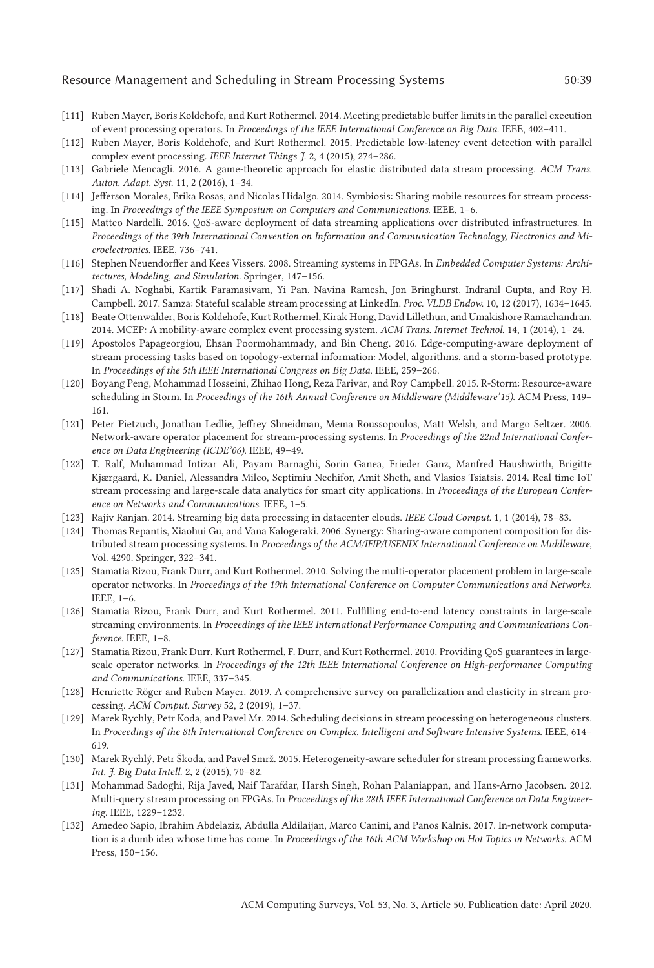#### Resource Management and Scheduling in Stream Processing Systems 50:39

- [111] Ruben Mayer, Boris Koldehofe, and Kurt Rothermel. 2014. Meeting predictable buffer limits in the parallel execution of event processing operators. In *Proceedings of the IEEE International Conference on Big Data*. IEEE, 402–411.
- [112] Ruben Mayer, Boris Koldehofe, and Kurt Rothermel. 2015. Predictable low-latency event detection with parallel complex event processing. *IEEE Internet Things J.* 2, 4 (2015), 274–286.
- [113] Gabriele Mencagli. 2016. A game-theoretic approach for elastic distributed data stream processing. *ACM Trans. Auton. Adapt. Syst.* 11, 2 (2016), 1–34.
- [114] Jefferson Morales, Erika Rosas, and Nicolas Hidalgo. 2014. Symbiosis: Sharing mobile resources for stream processing. In *Proceedings of the IEEE Symposium on Computers and Communications*. IEEE, 1–6.
- [115] Matteo Nardelli. 2016. QoS-aware deployment of data streaming applications over distributed infrastructures. In *Proceedings of the 39th International Convention on Information and Communication Technology, Electronics and Microelectronics*. IEEE, 736–741.
- [116] Stephen Neuendorffer and Kees Vissers. 2008. Streaming systems in FPGAs. In *Embedded Computer Systems: Architectures, Modeling, and Simulation*. Springer, 147–156.
- [117] Shadi A. Noghabi, Kartik Paramasivam, Yi Pan, Navina Ramesh, Jon Bringhurst, Indranil Gupta, and Roy H. Campbell. 2017. Samza: Stateful scalable stream processing at LinkedIn. *Proc. VLDB Endow.* 10, 12 (2017), 1634–1645.
- [118] Beate Ottenwälder, Boris Koldehofe, Kurt Rothermel, Kirak Hong, David Lillethun, and Umakishore Ramachandran. 2014. MCEP: A mobility-aware complex event processing system. *ACM Trans. Internet Technol.* 14, 1 (2014), 1–24.
- [119] Apostolos Papageorgiou, Ehsan Poormohammady, and Bin Cheng. 2016. Edge-computing-aware deployment of stream processing tasks based on topology-external information: Model, algorithms, and a storm-based prototype. In *Proceedings of the 5th IEEE International Congress on Big Data*. IEEE, 259–266.
- [120] Boyang Peng, Mohammad Hosseini, Zhihao Hong, Reza Farivar, and Roy Campbell. 2015. R-Storm: Resource-aware scheduling in Storm. In *Proceedings of the 16th Annual Conference on Middleware (Middleware'15)*. ACM Press, 149– 161.
- [121] Peter Pietzuch, Jonathan Ledlie, Jeffrey Shneidman, Mema Roussopoulos, Matt Welsh, and Margo Seltzer. 2006. Network-aware operator placement for stream-processing systems. In *Proceedings of the 22nd International Conference on Data Engineering (ICDE'06)*. IEEE, 49–49.
- [122] T. Ralf, Muhammad Intizar Ali, Payam Barnaghi, Sorin Ganea, Frieder Ganz, Manfred Haushwirth, Brigitte Kjærgaard, K. Daniel, Alessandra Mileo, Septimiu Nechifor, Amit Sheth, and Vlasios Tsiatsis. 2014. Real time IoT stream processing and large-scale data analytics for smart city applications. In *Proceedings of the European Conference on Networks and Communications*. IEEE, 1–5.
- [123] Rajiv Ranjan. 2014. Streaming big data processing in datacenter clouds. *IEEE Cloud Comput.* 1, 1 (2014), 78–83.
- [124] Thomas Repantis, Xiaohui Gu, and Vana Kalogeraki. 2006. Synergy: Sharing-aware component composition for distributed stream processing systems. In *Proceedings of the ACM/IFIP/USENIX International Conference on Middleware*, Vol. 4290. Springer, 322–341.
- [125] Stamatia Rizou, Frank Durr, and Kurt Rothermel. 2010. Solving the multi-operator placement problem in large-scale operator networks. In *Proceedings of the 19th International Conference on Computer Communications and Networks*. IEEE, 1–6.
- [126] Stamatia Rizou, Frank Durr, and Kurt Rothermel. 2011. Fulfilling end-to-end latency constraints in large-scale streaming environments. In *Proceedings of the IEEE International Performance Computing and Communications Conference*. IEEE, 1–8.
- [127] Stamatia Rizou, Frank Durr, Kurt Rothermel, F. Durr, and Kurt Rothermel. 2010. Providing QoS guarantees in largescale operator networks. In *Proceedings of the 12th IEEE International Conference on High-performance Computing and Communications*. IEEE, 337–345.
- [128] Henriette Röger and Ruben Mayer. 2019. A comprehensive survey on parallelization and elasticity in stream processing. *ACM Comput. Survey* 52, 2 (2019), 1–37.
- [129] Marek Rychly, Petr Koda, and Pavel Mr. 2014. Scheduling decisions in stream processing on heterogeneous clusters. In *Proceedings of the 8th International Conference on Complex, Intelligent and Software Intensive Systems*. IEEE, 614– 619.
- [130] Marek Rychlý, Petr Škoda, and Pavel Smrž. 2015. Heterogeneity-aware scheduler for stream processing frameworks. *Int. J. Big Data Intell.* 2, 2 (2015), 70–82.
- [131] Mohammad Sadoghi, Rija Javed, Naif Tarafdar, Harsh Singh, Rohan Palaniappan, and Hans-Arno Jacobsen. 2012. Multi-query stream processing on FPGAs. In *Proceedings of the 28th IEEE International Conference on Data Engineering*. IEEE, 1229–1232.
- [132] Amedeo Sapio, Ibrahim Abdelaziz, Abdulla Aldilaijan, Marco Canini, and Panos Kalnis. 2017. In-network computation is a dumb idea whose time has come. In *Proceedings of the 16th ACM Workshop on Hot Topics in Networks*. ACM Press, 150–156.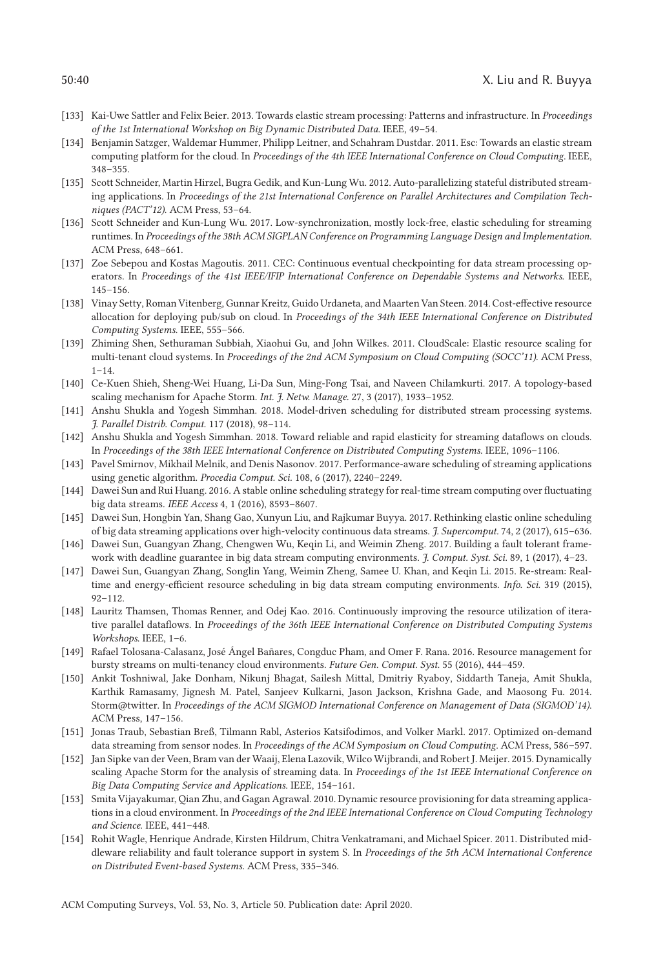- [133] Kai-Uwe Sattler and Felix Beier. 2013. Towards elastic stream processing: Patterns and infrastructure. In *Proceedings of the 1st International Workshop on Big Dynamic Distributed Data*. IEEE, 49–54.
- [134] Benjamin Satzger, Waldemar Hummer, Philipp Leitner, and Schahram Dustdar. 2011. Esc: Towards an elastic stream computing platform for the cloud. In *Proceedings of the 4th IEEE International Conference on Cloud Computing*. IEEE, 348–355.
- [135] Scott Schneider, Martin Hirzel, Bugra Gedik, and Kun-Lung Wu. 2012. Auto-parallelizing stateful distributed streaming applications. In *Proceedings of the 21st International Conference on Parallel Architectures and Compilation Techniques (PACT'12)*. ACM Press, 53–64.
- [136] Scott Schneider and Kun-Lung Wu. 2017. Low-synchronization, mostly lock-free, elastic scheduling for streaming runtimes. In *Proceedings of the 38th ACM SIGPLAN Conference on Programming Language Design and Implementation*. ACM Press, 648–661.
- [137] Zoe Sebepou and Kostas Magoutis. 2011. CEC: Continuous eventual checkpointing for data stream processing operators. In *Proceedings of the 41st IEEE/IFIP International Conference on Dependable Systems and Networks*. IEEE, 145–156.
- [138] Vinay Setty, Roman Vitenberg, Gunnar Kreitz, Guido Urdaneta, and Maarten Van Steen. 2014. Cost-effective resource allocation for deploying pub/sub on cloud. In *Proceedings of the 34th IEEE International Conference on Distributed Computing Systems*. IEEE, 555–566.
- [139] Zhiming Shen, Sethuraman Subbiah, Xiaohui Gu, and John Wilkes. 2011. CloudScale: Elastic resource scaling for multi-tenant cloud systems. In *Proceedings of the 2nd ACM Symposium on Cloud Computing (SOCC'11)*. ACM Press,  $1 - 14.$
- [140] Ce-Kuen Shieh, Sheng-Wei Huang, Li-Da Sun, Ming-Fong Tsai, and Naveen Chilamkurti. 2017. A topology-based scaling mechanism for Apache Storm. *Int. J. Netw. Manage.* 27, 3 (2017), 1933–1952.
- [141] Anshu Shukla and Yogesh Simmhan. 2018. Model-driven scheduling for distributed stream processing systems. *J. Parallel Distrib. Comput.* 117 (2018), 98–114.
- [142] Anshu Shukla and Yogesh Simmhan. 2018. Toward reliable and rapid elasticity for streaming dataflows on clouds. In *Proceedings of the 38th IEEE International Conference on Distributed Computing Systems*. IEEE, 1096–1106.
- [143] Pavel Smirnov, Mikhail Melnik, and Denis Nasonov. 2017. Performance-aware scheduling of streaming applications using genetic algorithm. *Procedia Comput. Sci.* 108, 6 (2017), 2240–2249.
- [144] Dawei Sun and Rui Huang. 2016. A stable online scheduling strategy for real-time stream computing over fluctuating big data streams. *IEEE Access* 4, 1 (2016), 8593–8607.
- [145] Dawei Sun, Hongbin Yan, Shang Gao, Xunyun Liu, and Rajkumar Buyya. 2017. Rethinking elastic online scheduling of big data streaming applications over high-velocity continuous data streams. *J. Supercomput.* 74, 2 (2017), 615–636.
- [146] Dawei Sun, Guangyan Zhang, Chengwen Wu, Keqin Li, and Weimin Zheng. 2017. Building a fault tolerant framework with deadline guarantee in big data stream computing environments. *J. Comput. Syst. Sci.* 89, 1 (2017), 4–23.
- [147] Dawei Sun, Guangyan Zhang, Songlin Yang, Weimin Zheng, Samee U. Khan, and Keqin Li. 2015. Re-stream: Realtime and energy-efficient resource scheduling in big data stream computing environments. *Info. Sci.* 319 (2015), 92–112.
- [148] Lauritz Thamsen, Thomas Renner, and Odej Kao. 2016. Continuously improving the resource utilization of iterative parallel dataflows. In *Proceedings of the 36th IEEE International Conference on Distributed Computing Systems Workshops*. IEEE, 1–6.
- [149] Rafael Tolosana-Calasanz, José Ángel Bañares, Congduc Pham, and Omer F. Rana. 2016. Resource management for bursty streams on multi-tenancy cloud environments. *Future Gen. Comput. Syst.* 55 (2016), 444–459.
- [150] Ankit Toshniwal, Jake Donham, Nikunj Bhagat, Sailesh Mittal, Dmitriy Ryaboy, Siddarth Taneja, Amit Shukla, Karthik Ramasamy, Jignesh M. Patel, Sanjeev Kulkarni, Jason Jackson, Krishna Gade, and Maosong Fu. 2014. Storm@twitter. In *Proceedings of the ACM SIGMOD International Conference on Management of Data (SIGMOD'14)*. ACM Press, 147–156.
- [151] Jonas Traub, Sebastian Breß, Tilmann Rabl, Asterios Katsifodimos, and Volker Markl. 2017. Optimized on-demand data streaming from sensor nodes. In *Proceedings of the ACM Symposium on Cloud Computing*. ACM Press, 586–597.
- [152] Jan Sipke van der Veen, Bram van der Waaij, Elena Lazovik, Wilco Wijbrandi, and Robert J. Meijer. 2015. Dynamically scaling Apache Storm for the analysis of streaming data. In *Proceedings of the 1st IEEE International Conference on Big Data Computing Service and Applications*. IEEE, 154–161.
- [153] Smita Vijayakumar, Qian Zhu, and Gagan Agrawal. 2010. Dynamic resource provisioning for data streaming applications in a cloud environment. In *Proceedings of the 2nd IEEE International Conference on Cloud Computing Technology and Science*. IEEE, 441–448.
- [154] Rohit Wagle, Henrique Andrade, Kirsten Hildrum, Chitra Venkatramani, and Michael Spicer. 2011. Distributed middleware reliability and fault tolerance support in system S. In *Proceedings of the 5th ACM International Conference on Distributed Event-based Systems*. ACM Press, 335–346.

ACM Computing Surveys, Vol. 53, No. 3, Article 50. Publication date: April 2020.